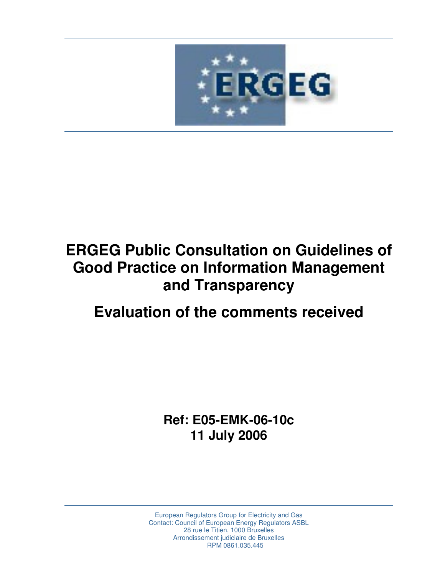

# **ERGEG Public Consultation on Guidelines of Good Practice on Information Management and Transparency**

## **Evaluation of the comments received**

**Ref: E05-EMK-06-10c 11 July 2006** 

European Regulators Group for Electricity and Gas Contact: Council of European Energy Regulators ASBL 28 rue le Titien, 1000 Bruxelles Arrondissement judiciaire de Bruxelles RPM 0861.035.445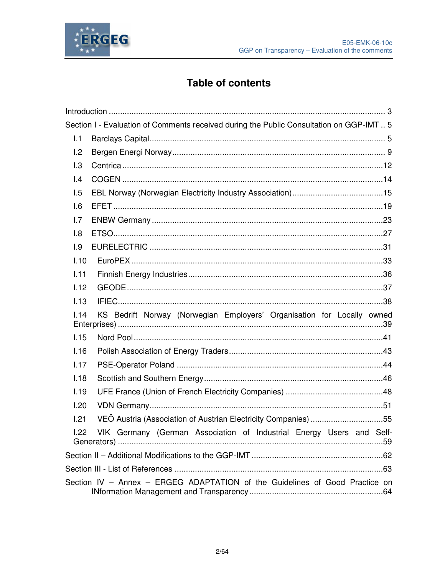



### **Table of contents**

|                         | Section I - Evaluation of Comments received during the Public Consultation on GGP-IMT  5 |
|-------------------------|------------------------------------------------------------------------------------------|
| 1.1                     |                                                                                          |
| 1.2                     |                                                                                          |
| 1.3                     |                                                                                          |
| $\mathsf{I}.\mathsf{4}$ |                                                                                          |
| 1.5                     |                                                                                          |
| 1.6                     |                                                                                          |
| 1.7                     |                                                                                          |
| 1.8                     |                                                                                          |
| 1.9                     |                                                                                          |
| 1.10                    |                                                                                          |
| 1.11                    |                                                                                          |
| 1.12                    |                                                                                          |
| 1.13                    |                                                                                          |
| 1.14                    | KS Bedrift Norway (Norwegian Employers' Organisation for Locally owned                   |
| 1.15                    |                                                                                          |
| 1.16                    |                                                                                          |
| 1.17                    |                                                                                          |
| 1.18                    |                                                                                          |
| 1.19                    |                                                                                          |
| 1.20                    |                                                                                          |
| 1.21                    | VEÖ Austria (Association of Austrian Electricity Companies) 55                           |
| 1.22                    | VIK Germany (German Association of Industrial Energy Users and Self-                     |
|                         |                                                                                          |
|                         |                                                                                          |
|                         | Section IV - Annex - ERGEG ADAPTATION of the Guidelines of Good Practice on              |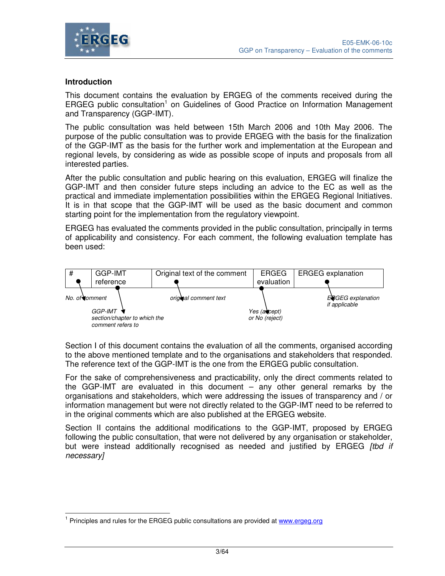

#### **Introduction**

This document contains the evaluation by ERGEG of the comments received during the ERGEG public consultation<sup>1</sup> on Guidelines of Good Practice on Information Management and Transparency (GGP-IMT).

The public consultation was held between 15th March 2006 and 10th May 2006. The purpose of the public consultation was to provide ERGEG with the basis for the finalization of the GGP-IMT as the basis for the further work and implementation at the European and regional levels, by considering as wide as possible scope of inputs and proposals from all interested parties.

After the public consultation and public hearing on this evaluation, ERGEG will finalize the GGP-IMT and then consider future steps including an advice to the EC as well as the practical and immediate implementation possibilities within the ERGEG Regional Initiatives. It is in that scope that the GGP-IMT will be used as the basic document and common starting point for the implementation from the regulatory viewpoint.

ERGEG has evaluated the comments provided in the public consultation, principally in terms of applicability and consistency. For each comment, the following evaluation template has been used:



Section I of this document contains the evaluation of all the comments, organised according to the above mentioned template and to the organisations and stakeholders that responded. The reference text of the GGP-IMT is the one from the ERGEG public consultation.

For the sake of comprehensiveness and practicability, only the direct comments related to the GGP-IMT are evaluated in this document – any other general remarks by the organisations and stakeholders, which were addressing the issues of transparency and / or information management but were not directly related to the GGP-IMT need to be referred to in the original comments which are also published at the ERGEG website.

Section II contains the additional modifications to the GGP-IMT, proposed by ERGEG following the public consultation, that were not delivered by any organisation or stakeholder, but were instead additionally recognised as needed and justified by ERGEG [tbd if necessary]

 <sup>1</sup> Principles and rules for the ERGEG public consultations are provided at www.ergeg.org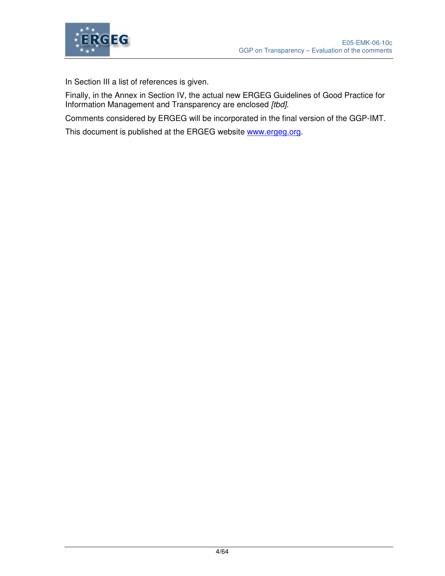

In Section III a list of references is given.

Finally, in the Annex in Section IV, the actual new ERGEG Guidelines of Good Practice for Information Management and Transparency are enclosed [tbd].

Comments considered by ERGEG will be incorporated in the final version of the GGP-IMT.

This document is published at the ERGEG website www.ergeg.org.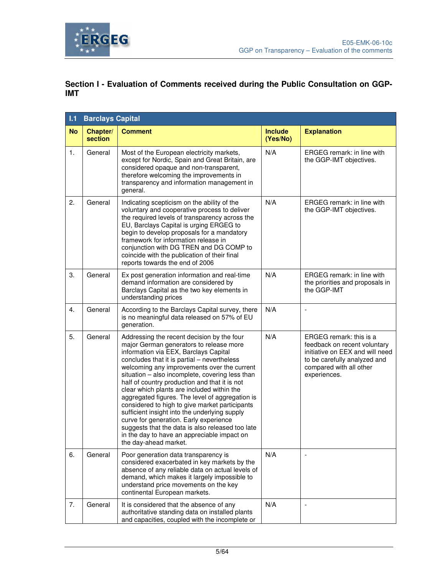

### **Section I - Evaluation of Comments received during the Public Consultation on GGP-IMT**

| 1.1       | <b>Barclays Capital</b> |                                                                                                                                                                                                                                                                                                                                                                                                                                                                                                                                                                                                                                                                                                            |                            |                                                                                                                                                                       |  |  |
|-----------|-------------------------|------------------------------------------------------------------------------------------------------------------------------------------------------------------------------------------------------------------------------------------------------------------------------------------------------------------------------------------------------------------------------------------------------------------------------------------------------------------------------------------------------------------------------------------------------------------------------------------------------------------------------------------------------------------------------------------------------------|----------------------------|-----------------------------------------------------------------------------------------------------------------------------------------------------------------------|--|--|
| <b>No</b> | Chapter/<br>section     | <b>Comment</b>                                                                                                                                                                                                                                                                                                                                                                                                                                                                                                                                                                                                                                                                                             | <b>Include</b><br>(Yes/No) | <b>Explanation</b>                                                                                                                                                    |  |  |
| 1.        | General                 | Most of the European electricity markets,<br>except for Nordic, Spain and Great Britain, are<br>considered opaque and non-transparent,<br>therefore welcoming the improvements in<br>transparency and information management in<br>general.                                                                                                                                                                                                                                                                                                                                                                                                                                                                | N/A                        | ERGEG remark: in line with<br>the GGP-IMT objectives.                                                                                                                 |  |  |
| 2.        | General                 | Indicating scepticism on the ability of the<br>voluntary and cooperative process to deliver<br>the required levels of transparency across the<br>EU, Barclays Capital is urging ERGEG to<br>begin to develop proposals for a mandatory<br>framework for information release in<br>conjunction with DG TREN and DG COMP to<br>coincide with the publication of their final<br>reports towards the end of 2006                                                                                                                                                                                                                                                                                               | N/A                        | ERGEG remark: in line with<br>the GGP-IMT objectives.                                                                                                                 |  |  |
| 3.        | General                 | Ex post generation information and real-time<br>demand information are considered by<br>Barclays Capital as the two key elements in<br>understanding prices                                                                                                                                                                                                                                                                                                                                                                                                                                                                                                                                                | N/A                        | ERGEG remark: in line with<br>the priorities and proposals in<br>the GGP-IMT                                                                                          |  |  |
| 4.        | General                 | According to the Barclays Capital survey, there<br>is no meaningful data released on 57% of EU<br>generation.                                                                                                                                                                                                                                                                                                                                                                                                                                                                                                                                                                                              | N/A                        | $\overline{a}$                                                                                                                                                        |  |  |
| 5.        | General                 | Addressing the recent decision by the four<br>major German generators to release more<br>information via EEX, Barclays Capital<br>concludes that it is partial - nevertheless<br>welcoming any improvements over the current<br>situation - also incomplete, covering less than<br>half of country production and that it is not<br>clear which plants are included within the<br>aggregated figures. The level of aggregation is<br>considered to high to give market participants<br>sufficient insight into the underlying supply<br>curve for generation. Early experience<br>suggests that the data is also released too late<br>in the day to have an appreciable impact on<br>the day-ahead market. | N/A                        | ERGEG remark: this is a<br>feedback on recent voluntary<br>initiative on EEX and will need<br>to be carefully analyzed and<br>compared with all other<br>experiences. |  |  |
| 6.        | General                 | Poor generation data transparency is<br>considered exacerbated in key markets by the<br>absence of any reliable data on actual levels of<br>demand, which makes it largely impossible to<br>understand price movements on the key<br>continental European markets.                                                                                                                                                                                                                                                                                                                                                                                                                                         | N/A                        |                                                                                                                                                                       |  |  |
| 7.        | General                 | It is considered that the absence of any<br>authoritative standing data on installed plants<br>and capacities, coupled with the incomplete or                                                                                                                                                                                                                                                                                                                                                                                                                                                                                                                                                              | N/A                        | $\overline{\phantom{a}}$                                                                                                                                              |  |  |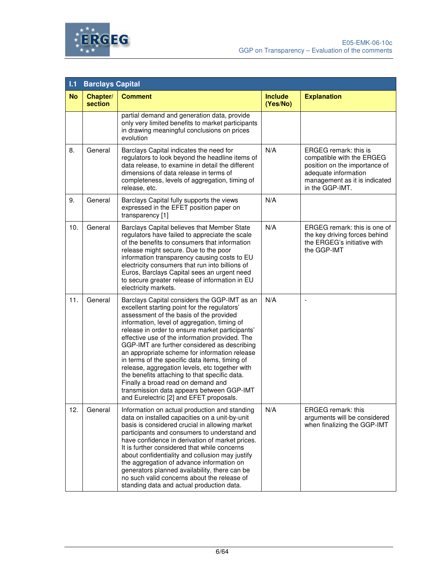



| 1.1       | <b>Barclays Capital</b> |                                                                                                                                                                                                                                                                                                                                                                                                                                                                                                                                                                                                                                                                                  |                            |                                                                                                                                                                 |  |
|-----------|-------------------------|----------------------------------------------------------------------------------------------------------------------------------------------------------------------------------------------------------------------------------------------------------------------------------------------------------------------------------------------------------------------------------------------------------------------------------------------------------------------------------------------------------------------------------------------------------------------------------------------------------------------------------------------------------------------------------|----------------------------|-----------------------------------------------------------------------------------------------------------------------------------------------------------------|--|
| <b>No</b> | Chapter/<br>section     | <b>Comment</b>                                                                                                                                                                                                                                                                                                                                                                                                                                                                                                                                                                                                                                                                   | <b>Include</b><br>(Yes/No) | <b>Explanation</b>                                                                                                                                              |  |
|           |                         | partial demand and generation data, provide<br>only very limited benefits to market participants<br>in drawing meaningful conclusions on prices<br>evolution                                                                                                                                                                                                                                                                                                                                                                                                                                                                                                                     |                            |                                                                                                                                                                 |  |
| 8.        | General                 | Barclays Capital indicates the need for<br>regulators to look beyond the headline items of<br>data release, to examine in detail the different<br>dimensions of data release in terms of<br>completeness, levels of aggregation, timing of<br>release, etc.                                                                                                                                                                                                                                                                                                                                                                                                                      | N/A                        | ERGEG remark: this is<br>compatible with the ERGEG<br>position on the importance of<br>adequate information<br>management as it is indicated<br>in the GGP-IMT. |  |
| 9.        | General                 | Barclays Capital fully supports the views<br>expressed in the EFET position paper on<br>transparency [1]                                                                                                                                                                                                                                                                                                                                                                                                                                                                                                                                                                         | N/A                        |                                                                                                                                                                 |  |
| 10.       | General                 | Barclays Capital believes that Member State<br>regulators have failed to appreciate the scale<br>of the benefits to consumers that information<br>release might secure. Due to the poor<br>information transparency causing costs to EU<br>electricity consumers that run into billions of<br>Euros, Barclays Capital sees an urgent need<br>to secure greater release of information in EU<br>electricity markets.                                                                                                                                                                                                                                                              | N/A                        | ERGEG remark: this is one of<br>the key driving forces behind<br>the ERGEG's initiative with<br>the GGP-IMT                                                     |  |
| 11.       | General                 | Barclays Capital considers the GGP-IMT as an<br>excellent starting point for the regulators'<br>assessment of the basis of the provided<br>information, level of aggregation, timing of<br>release in order to ensure market participants'<br>effective use of the information provided. The<br>GGP-IMT are further considered as describing<br>an appropriate scheme for information release<br>in terms of the specific data items, timing of<br>release, aggregation levels, etc together with<br>the benefits attaching to that specific data.<br>Finally a broad read on demand and<br>transmission data appears between GGP-IMT<br>and Eurelectric [2] and EFET proposals. | N/A                        |                                                                                                                                                                 |  |
| 12.       | General                 | Information on actual production and standing<br>data on installed capacities on a unit-by-unit<br>basis is considered crucial in allowing market<br>participants and consumers to understand and<br>have confidence in derivation of market prices.<br>It is further considered that while concerns<br>about confidentiality and collusion may justify<br>the aggregation of advance information on<br>generators planned availability, there can be<br>no such valid concerns about the release of<br>standing data and actual production data.                                                                                                                                | N/A                        | <b>ERGEG</b> remark: this<br>arguments will be considered<br>when finalizing the GGP-IMT                                                                        |  |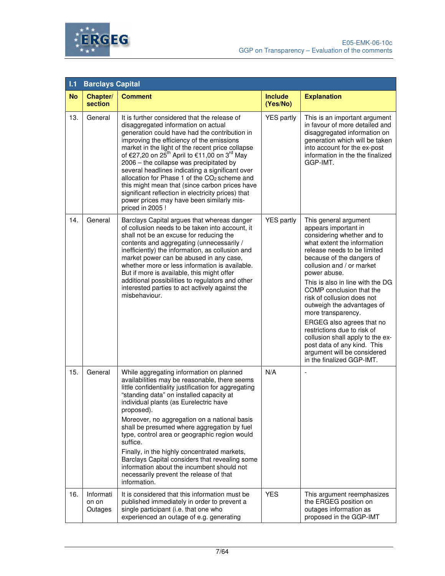



| 1.1       | <b>Barclays Capital</b>       |                                                                                                                                                                                                                                                                                                                                                                                                                                                                                                                                                                                                                                                  |                            |                                                                                                                                                                                                                                                                                                                                                                                                                                                                                                                                                                  |
|-----------|-------------------------------|--------------------------------------------------------------------------------------------------------------------------------------------------------------------------------------------------------------------------------------------------------------------------------------------------------------------------------------------------------------------------------------------------------------------------------------------------------------------------------------------------------------------------------------------------------------------------------------------------------------------------------------------------|----------------------------|------------------------------------------------------------------------------------------------------------------------------------------------------------------------------------------------------------------------------------------------------------------------------------------------------------------------------------------------------------------------------------------------------------------------------------------------------------------------------------------------------------------------------------------------------------------|
| <b>No</b> | Chapter/<br>section           | <b>Comment</b>                                                                                                                                                                                                                                                                                                                                                                                                                                                                                                                                                                                                                                   | <b>Include</b><br>(Yes/No) | <b>Explanation</b>                                                                                                                                                                                                                                                                                                                                                                                                                                                                                                                                               |
| 13.       | General                       | It is further considered that the release of<br>disaggregated information on actual<br>generation could have had the contribution in<br>improving the efficiency of the emissions<br>market in the light of the recent price collapse<br>of €27,20 on 25 <sup>th</sup> April to €11,00 on 3 <sup>rd</sup> May<br>2006 - the collapse was precipitated by<br>several headlines indicating a significant over<br>allocation for Phase 1 of the CO <sub>2</sub> scheme and<br>this might mean that (since carbon prices have<br>significant reflection in electricity prices) that<br>power prices may have been similarly mis-<br>priced in 2005 ! | <b>YES</b> partly          | This is an important argument<br>in favour of more detailed and<br>disaggregated information on<br>generation which will be taken<br>into account for the ex-post<br>information in the the finalized<br>GGP-IMT.                                                                                                                                                                                                                                                                                                                                                |
| 14.       | General                       | Barclays Capital argues that whereas danger<br>of collusion needs to be taken into account, it<br>shall not be an excuse for reducing the<br>contents and aggregating (unnecessarily /<br>inefficiently) the information, as collusion and<br>market power can be abused in any case,<br>whether more or less information is available.<br>But if more is available, this might offer<br>additional possibilities to regulators and other<br>interested parties to act actively against the<br>misbehaviour.                                                                                                                                     | <b>YES</b> partly          | This general argument<br>appears important in<br>considering whether and to<br>what extent the information<br>release needs to be limited<br>because of the dangers of<br>collusion and / or market<br>power abuse.<br>This is also in line with the DG<br>COMP conclusion that the<br>risk of collusion does not<br>outweigh the advantages of<br>more transparency.<br>ERGEG also agrees that no<br>restrictions due to risk of<br>collusion shall apply to the ex-<br>post data of any kind. This<br>argument will be considered<br>in the finalized GGP-IMT. |
| 15.       | General                       | While aggregating information on planned<br>availabilities may be reasonable, there seems<br>little confidentiality justification for aggregating<br>"standing data" on installed capacity at<br>individual plants (as Eurelectric have<br>proposed).<br>Moreover, no aggregation on a national basis<br>shall be presumed where aggregation by fuel<br>type, control area or geographic region would<br>suffice.<br>Finally, in the highly concentrated markets,<br>Barclays Capital considers that revealing some<br>information about the incumbent should not<br>necessarily prevent the release of that<br>information.                     | N/A                        |                                                                                                                                                                                                                                                                                                                                                                                                                                                                                                                                                                  |
| 16.       | Informati<br>on on<br>Outages | It is considered that this information must be<br>published immediately in order to prevent a<br>single participant (i.e. that one who<br>experienced an outage of e.g. generating                                                                                                                                                                                                                                                                                                                                                                                                                                                               | <b>YES</b>                 | This argument reemphasizes<br>the ERGEG position on<br>outages information as<br>proposed in the GGP-IMT                                                                                                                                                                                                                                                                                                                                                                                                                                                         |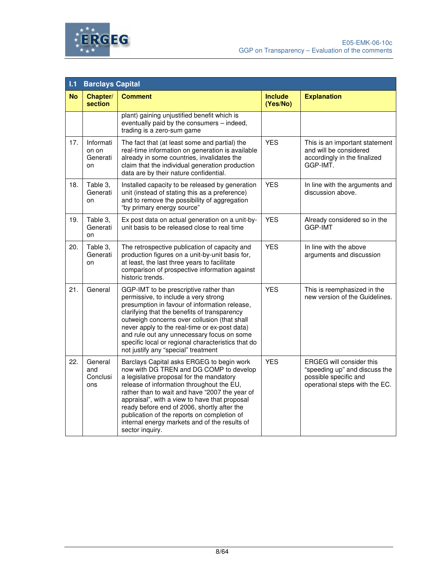



| 1.1       | <b>Barclays Capital</b>              |                                                                                                                                                                                                                                                                                                                                                                                                                                                    |                            |                                                                                                                             |  |
|-----------|--------------------------------------|----------------------------------------------------------------------------------------------------------------------------------------------------------------------------------------------------------------------------------------------------------------------------------------------------------------------------------------------------------------------------------------------------------------------------------------------------|----------------------------|-----------------------------------------------------------------------------------------------------------------------------|--|
| <b>No</b> | Chapter/<br><b>section</b>           | <b>Comment</b>                                                                                                                                                                                                                                                                                                                                                                                                                                     | <b>Include</b><br>(Yes/No) | <b>Explanation</b>                                                                                                          |  |
|           |                                      | plant) gaining unjustified benefit which is<br>eventually paid by the consumers - indeed,<br>trading is a zero-sum game                                                                                                                                                                                                                                                                                                                            |                            |                                                                                                                             |  |
| 17.       | Informati<br>on on<br>Generati<br>on | The fact that (at least some and partial) the<br>real-time information on generation is available<br>already in some countries, invalidates the<br>claim that the individual generation production<br>data are by their nature confidential.                                                                                                                                                                                                       | <b>YES</b>                 | This is an important statement<br>and will be considered<br>accordingly in the finalized<br>GGP-IMT.                        |  |
| 18.       | Table 3,<br>Generati<br>on           | Installed capacity to be released by generation<br>unit (instead of stating this as a preference)<br>and to remove the possibility of aggregation<br>"by primary energy source"                                                                                                                                                                                                                                                                    | <b>YES</b>                 | In line with the arguments and<br>discussion above.                                                                         |  |
| 19.       | Table 3,<br>Generati<br>on           | Ex post data on actual generation on a unit-by-<br>unit basis to be released close to real time                                                                                                                                                                                                                                                                                                                                                    | <b>YES</b>                 | Already considered so in the<br>GGP-IMT                                                                                     |  |
| 20.       | Table 3,<br>Generati<br>on           | The retrospective publication of capacity and<br>production figures on a unit-by-unit basis for,<br>at least, the last three years to facilitate<br>comparison of prospective information against<br>historic trends.                                                                                                                                                                                                                              | <b>YES</b>                 | In line with the above<br>arguments and discussion                                                                          |  |
| 21.       | General                              | GGP-IMT to be prescriptive rather than<br>permissive, to include a very strong<br>presumption in favour of information release,<br>clarifying that the benefits of transparency<br>outweigh concerns over collusion (that shall<br>never apply to the real-time or ex-post data)<br>and rule out any unnecessary focus on some<br>specific local or regional characteristics that do<br>not justify any "special" treatment                        | <b>YES</b>                 | This is reemphasized in the<br>new version of the Guidelines.                                                               |  |
| 22.       | General<br>and<br>Conclusi<br>ons    | Barclays Capital asks ERGEG to begin work<br>now with DG TREN and DG COMP to develop<br>a legislative proposal for the mandatory<br>release of information throughout the EU,<br>rather than to wait and have "2007 the year of<br>appraisal", with a view to have that proposal<br>ready before end of 2006, shortly after the<br>publication of the reports on completion of<br>internal energy markets and of the results of<br>sector inquiry. | <b>YES</b>                 | <b>ERGEG will consider this</b><br>"speeding up" and discuss the<br>possible specific and<br>operational steps with the EC. |  |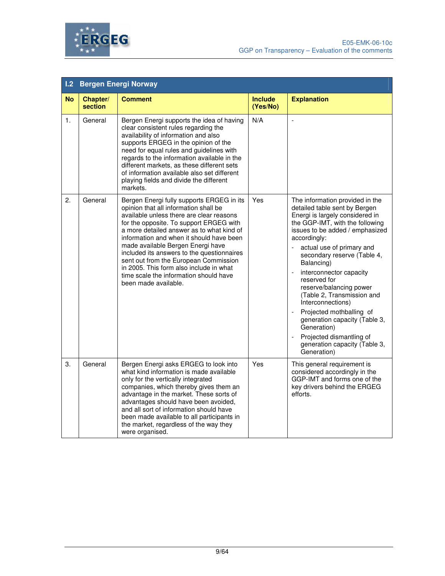



| 1.2 <sub>2</sub> | <b>Bergen Energi Norway</b> |                                                                                                                                                                                                                                                                                                                                                                                                                                                                                                             |                            |                                                                                                                                                                                                                                                                                                                                                                                                                                                                                                                                                                                     |  |  |
|------------------|-----------------------------|-------------------------------------------------------------------------------------------------------------------------------------------------------------------------------------------------------------------------------------------------------------------------------------------------------------------------------------------------------------------------------------------------------------------------------------------------------------------------------------------------------------|----------------------------|-------------------------------------------------------------------------------------------------------------------------------------------------------------------------------------------------------------------------------------------------------------------------------------------------------------------------------------------------------------------------------------------------------------------------------------------------------------------------------------------------------------------------------------------------------------------------------------|--|--|
| <b>No</b>        | Chapter/<br>section         | <b>Comment</b>                                                                                                                                                                                                                                                                                                                                                                                                                                                                                              | <b>Include</b><br>(Yes/No) | <b>Explanation</b>                                                                                                                                                                                                                                                                                                                                                                                                                                                                                                                                                                  |  |  |
| $\mathbf{1}$ .   | General                     | Bergen Energi supports the idea of having<br>clear consistent rules regarding the<br>availability of information and also<br>supports ERGEG in the opinion of the<br>need for equal rules and guidelines with<br>regards to the information available in the<br>different markets, as these different sets<br>of information available also set different<br>playing fields and divide the different<br>markets.                                                                                            | N/A                        | $\blacksquare$                                                                                                                                                                                                                                                                                                                                                                                                                                                                                                                                                                      |  |  |
| 2.               | General                     | Bergen Energi fully supports ERGEG in its<br>opinion that all information shall be<br>available unless there are clear reasons<br>for the opposite. To support ERGEG with<br>a more detailed answer as to what kind of<br>information and when it should have been<br>made available Bergen Energi have<br>included its answers to the questionnaires<br>sent out from the European Commission<br>in 2005. This form also include in what<br>time scale the information should have<br>been made available. | Yes                        | The information provided in the<br>detailed table sent by Bergen<br>Energi is largely considered in<br>the GGP-IMT, with the following<br>issues to be added / emphasized<br>accordingly:<br>actual use of primary and<br>$\mathcal{L}_{\mathcal{A}}$<br>secondary reserve (Table 4,<br>Balancing)<br>interconnector capacity<br>reserved for<br>reserve/balancing power<br>(Table 2, Transmission and<br>Interconnections)<br>Projected mothballing of<br>generation capacity (Table 3,<br>Generation)<br>Projected dismantling of<br>generation capacity (Table 3,<br>Generation) |  |  |
| 3.               | General                     | Bergen Energi asks ERGEG to look into<br>what kind information is made available<br>only for the vertically integrated<br>companies, which thereby gives them an<br>advantage in the market. These sorts of<br>advantages should have been avoided,<br>and all sort of information should have<br>been made available to all participants in<br>the market, regardless of the way they<br>were organised.                                                                                                   | Yes                        | This general requirement is<br>considered accordingly in the<br>GGP-IMT and forms one of the<br>key drivers behind the ERGEG<br>efforts.                                                                                                                                                                                                                                                                                                                                                                                                                                            |  |  |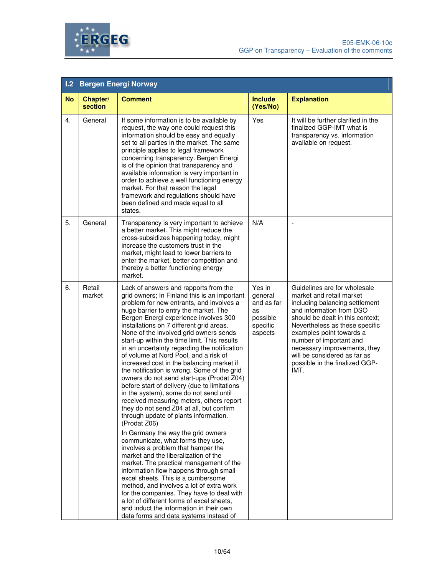

| 1.2       | <b>Bergen Energi Norway</b> |                                                                                                                                                                                                                                                                                                                                                                                                                                                                                                                                                                                                                                                                                                                                                                                                                                                                                                                                                                                                                                                                                                                                                                                                                                                                                                                                                       |                                                                          |                                                                                                                                                                                                                                                                                                                                                               |  |
|-----------|-----------------------------|-------------------------------------------------------------------------------------------------------------------------------------------------------------------------------------------------------------------------------------------------------------------------------------------------------------------------------------------------------------------------------------------------------------------------------------------------------------------------------------------------------------------------------------------------------------------------------------------------------------------------------------------------------------------------------------------------------------------------------------------------------------------------------------------------------------------------------------------------------------------------------------------------------------------------------------------------------------------------------------------------------------------------------------------------------------------------------------------------------------------------------------------------------------------------------------------------------------------------------------------------------------------------------------------------------------------------------------------------------|--------------------------------------------------------------------------|---------------------------------------------------------------------------------------------------------------------------------------------------------------------------------------------------------------------------------------------------------------------------------------------------------------------------------------------------------------|--|
| <b>No</b> | Chapter/<br>section         | <b>Comment</b>                                                                                                                                                                                                                                                                                                                                                                                                                                                                                                                                                                                                                                                                                                                                                                                                                                                                                                                                                                                                                                                                                                                                                                                                                                                                                                                                        | <b>Include</b><br>(Yes/No)                                               | <b>Explanation</b>                                                                                                                                                                                                                                                                                                                                            |  |
| 4.        | General                     | If some information is to be available by<br>request, the way one could request this<br>information should be easy and equally<br>set to all parties in the market. The same<br>principle applies to legal framework<br>concerning transparency. Bergen Energi<br>is of the opinion that transparency and<br>available information is very important in<br>order to achieve a well functioning energy<br>market. For that reason the legal<br>framework and regulations should have<br>been defined and made equal to all<br>states.                                                                                                                                                                                                                                                                                                                                                                                                                                                                                                                                                                                                                                                                                                                                                                                                                  | Yes                                                                      | It will be further clarified in the<br>finalized GGP-IMT what is<br>transparency vs. information<br>available on request.                                                                                                                                                                                                                                     |  |
| 5.        | General                     | Transparency is very important to achieve<br>a better market. This might reduce the<br>cross-subsidizes happening today, might<br>increase the customers trust in the<br>market, might lead to lower barriers to<br>enter the market, better competition and<br>thereby a better functioning energy<br>market.                                                                                                                                                                                                                                                                                                                                                                                                                                                                                                                                                                                                                                                                                                                                                                                                                                                                                                                                                                                                                                        | N/A                                                                      | L,                                                                                                                                                                                                                                                                                                                                                            |  |
| 6.        | Retail<br>market            | Lack of answers and rapports from the<br>grid owners; In Finland this is an important<br>problem for new entrants, and involves a<br>huge barrier to entry the market. The<br>Bergen Energi experience involves 300<br>installations on 7 different grid areas.<br>None of the involved grid owners sends<br>start-up within the time limit. This results<br>in an uncertainty regarding the notification<br>of volume at Nord Pool, and a risk of<br>increased cost in the balancing market if<br>the notification is wrong. Some of the grid<br>owners do not send start-ups (Prodat Z04)<br>before start of delivery (due to limitations<br>in the system), some do not send until<br>received measuring meters, others report<br>they do not send Z04 at all, but confirm<br>through update of plants information.<br>(Prodat Z06)<br>In Germany the way the grid owners<br>communicate, what forms they use,<br>involves a problem that hamper the<br>market and the liberalization of the<br>market. The practical management of the<br>information flow happens through small<br>excel sheets. This is a cumbersome<br>method, and involves a lot of extra work<br>for the companies. They have to deal with<br>a lot of different forms of excel sheets,<br>and induct the information in their own<br>data forms and data systems instead of | Yes in<br>general<br>and as far<br>as<br>possible<br>specific<br>aspects | Guidelines are for wholesale<br>market and retail market<br>including balancing settlement<br>and information from DSO<br>should be dealt in this context;<br>Nevertheless as these specific<br>examples point towards a<br>number of important and<br>necessary improvements, they<br>will be considered as far as<br>possible in the finalized GGP-<br>IMT. |  |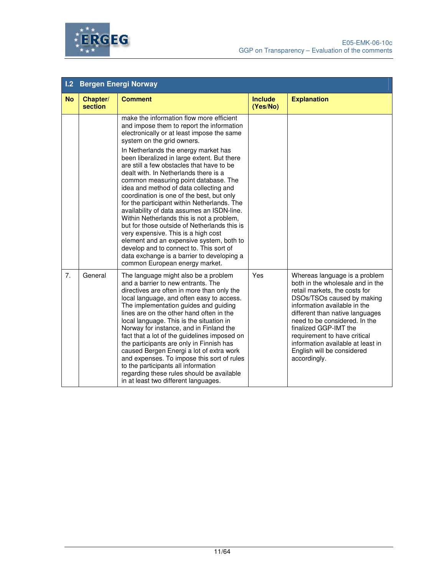

| 1.2       | <b>Bergen Energi Norway</b> |                                                                                                                                                                                                                                                                                                                                                                                                                                                                                                                                                                                                                                                                                                                                                                                                                                                                                       |                            |                                                                                                                                                                                                                                                                                                                                                                                  |  |
|-----------|-----------------------------|---------------------------------------------------------------------------------------------------------------------------------------------------------------------------------------------------------------------------------------------------------------------------------------------------------------------------------------------------------------------------------------------------------------------------------------------------------------------------------------------------------------------------------------------------------------------------------------------------------------------------------------------------------------------------------------------------------------------------------------------------------------------------------------------------------------------------------------------------------------------------------------|----------------------------|----------------------------------------------------------------------------------------------------------------------------------------------------------------------------------------------------------------------------------------------------------------------------------------------------------------------------------------------------------------------------------|--|
| <b>No</b> | Chapter/<br>section         | <b>Comment</b>                                                                                                                                                                                                                                                                                                                                                                                                                                                                                                                                                                                                                                                                                                                                                                                                                                                                        | <b>Include</b><br>(Yes/No) | <b>Explanation</b>                                                                                                                                                                                                                                                                                                                                                               |  |
|           |                             | make the information flow more efficient<br>and impose them to report the information<br>electronically or at least impose the same<br>system on the grid owners.<br>In Netherlands the energy market has<br>been liberalized in large extent. But there<br>are still a few obstacles that have to be<br>dealt with. In Netherlands there is a<br>common measuring point database. The<br>idea and method of data collecting and<br>coordination is one of the best, but only<br>for the participant within Netherlands. The<br>availability of data assumes an ISDN-line.<br>Within Netherlands this is not a problem,<br>but for those outside of Netherlands this is<br>very expensive. This is a high cost<br>element and an expensive system, both to<br>develop and to connect to. This sort of<br>data exchange is a barrier to developing a<br>common European energy market. |                            |                                                                                                                                                                                                                                                                                                                                                                                  |  |
| 7.        | General                     | The language might also be a problem<br>and a barrier to new entrants. The<br>directives are often in more than only the<br>local language, and often easy to access.<br>The implementation guides and guiding<br>lines are on the other hand often in the<br>local language. This is the situation in<br>Norway for instance, and in Finland the<br>fact that a lot of the guidelines imposed on<br>the participants are only in Finnish has<br>caused Bergen Energi a lot of extra work<br>and expenses. To impose this sort of rules<br>to the participants all information<br>regarding these rules should be available<br>in at least two different languages.                                                                                                                                                                                                                   | Yes                        | Whereas language is a problem<br>both in the wholesale and in the<br>retail markets, the costs for<br>DSOs/TSOs caused by making<br>information available in the<br>different than native languages<br>need to be considered. In the<br>finalized GGP-IMT the<br>requirement to have critical<br>information available at least in<br>English will be considered<br>accordingly. |  |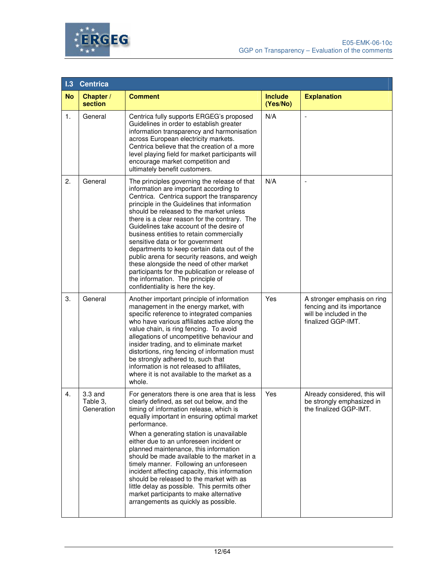



| 1.3       | <b>Centrica</b>                     |                                                                                                                                                                                                                                                                                                                                                                                                                                                                                                                                                                                                                                                                                     |                            |                                                                                                            |
|-----------|-------------------------------------|-------------------------------------------------------------------------------------------------------------------------------------------------------------------------------------------------------------------------------------------------------------------------------------------------------------------------------------------------------------------------------------------------------------------------------------------------------------------------------------------------------------------------------------------------------------------------------------------------------------------------------------------------------------------------------------|----------------------------|------------------------------------------------------------------------------------------------------------|
| <b>No</b> | Chapter /<br>section                | <b>Comment</b>                                                                                                                                                                                                                                                                                                                                                                                                                                                                                                                                                                                                                                                                      | <b>Include</b><br>(Yes/No) | <b>Explanation</b>                                                                                         |
| 1.        | General                             | Centrica fully supports ERGEG's proposed<br>Guidelines in order to establish greater<br>information transparency and harmonisation<br>across European electricity markets.<br>Centrica believe that the creation of a more<br>level playing field for market participants will<br>encourage market competition and<br>ultimately benefit customers.                                                                                                                                                                                                                                                                                                                                 | N/A                        |                                                                                                            |
| 2.        | General                             | The principles governing the release of that<br>information are important according to<br>Centrica. Centrica support the transparency<br>principle in the Guidelines that information<br>should be released to the market unless<br>there is a clear reason for the contrary. The<br>Guidelines take account of the desire of<br>business entities to retain commercially<br>sensitive data or for government<br>departments to keep certain data out of the<br>public arena for security reasons, and weigh<br>these alongside the need of other market<br>participants for the publication or release of<br>the information. The principle of<br>confidentiality is here the key. | N/A                        |                                                                                                            |
| 3.        | General                             | Another important principle of information<br>management in the energy market, with<br>specific reference to integrated companies<br>who have various affiliates active along the<br>value chain, is ring fencing. To avoid<br>allegations of uncompetitive behaviour and<br>insider trading, and to eliminate market<br>distortions, ring fencing of information must<br>be strongly adhered to, such that<br>information is not released to affiliates,<br>where it is not available to the market as a<br>whole.                                                                                                                                                                 | Yes                        | A stronger emphasis on ring<br>fencing and its importance<br>will be included in the<br>finalized GGP-IMT. |
| 4.        | $3.3$ and<br>Table 3,<br>Generation | For generators there is one area that is less<br>clearly defined, as set out below, and the<br>timing of information release, which is<br>equally important in ensuring optimal market<br>performance.<br>When a generating station is unavailable<br>either due to an unforeseen incident or<br>planned maintenance, this information<br>should be made available to the market in a<br>timely manner. Following an unforeseen<br>incident affecting capacity, this information<br>should be released to the market with as<br>little delay as possible. This permits other<br>market participants to make alternative<br>arrangements as quickly as possible.                     | Yes                        | Already considered, this will<br>be strongly emphasized in<br>the finalized GGP-IMT.                       |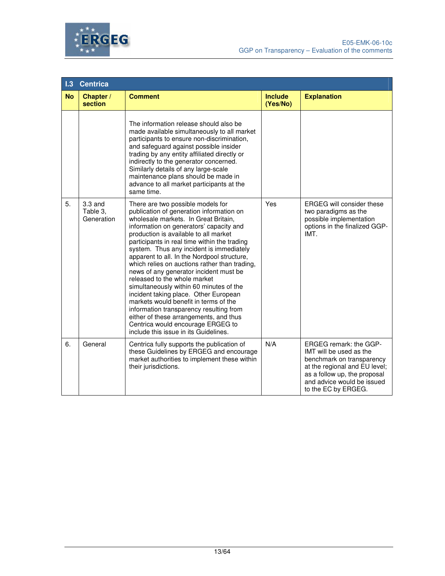



| 1.3       | <b>Centrica</b>                     |                                                                                                                                                                                                                                                                                                                                                                                                                                                                                                                                                                                                                                                                                                                                                                                 |                            |                                                                                                                                                                                                      |  |
|-----------|-------------------------------------|---------------------------------------------------------------------------------------------------------------------------------------------------------------------------------------------------------------------------------------------------------------------------------------------------------------------------------------------------------------------------------------------------------------------------------------------------------------------------------------------------------------------------------------------------------------------------------------------------------------------------------------------------------------------------------------------------------------------------------------------------------------------------------|----------------------------|------------------------------------------------------------------------------------------------------------------------------------------------------------------------------------------------------|--|
| <b>No</b> | Chapter /<br>section                | <b>Comment</b>                                                                                                                                                                                                                                                                                                                                                                                                                                                                                                                                                                                                                                                                                                                                                                  | <b>Include</b><br>(Yes/No) | <b>Explanation</b>                                                                                                                                                                                   |  |
|           |                                     | The information release should also be<br>made available simultaneously to all market<br>participants to ensure non-discrimination,<br>and safeguard against possible insider<br>trading by any entity affiliated directly or<br>indirectly to the generator concerned.<br>Similarly details of any large-scale<br>maintenance plans should be made in<br>advance to all market participants at the<br>same time.                                                                                                                                                                                                                                                                                                                                                               |                            |                                                                                                                                                                                                      |  |
| 5.        | $3.3$ and<br>Table 3,<br>Generation | There are two possible models for<br>publication of generation information on<br>wholesale markets. In Great Britain,<br>information on generators' capacity and<br>production is available to all market<br>participants in real time within the trading<br>system. Thus any incident is immediately<br>apparent to all. In the Nordpool structure,<br>which relies on auctions rather than trading,<br>news of any generator incident must be<br>released to the whole market<br>simultaneously within 60 minutes of the<br>incident taking place. Other European<br>markets would benefit in terms of the<br>information transparency resulting from<br>either of these arrangements, and thus<br>Centrica would encourage ERGEG to<br>include this issue in its Guidelines. | Yes                        | <b>ERGEG</b> will consider these<br>two paradigms as the<br>possible implementation<br>options in the finalized GGP-<br>IMT.                                                                         |  |
| 6.        | General                             | Centrica fully supports the publication of<br>these Guidelines by ERGEG and encourage<br>market authorities to implement these within<br>their jurisdictions.                                                                                                                                                                                                                                                                                                                                                                                                                                                                                                                                                                                                                   | N/A                        | ERGEG remark: the GGP-<br>IMT will be used as the<br>benchmark on transparency<br>at the regional and EU level;<br>as a follow up, the proposal<br>and advice would be issued<br>to the EC by ERGEG. |  |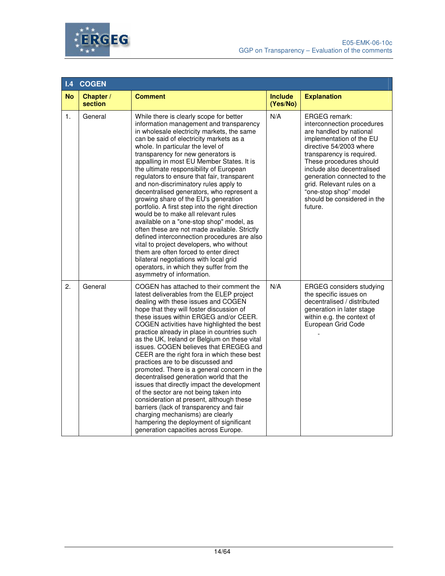

| .4             | <b>COGEN</b>         |                                                                                                                                                                                                                                                                                                                                                                                                                                                                                                                                                                                                                                                                                                                                                                                                                                                                                                                                                                           |                            |                                                                                                                                                                                                                                                                                                                                                           |
|----------------|----------------------|---------------------------------------------------------------------------------------------------------------------------------------------------------------------------------------------------------------------------------------------------------------------------------------------------------------------------------------------------------------------------------------------------------------------------------------------------------------------------------------------------------------------------------------------------------------------------------------------------------------------------------------------------------------------------------------------------------------------------------------------------------------------------------------------------------------------------------------------------------------------------------------------------------------------------------------------------------------------------|----------------------------|-----------------------------------------------------------------------------------------------------------------------------------------------------------------------------------------------------------------------------------------------------------------------------------------------------------------------------------------------------------|
| <b>No</b>      | Chapter /<br>section | <b>Comment</b>                                                                                                                                                                                                                                                                                                                                                                                                                                                                                                                                                                                                                                                                                                                                                                                                                                                                                                                                                            | <b>Include</b><br>(Yes/No) | <b>Explanation</b>                                                                                                                                                                                                                                                                                                                                        |
| $\mathbf{1}$ . | General              | While there is clearly scope for better<br>information management and transparency<br>in wholesale electricity markets, the same<br>can be said of electricity markets as a<br>whole. In particular the level of<br>transparency for new generators is<br>appalling in most EU Member States. It is<br>the ultimate responsibility of European<br>regulators to ensure that fair, transparent<br>and non-discriminatory rules apply to<br>decentralised generators, who represent a<br>growing share of the EU's generation<br>portfolio. A first step into the right direction<br>would be to make all relevant rules<br>available on a "one-stop shop" model, as<br>often these are not made available. Strictly<br>defined interconnection procedures are also<br>vital to project developers, who without<br>them are often forced to enter direct<br>bilateral negotiations with local grid<br>operators, in which they suffer from the<br>asymmetry of information. | N/A                        | <b>ERGEG</b> remark:<br>interconnection procedures<br>are handled by national<br>implementation of the EU<br>directive 54/2003 where<br>transparency is required.<br>These procedures should<br>include also decentralised<br>generation connected to the<br>grid. Relevant rules on a<br>"one-stop shop" model<br>should be considered in the<br>future. |
| 2.             | General              | COGEN has attached to their comment the<br>latest deliverables from the ELEP project<br>dealing with these issues and COGEN<br>hope that they will foster discussion of<br>these issues within ERGEG and/or CEER.<br>COGEN activities have highlighted the best<br>practice already in place in countries such<br>as the UK, Ireland or Belgium on these vital<br>issues. COGEN believes that EREGEG and<br>CEER are the right fora in which these best<br>practices are to be discussed and<br>promoted. There is a general concern in the<br>decentralised generation world that the<br>issues that directly impact the development<br>of the sector are not being taken into<br>consideration at present, although these<br>barriers (lack of transparency and fair<br>charging mechanisms) are clearly<br>hampering the deployment of significant<br>generation capacities across Europe.                                                                             | N/A                        | <b>ERGEG</b> considers studying<br>the specific issues on<br>decentralised / distributed<br>generation in later stage<br>within e.g. the context of<br>European Grid Code                                                                                                                                                                                 |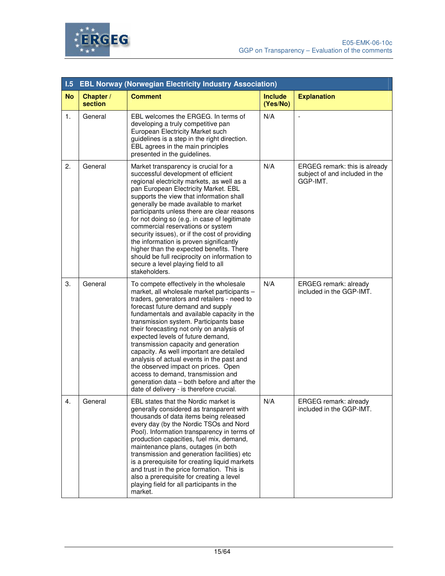

| 1.5       | <b>EBL Norway (Norwegian Electricity Industry Association)</b> |                                                                                                                                                                                                                                                                                                                                                                                                                                                                                                                                                                                                                                                               |                            |                                                                             |  |
|-----------|----------------------------------------------------------------|---------------------------------------------------------------------------------------------------------------------------------------------------------------------------------------------------------------------------------------------------------------------------------------------------------------------------------------------------------------------------------------------------------------------------------------------------------------------------------------------------------------------------------------------------------------------------------------------------------------------------------------------------------------|----------------------------|-----------------------------------------------------------------------------|--|
| <b>No</b> | Chapter /<br>section                                           | <b>Comment</b>                                                                                                                                                                                                                                                                                                                                                                                                                                                                                                                                                                                                                                                | <b>Include</b><br>(Yes/No) | <b>Explanation</b>                                                          |  |
| 1.        | General                                                        | EBL welcomes the ERGEG. In terms of<br>developing a truly competitive pan<br>European Electricity Market such<br>guidelines is a step in the right direction.<br>EBL agrees in the main principles<br>presented in the guidelines.                                                                                                                                                                                                                                                                                                                                                                                                                            | N/A                        | $\overline{\phantom{a}}$                                                    |  |
| 2.        | General                                                        | Market transparency is crucial for a<br>successful development of efficient<br>regional electricity markets, as well as a<br>pan European Electricity Market. EBL<br>supports the view that information shall<br>generally be made available to market<br>participants unless there are clear reasons<br>for not doing so (e.g. in case of legitimate<br>commercial reservations or system<br>security issues), or if the cost of providing<br>the information is proven significantly<br>higher than the expected benefits. There<br>should be full reciprocity on information to<br>secure a level playing field to all<br>stakeholders.                    | N/A                        | ERGEG remark: this is already<br>subject of and included in the<br>GGP-IMT. |  |
| 3.        | General                                                        | To compete effectively in the wholesale<br>market, all wholesale market participants -<br>traders, generators and retailers - need to<br>forecast future demand and supply<br>fundamentals and available capacity in the<br>transmission system. Participants base<br>their forecasting not only on analysis of<br>expected levels of future demand,<br>transmission capacity and generation<br>capacity. As well important are detailed<br>analysis of actual events in the past and<br>the observed impact on prices. Open<br>access to demand, transmission and<br>generation data - both before and after the<br>date of delivery - is therefore crucial. | N/A                        | ERGEG remark: already<br>included in the GGP-IMT.                           |  |
| 4.        | General                                                        | EBL states that the Nordic market is<br>generally considered as transparent with<br>thousands of data items being released<br>every day (by the Nordic TSOs and Nord<br>Pool). Information transparency in terms of<br>production capacities, fuel mix, demand,<br>maintenance plans, outages (in both<br>transmission and generation facilities) etc<br>is a prerequisite for creating liquid markets<br>and trust in the price formation. This is<br>also a prerequisite for creating a level<br>playing field for all participants in the<br>market.                                                                                                       | N/A                        | ERGEG remark: already<br>included in the GGP-IMT.                           |  |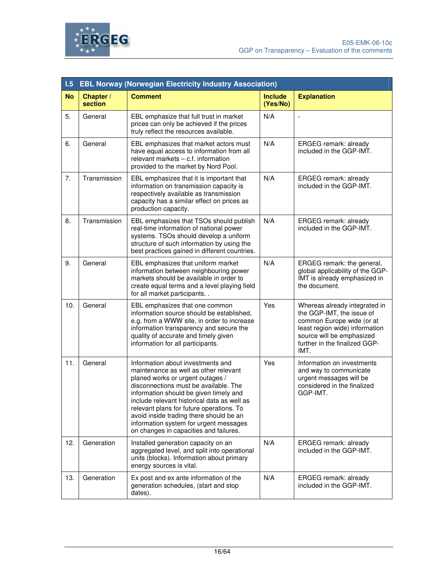

| 1.5       | <b>EBL Norway (Norwegian Electricity Industry Association)</b> |                                                                                                                                                                                                                                                                                                                                                                                                                             |                            |                                                                                                                                                                                                 |
|-----------|----------------------------------------------------------------|-----------------------------------------------------------------------------------------------------------------------------------------------------------------------------------------------------------------------------------------------------------------------------------------------------------------------------------------------------------------------------------------------------------------------------|----------------------------|-------------------------------------------------------------------------------------------------------------------------------------------------------------------------------------------------|
| <b>No</b> | Chapter /<br>section                                           | <b>Comment</b>                                                                                                                                                                                                                                                                                                                                                                                                              | <b>Include</b><br>(Yes/No) | <b>Explanation</b>                                                                                                                                                                              |
| 5.        | General                                                        | EBL emphasize that full trust in market<br>prices can only be achieved if the prices<br>truly reflect the resources available.                                                                                                                                                                                                                                                                                              | N/A                        | $\blacksquare$                                                                                                                                                                                  |
| 6.        | General                                                        | EBL emphasizes that market actors must<br>have equal access to information from all<br>relevant markets - c.f. information<br>provided to the market by Nord Pool.                                                                                                                                                                                                                                                          | N/A                        | ERGEG remark: already<br>included in the GGP-IMT.                                                                                                                                               |
| 7.        | Transmission                                                   | EBL emphasizes that it is important that<br>information on transmission capacity is<br>respectively available as transmission<br>capacity has a similar effect on prices as<br>production capacity.                                                                                                                                                                                                                         | N/A                        | ERGEG remark: already<br>included in the GGP-IMT.                                                                                                                                               |
| 8.        | Transmission                                                   | EBL emphasizes that TSOs should publish<br>real-time information of national power<br>systems. TSOs should develop a uniform<br>structure of such information by using the<br>best practices gained in different countries.                                                                                                                                                                                                 | N/A                        | ERGEG remark: already<br>included in the GGP-IMT.                                                                                                                                               |
| 9.        | General                                                        | EBL emphasizes that uniform market<br>information between neighbouring power<br>markets should be available in order to<br>create equal terms and a level playing field<br>for all market participants                                                                                                                                                                                                                      | N/A                        | ERGEG remark: the general,<br>global applicability of the GGP-<br>IMT is already emphasized in<br>the document.                                                                                 |
| 10.       | General                                                        | EBL emphasizes that one common<br>information source should be established,<br>e.g. from a WWW site, in order to increase<br>information transparency and secure the<br>quality of accurate and timely given<br>information for all participants.                                                                                                                                                                           | Yes                        | Whereas already integrated in<br>the GGP-IMT, the issue of<br>common Europe wide (or at<br>least region wide) information<br>source will be emphasized<br>further in the finalized GGP-<br>IMT. |
| 11.       | General                                                        | Information about investments and<br>maintenance as well as other relevant<br>planed works or urgent outages /<br>disconnections must be available. The<br>information should be given timely and<br>include relevant historical data as well as<br>relevant plans for future operations. To<br>avoid inside trading there should be an<br>information system for urgent messages<br>on changes in capacities and failures. | Yes                        | Information on investments<br>and way to communicate<br>urgent messages will be<br>considered in the finalized<br>GGP-IMT.                                                                      |
| 12.       | Generation                                                     | Installed generation capacity on an<br>aggregated level, and split into operational<br>units (blocks). Information about primary<br>energy sources is vital.                                                                                                                                                                                                                                                                | N/A                        | ERGEG remark: already<br>included in the GGP-IMT.                                                                                                                                               |
| 13.       | Generation                                                     | Ex post and ex ante information of the<br>generation schedules, (start and stop<br>dates).                                                                                                                                                                                                                                                                                                                                  | N/A                        | ERGEG remark: already<br>included in the GGP-IMT.                                                                                                                                               |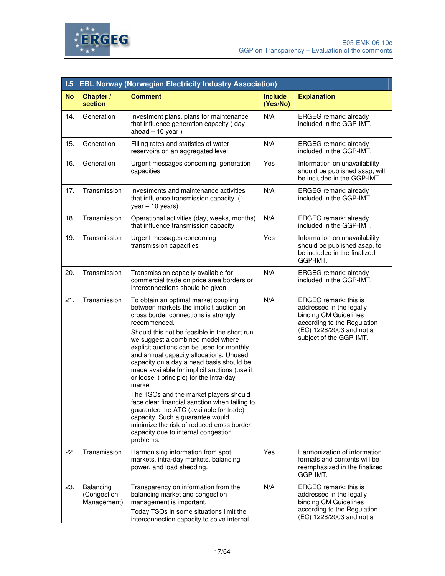

| 1.5       | <b>EBL Norway (Norwegian Electricity Industry Association)</b> |                                                                                                                                                                                                                                                                                                                                                                                                                                                                                                                                                                                                                                                                                                                                                   |                            |                                                                                                                                                                  |
|-----------|----------------------------------------------------------------|---------------------------------------------------------------------------------------------------------------------------------------------------------------------------------------------------------------------------------------------------------------------------------------------------------------------------------------------------------------------------------------------------------------------------------------------------------------------------------------------------------------------------------------------------------------------------------------------------------------------------------------------------------------------------------------------------------------------------------------------------|----------------------------|------------------------------------------------------------------------------------------------------------------------------------------------------------------|
| <b>No</b> | Chapter /<br>section                                           | <b>Comment</b>                                                                                                                                                                                                                                                                                                                                                                                                                                                                                                                                                                                                                                                                                                                                    | <b>Include</b><br>(Yes/No) | <b>Explanation</b>                                                                                                                                               |
| 14.       | Generation                                                     | Investment plans, plans for maintenance<br>that influence generation capacity (day<br>$ahead - 10 year)$                                                                                                                                                                                                                                                                                                                                                                                                                                                                                                                                                                                                                                          | N/A                        | ERGEG remark: already<br>included in the GGP-IMT.                                                                                                                |
| 15.       | Generation                                                     | Filling rates and statistics of water<br>reservoirs on an aggregated level                                                                                                                                                                                                                                                                                                                                                                                                                                                                                                                                                                                                                                                                        | N/A                        | ERGEG remark: already<br>included in the GGP-IMT.                                                                                                                |
| 16.       | Generation                                                     | Urgent messages concerning generation<br>capacities                                                                                                                                                                                                                                                                                                                                                                                                                                                                                                                                                                                                                                                                                               | Yes                        | Information on unavailability<br>should be published asap, will<br>be included in the GGP-IMT.                                                                   |
| 17.       | Transmission                                                   | Investments and maintenance activities<br>that influence transmission capacity (1<br>$year - 10 years)$                                                                                                                                                                                                                                                                                                                                                                                                                                                                                                                                                                                                                                           | N/A                        | ERGEG remark: already<br>included in the GGP-IMT.                                                                                                                |
| 18.       | Transmission                                                   | Operational activities (day, weeks, months)<br>that influence transmission capacity                                                                                                                                                                                                                                                                                                                                                                                                                                                                                                                                                                                                                                                               | N/A                        | ERGEG remark: already<br>included in the GGP-IMT.                                                                                                                |
| 19.       | Transmission                                                   | Urgent messages concerning<br>transmission capacities                                                                                                                                                                                                                                                                                                                                                                                                                                                                                                                                                                                                                                                                                             | Yes                        | Information on unavailability<br>should be published asap, to<br>be included in the finalized<br>GGP-IMT.                                                        |
| 20.       | Transmission                                                   | Transmission capacity available for<br>commercial trade on price area borders or<br>interconnections should be given.                                                                                                                                                                                                                                                                                                                                                                                                                                                                                                                                                                                                                             | N/A                        | ERGEG remark: already<br>included in the GGP-IMT.                                                                                                                |
| 21.       | Transmission                                                   | To obtain an optimal market coupling<br>between markets the implicit auction on<br>cross border connections is strongly<br>recommended.<br>Should this not be feasible in the short run<br>we suggest a combined model where<br>explicit auctions can be used for monthly<br>and annual capacity allocations. Unused<br>capacity on a day a head basis should be<br>made available for implicit auctions (use it<br>or loose it principle) for the intra-day<br>market<br>The TSOs and the market players should<br>face clear financial sanction when failing to<br>guarantee the ATC (available for trade)<br>capacity. Such a guarantee would<br>minimize the risk of reduced cross border<br>capacity due to internal congestion<br>problems. | N/A                        | ERGEG remark: this is<br>addressed in the legally<br>binding CM Guidelines<br>according to the Regulation<br>(EC) 1228/2003 and not a<br>subject of the GGP-IMT. |
| 22.       | Transmission                                                   | Harmonising information from spot<br>markets, intra-day markets, balancing<br>power, and load shedding.                                                                                                                                                                                                                                                                                                                                                                                                                                                                                                                                                                                                                                           | Yes                        | Harmonization of information<br>formats and contents will be<br>reemphasized in the finalized<br>GGP-IMT.                                                        |
| 23.       | Balancing<br>(Congestion<br>Management)                        | Transparency on information from the<br>balancing market and congestion<br>management is important.<br>Today TSOs in some situations limit the<br>interconnection capacity to solve internal                                                                                                                                                                                                                                                                                                                                                                                                                                                                                                                                                      | N/A                        | ERGEG remark: this is<br>addressed in the legally<br>binding CM Guidelines<br>according to the Regulation<br>(EC) 1228/2003 and not a                            |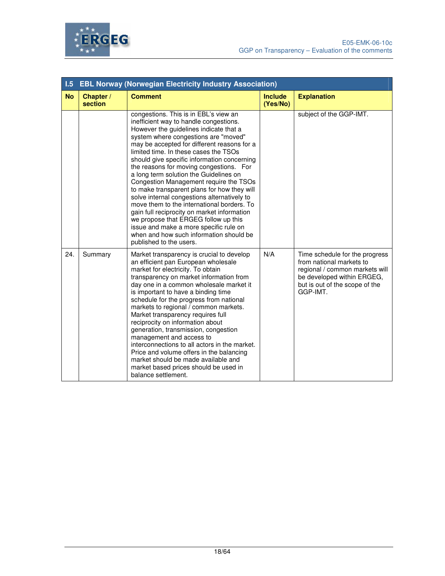

| 1.5       | <b>EBL Norway (Norwegian Electricity Industry Association)</b> |                                                                                                                                                                                                                                                                                                                                                                                                                                                                                                                                                                                                                                                                                                                                                                                            |                            |                                                                                                                                                                          |  |
|-----------|----------------------------------------------------------------|--------------------------------------------------------------------------------------------------------------------------------------------------------------------------------------------------------------------------------------------------------------------------------------------------------------------------------------------------------------------------------------------------------------------------------------------------------------------------------------------------------------------------------------------------------------------------------------------------------------------------------------------------------------------------------------------------------------------------------------------------------------------------------------------|----------------------------|--------------------------------------------------------------------------------------------------------------------------------------------------------------------------|--|
| <b>No</b> | Chapter /<br>section                                           | <b>Comment</b>                                                                                                                                                                                                                                                                                                                                                                                                                                                                                                                                                                                                                                                                                                                                                                             | <b>Include</b><br>(Yes/No) | <b>Explanation</b>                                                                                                                                                       |  |
|           |                                                                | congestions. This is in EBL's view an<br>inefficient way to handle congestions.<br>However the guidelines indicate that a<br>system where congestions are "moved"<br>may be accepted for different reasons for a<br>limited time. In these cases the TSOs<br>should give specific information concerning<br>the reasons for moving congestions. For<br>a long term solution the Guidelines on<br>Congestion Management require the TSOs<br>to make transparent plans for how they will<br>solve internal congestions alternatively to<br>move them to the international borders. To<br>gain full reciprocity on market information<br>we propose that ERGEG follow up this<br>issue and make a more specific rule on<br>when and how such information should be<br>published to the users. |                            | subject of the GGP-IMT.                                                                                                                                                  |  |
| 24.       | Summary                                                        | Market transparency is crucial to develop<br>an efficient pan European wholesale<br>market for electricity. To obtain<br>transparency on market information from<br>day one in a common wholesale market it<br>is important to have a binding time<br>schedule for the progress from national<br>markets to regional / common markets.<br>Market transparency requires full<br>reciprocity on information about<br>generation, transmission, congestion<br>management and access to<br>interconnections to all actors in the market.<br>Price and volume offers in the balancing<br>market should be made available and<br>market based prices should be used in<br>balance settlement.                                                                                                    | N/A                        | Time schedule for the progress<br>from national markets to<br>regional / common markets will<br>be developed within ERGEG,<br>but is out of the scope of the<br>GGP-IMT. |  |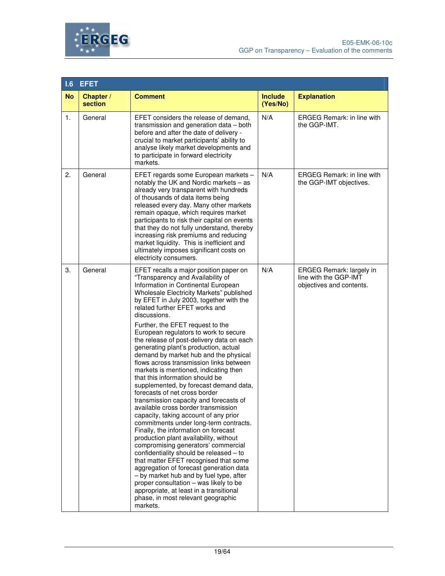



| 1.6       | <b>EFET</b>          |                                                                                                                                                                                                                                                                                                                                                                                                                                                                                                                                                                                                                                                                                                                                                                                                                                                                                                                                                                                                                                                                                                                                                                                                                                                                                         |                            |                                                                                      |
|-----------|----------------------|-----------------------------------------------------------------------------------------------------------------------------------------------------------------------------------------------------------------------------------------------------------------------------------------------------------------------------------------------------------------------------------------------------------------------------------------------------------------------------------------------------------------------------------------------------------------------------------------------------------------------------------------------------------------------------------------------------------------------------------------------------------------------------------------------------------------------------------------------------------------------------------------------------------------------------------------------------------------------------------------------------------------------------------------------------------------------------------------------------------------------------------------------------------------------------------------------------------------------------------------------------------------------------------------|----------------------------|--------------------------------------------------------------------------------------|
| <b>No</b> | Chapter /<br>section | <b>Comment</b>                                                                                                                                                                                                                                                                                                                                                                                                                                                                                                                                                                                                                                                                                                                                                                                                                                                                                                                                                                                                                                                                                                                                                                                                                                                                          | <b>Include</b><br>(Yes/No) | <b>Explanation</b>                                                                   |
| 1.        | General              | EFET considers the release of demand,<br>transmission and generation data - both<br>before and after the date of delivery -<br>crucial to market participants' ability to<br>analyse likely market developments and<br>to participate in forward electricity<br>markets.                                                                                                                                                                                                                                                                                                                                                                                                                                                                                                                                                                                                                                                                                                                                                                                                                                                                                                                                                                                                                | N/A                        | <b>ERGEG Remark: in line with</b><br>the GGP-IMT.                                    |
| 2.        | General              | EFET regards some European markets -<br>notably the UK and Nordic markets - as<br>already very transparent with hundreds<br>of thousands of data items being<br>released every day. Many other markets<br>remain opaque, which requires market<br>participants to risk their capital on events<br>that they do not fully understand, thereby<br>increasing risk premiums and reducing<br>market liquidity. This is inefficient and<br>ultimately imposes significant costs on<br>electricity consumers.                                                                                                                                                                                                                                                                                                                                                                                                                                                                                                                                                                                                                                                                                                                                                                                 | N/A                        | <b>ERGEG Remark: in line with</b><br>the GGP-IMT objectives.                         |
| З.        | General              | EFET recalls a major position paper on<br>"Transparency and Availability of<br>Information in Continental European<br>Wholesale Electricity Markets" published<br>by EFET in July 2003, together with the<br>related further EFET works and<br>discussions.<br>Further, the EFET request to the<br>European regulators to work to secure<br>the release of post-delivery data on each<br>generating plant's production, actual<br>demand by market hub and the physical<br>flows across transmission links between<br>markets is mentioned, indicating then<br>that this information should be<br>supplemented, by forecast demand data,<br>forecasts of net cross border<br>transmission capacity and forecasts of<br>available cross border transmission<br>capacity, taking account of any prior<br>commitments under long-term contracts.<br>Finally, the information on forecast<br>production plant availability, without<br>compromising generators' commercial<br>confidentiality should be released - to<br>that matter EFET recognised that some<br>aggregation of forecast generation data<br>- by market hub and by fuel type, after<br>proper consultation - was likely to be<br>appropriate, at least in a transitional<br>phase, in most relevant geographic<br>markets. | N/A                        | <b>ERGEG Remark: largely in</b><br>line with the GGP-IMT<br>objectives and contents. |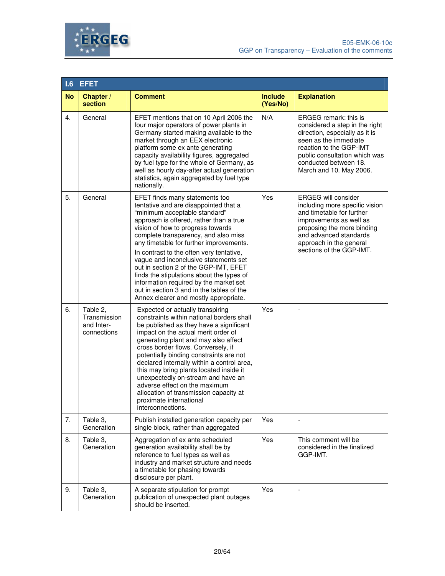



| 1.6       | <b>EFET</b>                                           |                                                                                                                                                                                                                                                                                                                                                                                                                                                                                                                                                                                        |                            |                                                                                                                                                                                                                                     |
|-----------|-------------------------------------------------------|----------------------------------------------------------------------------------------------------------------------------------------------------------------------------------------------------------------------------------------------------------------------------------------------------------------------------------------------------------------------------------------------------------------------------------------------------------------------------------------------------------------------------------------------------------------------------------------|----------------------------|-------------------------------------------------------------------------------------------------------------------------------------------------------------------------------------------------------------------------------------|
| <b>No</b> | Chapter /<br>section                                  | <b>Comment</b>                                                                                                                                                                                                                                                                                                                                                                                                                                                                                                                                                                         | <b>Include</b><br>(Yes/No) | <b>Explanation</b>                                                                                                                                                                                                                  |
| 4.        | General                                               | EFET mentions that on 10 April 2006 the<br>four major operators of power plants in<br>Germany started making available to the<br>market through an EEX electronic<br>platform some ex ante generating<br>capacity availability figures, aggregated<br>by fuel type for the whole of Germany, as<br>well as hourly day-after actual generation<br>statistics, again aggregated by fuel type<br>nationally.                                                                                                                                                                              | N/A                        | ERGEG remark: this is<br>considered a step in the right<br>direction, especially as it is<br>seen as the immediate<br>reaction to the GGP-IMT<br>public consultation which was<br>conducted between 18.<br>March and 10. May 2006.  |
| 5.        | General                                               | EFET finds many statements too<br>tentative and are disappointed that a<br>"minimum acceptable standard"<br>approach is offered, rather than a true<br>vision of how to progress towards<br>complete transparency, and also miss<br>any timetable for further improvements.<br>In contrast to the often very tentative,<br>vague and inconclusive statements set<br>out in section 2 of the GGP-IMT, EFET<br>finds the stipulations about the types of<br>information required by the market set<br>out in section 3 and in the tables of the<br>Annex clearer and mostly appropriate. | Yes                        | <b>ERGEG will consider</b><br>including more specific vision<br>and timetable for further<br>improvements as well as<br>proposing the more binding<br>and advanced standards<br>approach in the general<br>sections of the GGP-IMT. |
| 6.        | Table 2,<br>Transmission<br>and Inter-<br>connections | Expected or actually transpiring<br>constraints within national borders shall<br>be published as they have a significant<br>impact on the actual merit order of<br>generating plant and may also affect<br>cross border flows. Conversely, if<br>potentially binding constraints are not<br>declared internally within a control area,<br>this may bring plants located inside it<br>unexpectedly on-stream and have an<br>adverse effect on the maximum<br>allocation of transmission capacity at<br>proximate international<br>interconnections.                                     | Yes                        |                                                                                                                                                                                                                                     |
| 7.        | Table 3,<br>Generation                                | Publish installed generation capacity per<br>single block, rather than aggregated                                                                                                                                                                                                                                                                                                                                                                                                                                                                                                      | Yes                        |                                                                                                                                                                                                                                     |
| 8.        | Table 3,<br>Generation                                | Aggregation of ex ante scheduled<br>generation availability shall be by<br>reference to fuel types as well as<br>industry and market structure and needs<br>a timetable for phasing towards<br>disclosure per plant.                                                                                                                                                                                                                                                                                                                                                                   | Yes                        | This comment will be<br>considered in the finalized<br>GGP-IMT.                                                                                                                                                                     |
| 9.        | Table 3,<br>Generation                                | A separate stipulation for prompt<br>publication of unexpected plant outages<br>should be inserted.                                                                                                                                                                                                                                                                                                                                                                                                                                                                                    | Yes                        |                                                                                                                                                                                                                                     |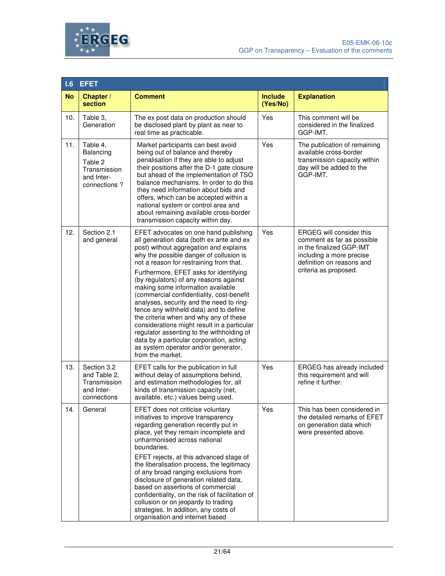

| 1.6       | <b>EFET</b>                                                                    |                                                                                                                                                                                                                                                                                                                                                                                                                                                                                                                                                                                                                                                                                                                             |                            |                                                                                                                                                                             |  |
|-----------|--------------------------------------------------------------------------------|-----------------------------------------------------------------------------------------------------------------------------------------------------------------------------------------------------------------------------------------------------------------------------------------------------------------------------------------------------------------------------------------------------------------------------------------------------------------------------------------------------------------------------------------------------------------------------------------------------------------------------------------------------------------------------------------------------------------------------|----------------------------|-----------------------------------------------------------------------------------------------------------------------------------------------------------------------------|--|
| <b>No</b> | Chapter /<br>section                                                           | <b>Comment</b>                                                                                                                                                                                                                                                                                                                                                                                                                                                                                                                                                                                                                                                                                                              | <b>Include</b><br>(Yes/No) | <b>Explanation</b>                                                                                                                                                          |  |
| 10.       | Table 3,<br>Generation                                                         | The ex post data on production should<br>be disclosed plant by plant as near to<br>real time as practicable.                                                                                                                                                                                                                                                                                                                                                                                                                                                                                                                                                                                                                | Yes                        | This comment will be<br>considered in the finalized<br>GGP-IMT.                                                                                                             |  |
| 11.       | Table 4,<br>Balancing<br>Table 2<br>Transmission<br>and Inter-<br>connections? | Market participants can best avoid<br>being out of balance and thereby<br>penalisation if they are able to adjust<br>their positions after the D-1 gate closure<br>but ahead of the implementation of TSO<br>balance mechanisms. In order to do this<br>they need information about bids and<br>offers, which can be accepted within a<br>national system or control area and<br>about remaining available cross-border<br>transmission capacity within day.                                                                                                                                                                                                                                                                | Yes                        | The publication of remaining<br>available cross-border<br>transmission capacity within<br>day will be added to the<br>GGP-IMT.                                              |  |
| 12.       | Section 2.1<br>and general                                                     | EFET advocates on one hand publishing<br>all generation data (both ex ante and ex<br>post) without aggregation and explains<br>why the possible danger of collusion is<br>not a reason for restraining from that.<br>Furthermore, EFET asks for identifying<br>(by regulators) of any reasons against<br>making some information available<br>(commercial confidentiality, cost-benefit<br>analyses, security and the need to ring-<br>fence any withheld data) and to define<br>the criteria when and why any of these<br>considerations might result in a particular<br>regulator assenting to the withholding of<br>data by a particular corporation, acting<br>as system operator and/or generator,<br>from the market. | Yes                        | <b>ERGEG will consider this</b><br>comment as far as possible<br>in the finalized GGP-IMT<br>including a more precise<br>definition on reasons and<br>criteria as proposed. |  |
| 13.       | Section 3.2<br>and Table 2,<br>Transmission<br>and Inter-<br>connections       | EFET calls for the publication in full<br>without delay of assumptions behind,<br>and estimation methodologies for, all<br>kinds of transmission capacity (net,<br>available, etc.) values being used.                                                                                                                                                                                                                                                                                                                                                                                                                                                                                                                      | Yes                        | ERGEG has already included<br>this requirement and will<br>refine it further.                                                                                               |  |
| 14.       | General                                                                        | EFET does not criticise voluntary<br>initiatives to improve transparency<br>regarding generation recently put in<br>place, yet they remain incomplete and<br>unharmonised across national<br>boundaries.<br>EFET rejects, at this advanced stage of<br>the liberalisation process, the legitimacy<br>of any broad ranging exclusions from<br>disclosure of generation related data,<br>based on assertions of commercial<br>confidentiality, on the risk of facilitation of<br>collusion or on jeopardy to trading<br>strategies. In addition, any costs of<br>organisation and internet based                                                                                                                              | Yes                        | This has been considered in<br>the detailed remarks of EFET<br>on generation data which<br>were presented above.                                                            |  |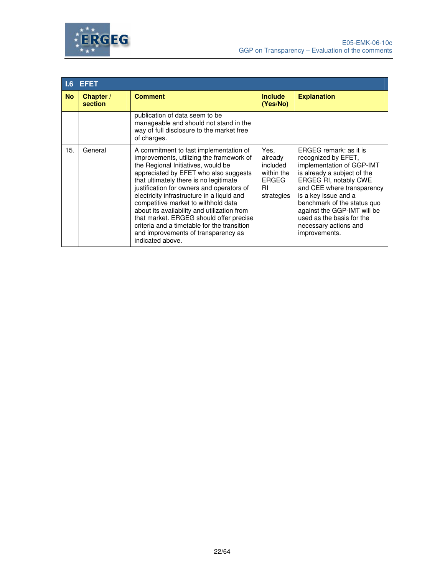



| 1.6 <sup>1</sup> | <b>EFET</b>          |                                                                                                                                                                                                                                                                                                                                                                                                                                                                                                                                                   |                                                                        |                                                                                                                                                                                                                                                                                                                               |
|------------------|----------------------|---------------------------------------------------------------------------------------------------------------------------------------------------------------------------------------------------------------------------------------------------------------------------------------------------------------------------------------------------------------------------------------------------------------------------------------------------------------------------------------------------------------------------------------------------|------------------------------------------------------------------------|-------------------------------------------------------------------------------------------------------------------------------------------------------------------------------------------------------------------------------------------------------------------------------------------------------------------------------|
| <b>No</b>        | Chapter /<br>section | <b>Comment</b>                                                                                                                                                                                                                                                                                                                                                                                                                                                                                                                                    | <b>Include</b><br>(Yes/No)                                             | <b>Explanation</b>                                                                                                                                                                                                                                                                                                            |
|                  |                      | publication of data seem to be<br>manageable and should not stand in the<br>way of full disclosure to the market free<br>of charges.                                                                                                                                                                                                                                                                                                                                                                                                              |                                                                        |                                                                                                                                                                                                                                                                                                                               |
| 15.              | General              | A commitment to fast implementation of<br>improvements, utilizing the framework of<br>the Regional Initiatives, would be<br>appreciated by EFET who also suggests<br>that ultimately there is no legitimate<br>justification for owners and operators of<br>electricity infrastructure in a liquid and<br>competitive market to withhold data<br>about its availability and utilization from<br>that market. ERGEG should offer precise<br>criteria and a timetable for the transition<br>and improvements of transparency as<br>indicated above. | Yes.<br>already<br>included<br>within the<br>ERGEG<br>RI<br>strategies | ERGEG remark: as it is<br>recognized by EFET,<br>implementation of GGP-IMT<br>is already a subject of the<br>ERGEG RI, notably CWE<br>and CEE where transparency<br>is a key issue and a<br>benchmark of the status quo<br>against the GGP-IMT will be<br>used as the basis for the<br>necessary actions and<br>improvements. |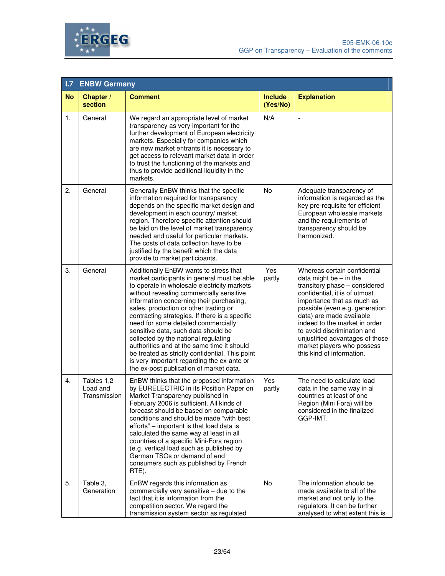



| 1.7       | <b>ENBW Germany</b>                    |                                                                                                                                                                                                                                                                                                                                                                                                                                                                                                                                                                                                                                         |                            |                                                                                                                                                                                                                                                                                                                                                                                      |  |
|-----------|----------------------------------------|-----------------------------------------------------------------------------------------------------------------------------------------------------------------------------------------------------------------------------------------------------------------------------------------------------------------------------------------------------------------------------------------------------------------------------------------------------------------------------------------------------------------------------------------------------------------------------------------------------------------------------------------|----------------------------|--------------------------------------------------------------------------------------------------------------------------------------------------------------------------------------------------------------------------------------------------------------------------------------------------------------------------------------------------------------------------------------|--|
| <b>No</b> | Chapter /<br>section                   | <b>Comment</b>                                                                                                                                                                                                                                                                                                                                                                                                                                                                                                                                                                                                                          | <b>Include</b><br>(Yes/No) | <b>Explanation</b>                                                                                                                                                                                                                                                                                                                                                                   |  |
| 1.        | General                                | We regard an appropriate level of market<br>transparency as very important for the<br>further development of European electricity<br>markets. Especially for companies which<br>are new market entrants it is necessary to<br>get access to relevant market data in order<br>to trust the functioning of the markets and<br>thus to provide additional liquidity in the<br>markets.                                                                                                                                                                                                                                                     | N/A                        |                                                                                                                                                                                                                                                                                                                                                                                      |  |
| 2.        | General                                | Generally EnBW thinks that the specific<br>information required for transparency<br>depends on the specific market design and<br>development in each country/ market<br>region. Therefore specific attention should<br>be laid on the level of market transparency<br>needed and useful for particular markets.<br>The costs of data collection have to be<br>justified by the benefit which the data<br>provide to market participants.                                                                                                                                                                                                | No                         | Adequate transparency of<br>information is regarded as the<br>key pre-requisite for efficient<br>European wholesale markets<br>and the requirements of<br>transparency should be<br>harmonized.                                                                                                                                                                                      |  |
| 3.        | General                                | Additionally EnBW wants to stress that<br>market participants in general must be able<br>to operate in wholesale electricity markets<br>without revealing commercially sensitive<br>information concerning their purchasing,<br>sales, production or other trading or<br>contracting strategies. If there is a specific<br>need for some detailed commercially<br>sensitive data, such data should be<br>collected by the national regulating<br>authorities and at the same time it should<br>be treated as strictly confidential. This point<br>is very important regarding the ex-ante or<br>the ex-post publication of market data. | Yes<br>partly              | Whereas certain confidential<br>data might be $-$ in the<br>transitory phase - considered<br>confidential, it is of utmost<br>importance that as much as<br>possible (even e.g. generation<br>data) are made available<br>indeed to the market in order<br>to avoid discrimination and<br>unjustified advantages of those<br>market players who possess<br>this kind of information. |  |
| 4.        | Tables 1,2<br>Load and<br>Transmission | EnBW thinks that the proposed information<br>by EURELECTRIC in its Position Paper on<br>Market Transparency published in<br>February 2006 is sufficient. All kinds of<br>forecast should be based on comparable<br>conditions and should be made "with best<br>efforts" – important is that load data is<br>calculated the same way at least in all<br>countries of a specific Mini-Fora region<br>(e.g. vertical load such as published by<br>German TSOs or demand of end<br>consumers such as published by French<br>RTE).                                                                                                           | Yes<br>partly              | The need to calculate load<br>data in the same way in al<br>countries at least of one<br>Region (Mini Fora) will be<br>considered in the finalized<br>GGP-IMT.                                                                                                                                                                                                                       |  |
| 5.        | Table 3,<br>Generation                 | EnBW regards this information as<br>commercially very sensitive - due to the<br>fact that it is information from the<br>competition sector. We regard the<br>transmission system sector as regulated                                                                                                                                                                                                                                                                                                                                                                                                                                    | <b>No</b>                  | The information should be<br>made available to all of the<br>market and not only to the<br>regulators. It can be further<br>analysed to what extent this is                                                                                                                                                                                                                          |  |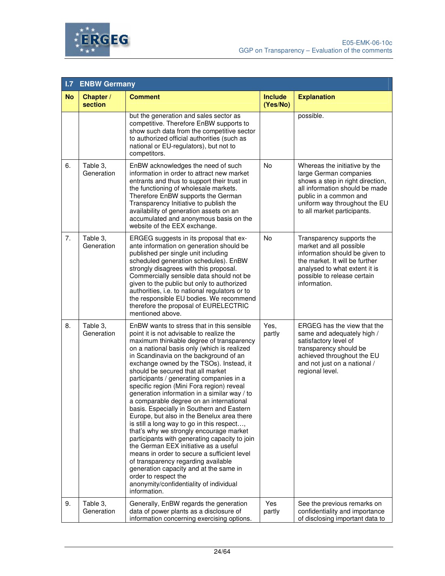



| 1.7 <sub>z</sub> | <b>ENBW Germany</b>    |                                                                                                                                                                                                                                                                                                                                                                                                                                                                                                                                                                                                                                                                                                                                                                                                                                                                                                                                                                                                   |                            |                                                                                                                                                                                                                         |  |
|------------------|------------------------|---------------------------------------------------------------------------------------------------------------------------------------------------------------------------------------------------------------------------------------------------------------------------------------------------------------------------------------------------------------------------------------------------------------------------------------------------------------------------------------------------------------------------------------------------------------------------------------------------------------------------------------------------------------------------------------------------------------------------------------------------------------------------------------------------------------------------------------------------------------------------------------------------------------------------------------------------------------------------------------------------|----------------------------|-------------------------------------------------------------------------------------------------------------------------------------------------------------------------------------------------------------------------|--|
| <b>No</b>        | Chapter /<br>section   | <b>Comment</b>                                                                                                                                                                                                                                                                                                                                                                                                                                                                                                                                                                                                                                                                                                                                                                                                                                                                                                                                                                                    | <b>Include</b><br>(Yes/No) | <b>Explanation</b>                                                                                                                                                                                                      |  |
|                  |                        | but the generation and sales sector as<br>competitive. Therefore EnBW supports to<br>show such data from the competitive sector<br>to authorized official authorities (such as<br>national or EU-regulators), but not to<br>competitors.                                                                                                                                                                                                                                                                                                                                                                                                                                                                                                                                                                                                                                                                                                                                                          |                            | possible.                                                                                                                                                                                                               |  |
| 6.               | Table 3,<br>Generation | EnBW acknowledges the need of such<br>information in order to attract new market<br>entrants and thus to support their trust in<br>the functioning of wholesale markets.<br>Therefore EnBW supports the German<br>Transparency Initiative to publish the<br>availability of generation assets on an<br>accumulated and anonymous basis on the<br>website of the EEX exchange.                                                                                                                                                                                                                                                                                                                                                                                                                                                                                                                                                                                                                     | No                         | Whereas the initiative by the<br>large German companies<br>shows a step in right direction,<br>all information should be made<br>public in a common and<br>uniform way throughout the EU<br>to all market participants. |  |
| 7.               | Table 3,<br>Generation | ERGEG suggests in its proposal that ex-<br>ante information on generation should be<br>published per single unit including<br>scheduled generation schedules). EnBW<br>strongly disagrees with this proposal.<br>Commercially sensible data should not be<br>given to the public but only to authorized<br>authorities, i.e. to national regulators or to<br>the responsible EU bodies. We recommend<br>therefore the proposal of EURELECTRIC<br>mentioned above.                                                                                                                                                                                                                                                                                                                                                                                                                                                                                                                                 | No                         | Transparency supports the<br>market and all possible<br>information should be given to<br>the market. It will be further<br>analysed to what extent it is<br>possible to release certain<br>information.                |  |
| 8.               | Table 3,<br>Generation | EnBW wants to stress that in this sensible<br>point it is not advisable to realize the<br>maximum thinkable degree of transparency<br>on a national basis only (which is realized<br>in Scandinavia on the background of an<br>exchange owned by the TSOs). Instead, it<br>should be secured that all market<br>participants / generating companies in a<br>specific region (Mini Fora region) reveal<br>generation information in a similar way / to<br>a comparable degree on an international<br>basis. Especially in Southern and Eastern<br>Europe, but also in the Benelux area there<br>is still a long way to go in this respect,<br>that's why we strongly encourage market<br>participants with generating capacity to join<br>the German EEX initiative as a useful<br>means in order to secure a sufficient level<br>of transparency regarding available<br>generation capacity and at the same in<br>order to respect the<br>anonymity/confidentiality of individual<br>information. | Yes,<br>partly             | ERGEG has the view that the<br>same and adequately high /<br>satisfactory level of<br>transparency should be<br>achieved throughout the EU<br>and not just on a national /<br>regional level.                           |  |
| 9.               | Table 3,<br>Generation | Generally, EnBW regards the generation<br>data of power plants as a disclosure of<br>information concerning exercising options.                                                                                                                                                                                                                                                                                                                                                                                                                                                                                                                                                                                                                                                                                                                                                                                                                                                                   | Yes<br>partly              | See the previous remarks on<br>confidentiality and importance<br>of disclosing important data to                                                                                                                        |  |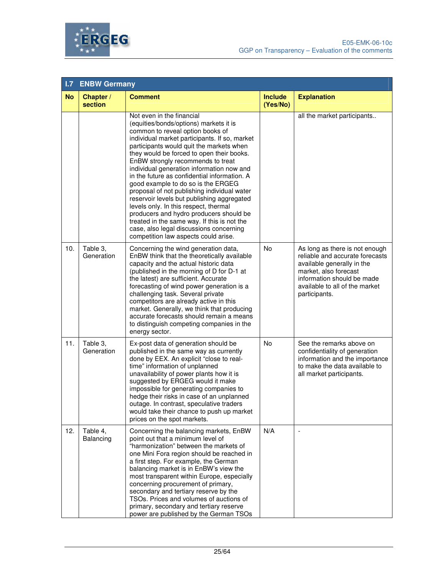



| 1.7       | <b>ENBW Germany</b>    |                                                                                                                                                                                                                                                                                                                                                                                                                                                                                                                                                                                                                                                                                                                                              |                            |                                                                                                                                                                                                           |  |
|-----------|------------------------|----------------------------------------------------------------------------------------------------------------------------------------------------------------------------------------------------------------------------------------------------------------------------------------------------------------------------------------------------------------------------------------------------------------------------------------------------------------------------------------------------------------------------------------------------------------------------------------------------------------------------------------------------------------------------------------------------------------------------------------------|----------------------------|-----------------------------------------------------------------------------------------------------------------------------------------------------------------------------------------------------------|--|
| <b>No</b> | Chapter /<br>section   | <b>Comment</b>                                                                                                                                                                                                                                                                                                                                                                                                                                                                                                                                                                                                                                                                                                                               | <b>Include</b><br>(Yes/No) | <b>Explanation</b>                                                                                                                                                                                        |  |
|           |                        | Not even in the financial<br>(equities/bonds/options) markets it is<br>common to reveal option books of<br>individual market participants. If so, market<br>participants would quit the markets when<br>they would be forced to open their books.<br>EnBW strongly recommends to treat<br>individual generation information now and<br>in the future as confidential information. A<br>good example to do so is the ERGEG<br>proposal of not publishing individual water<br>reservoir levels but publishing aggregated<br>levels only. In this respect, thermal<br>producers and hydro producers should be<br>treated in the same way. If this is not the<br>case, also legal discussions concerning<br>competition law aspects could arise. |                            | all the market participants                                                                                                                                                                               |  |
| 10.       | Table 3,<br>Generation | Concerning the wind generation data,<br>EnBW think that the theoretically available<br>capacity and the actual historic data<br>(published in the morning of D for D-1 at<br>the latest) are sufficient. Accurate<br>forecasting of wind power generation is a<br>challenging task. Several private<br>competitors are already active in this<br>market. Generally, we think that producing<br>accurate forecasts should remain a means<br>to distinguish competing companies in the<br>energy sector.                                                                                                                                                                                                                                       | No                         | As long as there is not enough<br>reliable and accurate forecasts<br>available generally in the<br>market, also forecast<br>information should be made<br>available to all of the market<br>participants. |  |
| 11.       | Table 3,<br>Generation | Ex-post data of generation should be<br>published in the same way as currently<br>done by EEX. An explicit "close to real-<br>time" information of unplanned<br>unavailability of power plants how it is<br>suggested by ERGEG would it make<br>impossible for generating companies to<br>hedge their risks in case of an unplanned<br>outage. In contrast, speculative traders<br>would take their chance to push up market<br>prices on the spot markets.                                                                                                                                                                                                                                                                                  | No                         | See the remarks above on<br>confidentiality of generation<br>information and the importance<br>to make the data available to<br>all market participants.                                                  |  |
| 12.       | Table 4,<br>Balancing  | Concerning the balancing markets, EnBW<br>point out that a minimum level of<br>"harmonization" between the markets of<br>one Mini Fora region should be reached in<br>a first step. For example, the German<br>balancing market is in EnBW's view the<br>most transparent within Europe, especially<br>concerning procurement of primary,<br>secondary and tertiary reserve by the<br>TSOs. Prices and volumes of auctions of<br>primary, secondary and tertiary reserve<br>power are published by the German TSOs                                                                                                                                                                                                                           | N/A                        | $\overline{\phantom{a}}$                                                                                                                                                                                  |  |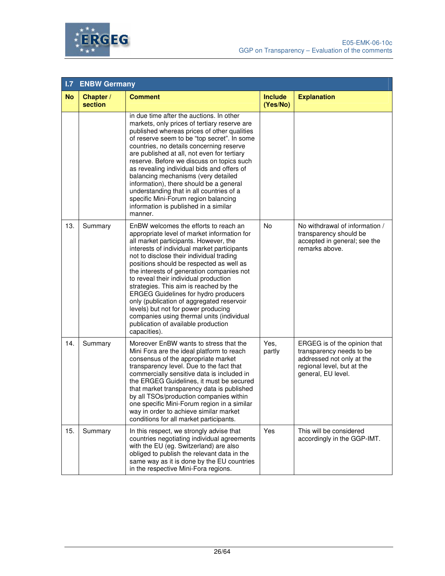



| 1.7       | <b>ENBW Germany</b>  |                                                                                                                                                                                                                                                                                                                                                                                                                                                                                                                                                                                                                                             |                            |                                                                                                                                           |  |
|-----------|----------------------|---------------------------------------------------------------------------------------------------------------------------------------------------------------------------------------------------------------------------------------------------------------------------------------------------------------------------------------------------------------------------------------------------------------------------------------------------------------------------------------------------------------------------------------------------------------------------------------------------------------------------------------------|----------------------------|-------------------------------------------------------------------------------------------------------------------------------------------|--|
| <b>No</b> | Chapter /<br>section | <b>Comment</b>                                                                                                                                                                                                                                                                                                                                                                                                                                                                                                                                                                                                                              | <b>Include</b><br>(Yes/No) | <b>Explanation</b>                                                                                                                        |  |
|           |                      | in due time after the auctions. In other<br>markets, only prices of tertiary reserve are<br>published whereas prices of other qualities<br>of reserve seem to be "top secret". In some<br>countries, no details concerning reserve<br>are published at all, not even for tertiary<br>reserve. Before we discuss on topics such<br>as revealing individual bids and offers of<br>balancing mechanisms (very detailed<br>information), there should be a general<br>understanding that in all countries of a<br>specific Mini-Forum region balancing<br>information is published in a similar<br>manner.                                      |                            |                                                                                                                                           |  |
| 13.       | Summary              | EnBW welcomes the efforts to reach an<br>appropriate level of market information for<br>all market participants. However, the<br>interests of individual market participants<br>not to disclose their individual trading<br>positions should be respected as well as<br>the interests of generation companies not<br>to reveal their individual production<br>strategies. This aim is reached by the<br><b>ERGEG Guidelines for hydro producers</b><br>only (publication of aggregated reservoir<br>levels) but not for power producing<br>companies using thermal units (individual<br>publication of available production<br>capacities). | <b>No</b>                  | No withdrawal of information /<br>transparency should be<br>accepted in general; see the<br>remarks above.                                |  |
| 14.       | Summary              | Moreover EnBW wants to stress that the<br>Mini Fora are the ideal platform to reach<br>consensus of the appropriate market<br>transparency level. Due to the fact that<br>commercially sensitive data is included in<br>the ERGEG Guidelines, it must be secured<br>that market transparency data is published<br>by all TSOs/production companies within<br>one specific Mini-Forum region in a similar<br>way in order to achieve similar market<br>conditions for all market participants.                                                                                                                                               | Yes,<br>partly             | ERGEG is of the opinion that<br>transparency needs to be<br>addressed not only at the<br>regional level, but at the<br>general, EU level. |  |
| 15.       | Summary              | In this respect, we strongly advise that<br>countries negotiating individual agreements<br>with the EU (eg. Switzerland) are also<br>obliged to publish the relevant data in the<br>same way as it is done by the EU countries<br>in the respective Mini-Fora regions.                                                                                                                                                                                                                                                                                                                                                                      | Yes                        | This will be considered<br>accordingly in the GGP-IMT.                                                                                    |  |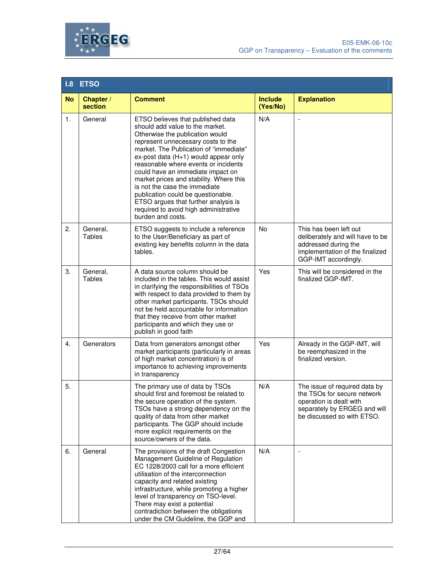



| 1.8       | <b>ETSO</b>               |                                                                                                                                                                                                                                                                                                                                                                                                                                                                                                                                      |                            |                                                                                                                                                       |  |
|-----------|---------------------------|--------------------------------------------------------------------------------------------------------------------------------------------------------------------------------------------------------------------------------------------------------------------------------------------------------------------------------------------------------------------------------------------------------------------------------------------------------------------------------------------------------------------------------------|----------------------------|-------------------------------------------------------------------------------------------------------------------------------------------------------|--|
| <b>No</b> | Chapter /<br>section      | <b>Comment</b>                                                                                                                                                                                                                                                                                                                                                                                                                                                                                                                       | <b>Include</b><br>(Yes/No) | <b>Explanation</b>                                                                                                                                    |  |
| 1.        | General                   | ETSO believes that published data<br>should add value to the market.<br>Otherwise the publication would<br>represent unnecessary costs to the<br>market. The Publication of "immediate"<br>ex-post data (H+1) would appear only<br>reasonable where events or incidents<br>could have an immediate impact on<br>market prices and stability. Where this<br>is not the case the immediate<br>publication could be questionable.<br>ETSO argues that further analysis is<br>required to avoid high administrative<br>burden and costs. | N/A                        | $\overline{\phantom{a}}$                                                                                                                              |  |
| 2.        | General,<br>Tables        | ETSO suggests to include a reference<br>to the User/Beneficiary as part of<br>existing key benefits column in the data<br>tables.                                                                                                                                                                                                                                                                                                                                                                                                    | No                         | This has been left out<br>deliberately and will have to be<br>addressed during the<br>implementation of the finalized<br>GGP-IMT accordingly.         |  |
| 3.        | General,<br><b>Tables</b> | A data source column should be<br>included in the tables. This would assist<br>in clarifying the responsibilities of TSOs<br>with respect to data provided to them by<br>other market participants. TSOs should<br>not be held accountable for information<br>that they receive from other market<br>participants and which they use or<br>publish in good faith                                                                                                                                                                     | Yes                        | This will be considered in the<br>finalized GGP-IMT.                                                                                                  |  |
| 4.        | Generators                | Data from generators amongst other<br>market participants (particularly in areas<br>of high market concentration) is of<br>importance to achieving improvements<br>in transparency                                                                                                                                                                                                                                                                                                                                                   | Yes                        | Already in the GGP-IMT, will<br>be reemphasized in the<br>finalized version.                                                                          |  |
| 5.        |                           | The primary use of data by TSOs<br>should first and foremost be related to<br>the secure operation of the system.<br>TSOs have a strong dependency on the<br>quality of data from other market<br>participants. The GGP should include<br>more explicit requirements on the<br>source/owners of the data.                                                                                                                                                                                                                            | N/A                        | The issue of required data by<br>the TSOs for secure network<br>operation is dealt with<br>separately by ERGEG and will<br>be discussed so with ETSO. |  |
| 6.        | General                   | The provisions of the draft Congestion<br>Management Guideline of Regulation<br>EC 1228/2003 call for a more efficient<br>utilisation of the interconnection<br>capacity and related existing<br>infrastructure, while promoting a higher<br>level of transparency on TSO-level.<br>There may exist a potential<br>contradiction between the obligations<br>under the CM Guideline, the GGP and                                                                                                                                      | N/A                        |                                                                                                                                                       |  |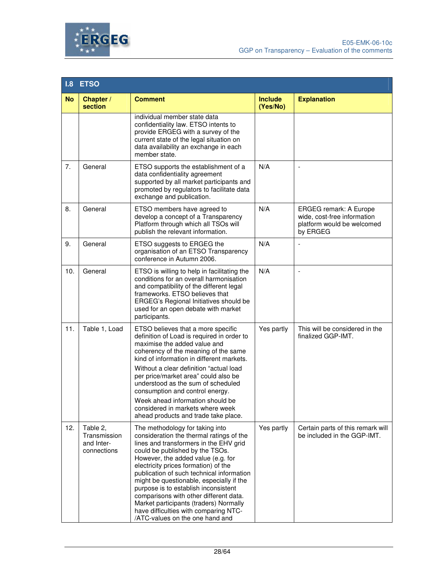



| 1.8       | <b>ETSO</b>                                           |                                                                                                                                                                                                                                                                                                                                                                                                                                                                                                                                         |                            |                                                                                                        |  |
|-----------|-------------------------------------------------------|-----------------------------------------------------------------------------------------------------------------------------------------------------------------------------------------------------------------------------------------------------------------------------------------------------------------------------------------------------------------------------------------------------------------------------------------------------------------------------------------------------------------------------------------|----------------------------|--------------------------------------------------------------------------------------------------------|--|
| <b>No</b> | Chapter /<br>section                                  | <b>Comment</b>                                                                                                                                                                                                                                                                                                                                                                                                                                                                                                                          | <b>Include</b><br>(Yes/No) | <b>Explanation</b>                                                                                     |  |
|           |                                                       | individual member state data<br>confidentiality law. ETSO intents to<br>provide ERGEG with a survey of the<br>current state of the legal situation on<br>data availability an exchange in each<br>member state.                                                                                                                                                                                                                                                                                                                         |                            |                                                                                                        |  |
| 7.        | General                                               | ETSO supports the establishment of a<br>data confidentiality agreement<br>supported by all market participants and<br>promoted by regulators to facilitate data<br>exchange and publication.                                                                                                                                                                                                                                                                                                                                            | N/A                        | ÷,                                                                                                     |  |
| 8.        | General                                               | ETSO members have agreed to<br>develop a concept of a Transparency<br>Platform through which all TSOs will<br>publish the relevant information.                                                                                                                                                                                                                                                                                                                                                                                         | N/A                        | <b>ERGEG remark: A Europe</b><br>wide, cost-free information<br>platform would be welcomed<br>by ERGEG |  |
| 9.        | General                                               | ETSO suggests to ERGEG the<br>organisation of an ETSO Transparency<br>conference in Autumn 2006.                                                                                                                                                                                                                                                                                                                                                                                                                                        | N/A                        |                                                                                                        |  |
| 10.       | General                                               | ETSO is willing to help in facilitating the<br>conditions for an overall harmonisation<br>and compatibility of the different legal<br>frameworks. ETSO believes that<br>ERGEG's Regional Initiatives should be<br>used for an open debate with market<br>participants.                                                                                                                                                                                                                                                                  | N/A                        |                                                                                                        |  |
| 11.       | Table 1, Load                                         | ETSO believes that a more specific<br>definition of Load is required in order to<br>maximise the added value and<br>coherency of the meaning of the same<br>kind of information in different markets.<br>Without a clear definition "actual load<br>per price/market area" could also be<br>understood as the sum of scheduled<br>consumption and control energy.<br>Week ahead information should be<br>considered in markets where week<br>ahead products and trade take place.                                                       | Yes partly                 | This will be considered in the<br>finalized GGP-IMT.                                                   |  |
| 12.       | Table 2,<br>Transmission<br>and Inter-<br>connections | The methodology for taking into<br>consideration the thermal ratings of the<br>lines and transformers in the EHV grid<br>could be published by the TSOs.<br>However, the added value (e.g. for<br>electricity prices formation) of the<br>publication of such technical information<br>might be questionable, especially if the<br>purpose is to establish inconsistent<br>comparisons with other different data.<br>Market participants (traders) Normally<br>have difficulties with comparing NTC-<br>/ATC-values on the one hand and | Yes partly                 | Certain parts of this remark will<br>be included in the GGP-IMT.                                       |  |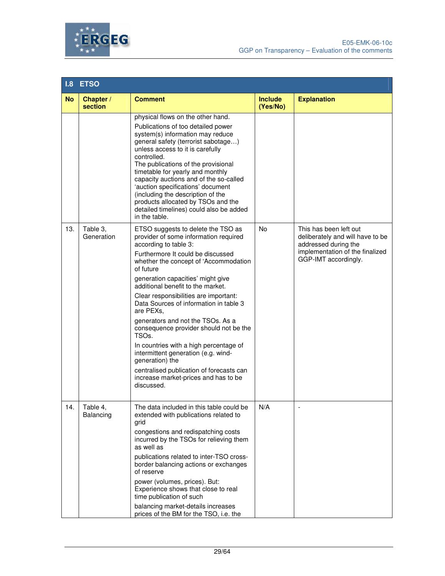



| 1.8       | <b>ETSO</b>            |                                                                                                                                                                                                                                                                                                                                                                                                                                                                                                                                                                                                                                                                                      |                            |                                                                                                                                               |  |
|-----------|------------------------|--------------------------------------------------------------------------------------------------------------------------------------------------------------------------------------------------------------------------------------------------------------------------------------------------------------------------------------------------------------------------------------------------------------------------------------------------------------------------------------------------------------------------------------------------------------------------------------------------------------------------------------------------------------------------------------|----------------------------|-----------------------------------------------------------------------------------------------------------------------------------------------|--|
| <b>No</b> | Chapter /<br>section   | <b>Comment</b>                                                                                                                                                                                                                                                                                                                                                                                                                                                                                                                                                                                                                                                                       | <b>Include</b><br>(Yes/No) | <b>Explanation</b>                                                                                                                            |  |
|           |                        | physical flows on the other hand.<br>Publications of too detailed power<br>system(s) information may reduce<br>general safety (terrorist sabotage)<br>unless access to it is carefully<br>controlled.<br>The publications of the provisional<br>timetable for yearly and monthly<br>capacity auctions and of the so-called<br>'auction specifications' document<br>(including the description of the<br>products allocated by TSOs and the<br>detailed timelines) could also be added<br>in the table.                                                                                                                                                                               |                            |                                                                                                                                               |  |
| 13.       | Table 3,<br>Generation | ETSO suggests to delete the TSO as<br>provider of some information required<br>according to table 3:<br>Furthermore It could be discussed<br>whether the concept of 'Accommodation<br>of future<br>generation capacities' might give<br>additional benefit to the market.<br>Clear responsibilities are important:<br>Data Sources of information in table 3<br>are PEXs,<br>generators and not the TSOs. As a<br>consequence provider should not be the<br>TSO <sub>s</sub> .<br>In countries with a high percentage of<br>intermittent generation (e.g. wind-<br>generation) the<br>centralised publication of forecasts can<br>increase market-prices and has to be<br>discussed. | No                         | This has been left out<br>deliberately and will have to be<br>addressed during the<br>implementation of the finalized<br>GGP-IMT accordingly. |  |
| 14.       | Table 4,<br>Balancing  | The data included in this table could be<br>extended with publications related to<br>grid<br>congestions and redispatching costs<br>incurred by the TSOs for relieving them<br>as well as<br>publications related to inter-TSO cross-<br>border balancing actions or exchanges<br>of reserve<br>power (volumes, prices). But:<br>Experience shows that close to real<br>time publication of such<br>balancing market-details increases<br>prices of the BM for the TSO, i.e. the                                                                                                                                                                                                     | N/A                        |                                                                                                                                               |  |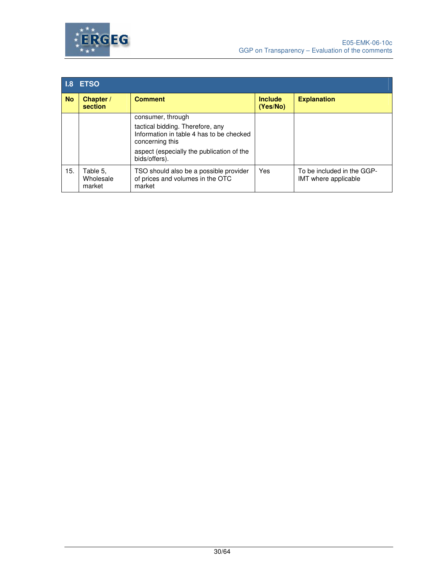



| 1.8 <sup>1</sup> | <b>ETSO</b>                     |                                                                                                 |                            |                                                    |  |
|------------------|---------------------------------|-------------------------------------------------------------------------------------------------|----------------------------|----------------------------------------------------|--|
| <b>No</b>        | Chapter /<br>section            | <b>Comment</b>                                                                                  | <b>Include</b><br>(Yes/No) | <b>Explanation</b>                                 |  |
|                  |                                 | consumer, through                                                                               |                            |                                                    |  |
|                  |                                 | tactical bidding. Therefore, any<br>Information in table 4 has to be checked<br>concerning this |                            |                                                    |  |
|                  |                                 | aspect (especially the publication of the<br>bids/offers).                                      |                            |                                                    |  |
| 15.              | Table 5.<br>Wholesale<br>market | TSO should also be a possible provider<br>of prices and volumes in the OTC<br>market            | Yes                        | To be included in the GGP-<br>IMT where applicable |  |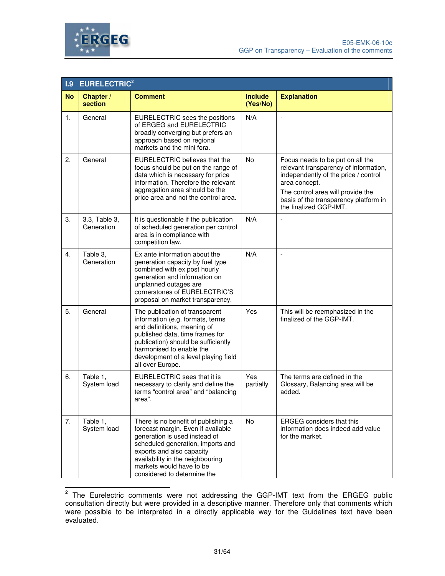



| 1.9       | <b>EURELECTRIC<sup>2</sup></b> |                                                                                                                                                                                                                                                                             |                            |                                                                                                                                                                                                                                            |
|-----------|--------------------------------|-----------------------------------------------------------------------------------------------------------------------------------------------------------------------------------------------------------------------------------------------------------------------------|----------------------------|--------------------------------------------------------------------------------------------------------------------------------------------------------------------------------------------------------------------------------------------|
| <b>No</b> | Chapter /<br>section           | <b>Comment</b>                                                                                                                                                                                                                                                              | <b>Include</b><br>(Yes/No) | <b>Explanation</b>                                                                                                                                                                                                                         |
| 1.        | General                        | EURELECTRIC sees the positions<br>of ERGEG and EURELECTRIC<br>broadly converging but prefers an<br>approach based on regional<br>markets and the mini fora.                                                                                                                 | N/A                        |                                                                                                                                                                                                                                            |
| 2.        | General                        | <b>EURELECTRIC believes that the</b><br>focus should be put on the range of<br>data which is necessary for price<br>information. Therefore the relevant<br>aggregation area should be the<br>price area and not the control area.                                           | No                         | Focus needs to be put on all the<br>relevant transparency of information,<br>independently of the price / control<br>area concept.<br>The control area will provide the<br>basis of the transparency platform in<br>the finalized GGP-IMT. |
| 3.        | 3.3, Table 3,<br>Generation    | It is questionable if the publication<br>of scheduled generation per control<br>area is in compliance with<br>competition law.                                                                                                                                              | N/A                        |                                                                                                                                                                                                                                            |
| 4.        | Table 3,<br>Generation         | Ex ante information about the<br>generation capacity by fuel type<br>combined with ex post hourly<br>generation and information on<br>unplanned outages are<br>cornerstones of EURELECTRIC'S<br>proposal on market transparency.                                            | N/A                        | $\overline{a}$                                                                                                                                                                                                                             |
| 5.        | General                        | The publication of transparent<br>information (e.g. formats, terms<br>and definitions, meaning of<br>published data, time frames for<br>publication) should be sufficiently<br>harmonised to enable the<br>development of a level playing field<br>all over Europe.         | Yes                        | This will be reemphasized in the<br>finalized of the GGP-IMT.                                                                                                                                                                              |
| 6.        | Table 1,<br>System load        | EURELECTRIC sees that it is<br>necessary to clarify and define the<br>terms "control area" and "balancing<br>area".                                                                                                                                                         | Yes<br>partially           | The terms are defined in the<br>Glossary, Balancing area will be<br>added.                                                                                                                                                                 |
| 7.        | Table 1,<br>System load        | There is no benefit of publishing a<br>forecast margin. Even if available<br>generation is used instead of<br>scheduled generation, imports and<br>exports and also capacity<br>availability in the neighbouring<br>markets would have to be<br>considered to determine the | No                         | <b>ERGEG</b> considers that this<br>information does indeed add value<br>for the market.                                                                                                                                                   |

**ENEX 12 The Eurelectric comments were not addressing the GGP-IMT text from the ERGEG public** consultation directly but were provided in a descriptive manner. Therefore only that comments which were possible to be interpreted in a directly applicable way for the Guidelines text have been evaluated.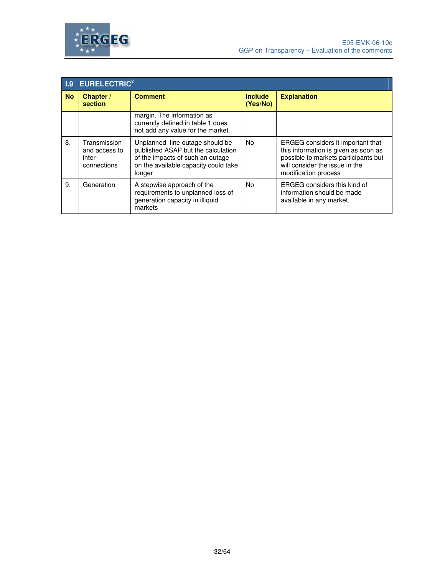



|           | <b>I.9 EURELECTRIC<sup>2</sup></b>                     |                                                                                                                                                             |                            |                                                                                                                                                                             |  |
|-----------|--------------------------------------------------------|-------------------------------------------------------------------------------------------------------------------------------------------------------------|----------------------------|-----------------------------------------------------------------------------------------------------------------------------------------------------------------------------|--|
| <b>No</b> | Chapter /<br>section                                   | <b>Comment</b>                                                                                                                                              | <b>Include</b><br>(Yes/No) | <b>Explanation</b>                                                                                                                                                          |  |
|           |                                                        | margin. The information as<br>currently defined in table 1 does<br>not add any value for the market.                                                        |                            |                                                                                                                                                                             |  |
| 8.        | Transmission<br>and access to<br>inter-<br>connections | Unplanned line outage should be<br>published ASAP but the calculation<br>of the impacts of such an outage<br>on the available capacity could take<br>longer | <b>No</b>                  | ERGEG considers it important that<br>this information is given as soon as<br>possible to markets participants but<br>will consider the issue in the<br>modification process |  |
| 9.        | Generation                                             | A stepwise approach of the<br>requirements to unplanned loss of<br>generation capacity in illiquid<br>markets                                               | No.                        | ERGEG considers this kind of<br>information should be made<br>available in any market.                                                                                      |  |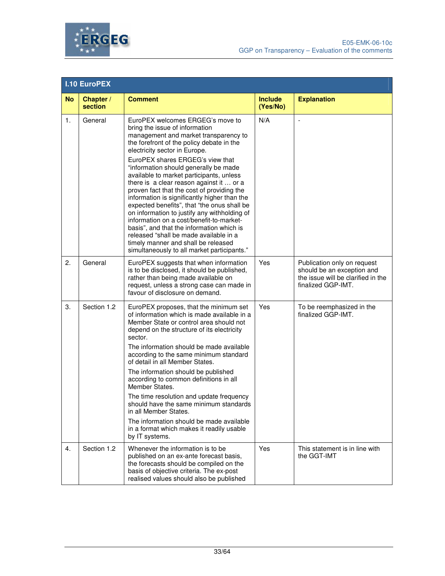



|           | <b>I.10 EuroPEX</b>  |                                                                                                                                                                                                                                                                                                                                                                                                                                                                                                                                                                                                                                                                                                                                                                                      |                            |                                                                                                                       |  |
|-----------|----------------------|--------------------------------------------------------------------------------------------------------------------------------------------------------------------------------------------------------------------------------------------------------------------------------------------------------------------------------------------------------------------------------------------------------------------------------------------------------------------------------------------------------------------------------------------------------------------------------------------------------------------------------------------------------------------------------------------------------------------------------------------------------------------------------------|----------------------------|-----------------------------------------------------------------------------------------------------------------------|--|
| <b>No</b> | Chapter /<br>section | <b>Comment</b>                                                                                                                                                                                                                                                                                                                                                                                                                                                                                                                                                                                                                                                                                                                                                                       | <b>Include</b><br>(Yes/No) | <b>Explanation</b>                                                                                                    |  |
| 1.        | General              | EuroPEX welcomes ERGEG's move to<br>bring the issue of information<br>management and market transparency to<br>the forefront of the policy debate in the<br>electricity sector in Europe.<br>EuroPEX shares ERGEG's view that<br>"information should generally be made<br>available to market participants, unless<br>there is a clear reason against it  or a<br>proven fact that the cost of providing the<br>information is significantly higher than the<br>expected benefits", that "the onus shall be<br>on information to justify any withholding of<br>information on a cost/benefit-to-market-<br>basis", and that the information which is<br>released "shall be made available in a<br>timely manner and shall be released<br>simultaneously to all market participants." | N/A                        | $\overline{\phantom{a}}$                                                                                              |  |
| 2.        | General              | EuroPEX suggests that when information<br>is to be disclosed, it should be published,<br>rather than being made available on<br>request, unless a strong case can made in<br>favour of disclosure on demand.                                                                                                                                                                                                                                                                                                                                                                                                                                                                                                                                                                         | Yes                        | Publication only on request<br>should be an exception and<br>the issue will be clarified in the<br>finalized GGP-IMT. |  |
| 3.        | Section 1.2          | EuroPEX proposes, that the minimum set<br>of information which is made available in a<br>Member State or control area should not<br>depend on the structure of its electricity<br>sector.<br>The information should be made available<br>according to the same minimum standard<br>of detail in all Member States.<br>The information should be published<br>according to common definitions in all<br>Member States.<br>The time resolution and update frequency<br>should have the same minimum standards<br>in all Member States.<br>The information should be made available<br>in a format which makes it readily usable<br>by IT systems.                                                                                                                                      | Yes                        | To be reemphasized in the<br>finalized GGP-IMT.                                                                       |  |
| 4.        | Section 1.2          | Whenever the information is to be<br>published on an ex-ante forecast basis,<br>the forecasts should be compiled on the<br>basis of objective criteria. The ex-post<br>realised values should also be published                                                                                                                                                                                                                                                                                                                                                                                                                                                                                                                                                                      | Yes                        | This statement is in line with<br>the GGT-IMT                                                                         |  |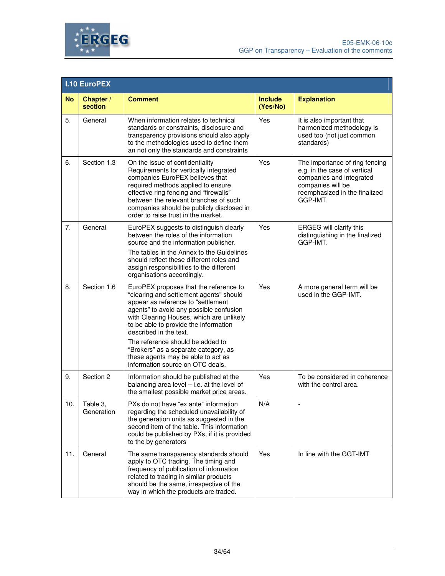



|           | <b>I.10 EuroPEX</b>    |                                                                                                                                                                                                                                                                                                                                                                                                                                         |                            |                                                                                                                                                              |  |
|-----------|------------------------|-----------------------------------------------------------------------------------------------------------------------------------------------------------------------------------------------------------------------------------------------------------------------------------------------------------------------------------------------------------------------------------------------------------------------------------------|----------------------------|--------------------------------------------------------------------------------------------------------------------------------------------------------------|--|
| <b>No</b> | Chapter /<br>section   | <b>Comment</b>                                                                                                                                                                                                                                                                                                                                                                                                                          | <b>Include</b><br>(Yes/No) | <b>Explanation</b>                                                                                                                                           |  |
| 5.        | General                | When information relates to technical<br>standards or constraints, disclosure and<br>transparency provisions should also apply<br>to the methodologies used to define them<br>an not only the standards and constraints                                                                                                                                                                                                                 | Yes                        | It is also important that<br>harmonized methodology is<br>used too (not just common<br>standards)                                                            |  |
| 6.        | Section 1.3            | On the issue of confidentiality<br>Requirements for vertically integrated<br>companies EuroPEX believes that<br>required methods applied to ensure<br>effective ring fencing and "firewalls"<br>between the relevant branches of such<br>companies should be publicly disclosed in<br>order to raise trust in the market.                                                                                                               | Yes                        | The importance of ring fencing<br>e.g. in the case of vertical<br>companies and integrated<br>companies will be<br>reemphasized in the finalized<br>GGP-IMT. |  |
| 7.        | General                | EuroPEX suggests to distinguish clearly<br>between the roles of the information<br>source and the information publisher.<br>The tables in the Annex to the Guidelines<br>should reflect these different roles and<br>assign responsibilities to the different<br>organisations accordingly.                                                                                                                                             | Yes                        | ERGEG will clarify this<br>distinguishing in the finalized<br>GGP-IMT.                                                                                       |  |
| 8.        | Section 1.6            | EuroPEX proposes that the reference to<br>"clearing and settlement agents" should<br>appear as reference to "settlement<br>agents" to avoid any possible confusion<br>with Clearing Houses, which are unlikely<br>to be able to provide the information<br>described in the text.<br>The reference should be added to<br>"Brokers" as a separate category, as<br>these agents may be able to act as<br>information source on OTC deals. | Yes                        | A more general term will be<br>used in the GGP-IMT.                                                                                                          |  |
| 9.        | Section 2              | Information should be published at the<br>balancing area level $-$ i.e. at the level of<br>the smallest possible market price areas.                                                                                                                                                                                                                                                                                                    | Yes                        | To be considered in coherence<br>with the control area.                                                                                                      |  |
| 10.       | Table 3,<br>Generation | PXs do not have "ex ante" information<br>regarding the scheduled unavailability of<br>the generation units as suggested in the<br>second item of the table. This information<br>could be published by PXs, if it is provided<br>to the by generators                                                                                                                                                                                    | N/A                        | $\overline{\phantom{a}}$                                                                                                                                     |  |
| 11.       | General                | The same transparency standards should<br>apply to OTC trading. The timing and<br>frequency of publication of information<br>related to trading in similar products<br>should be the same, irrespective of the<br>way in which the products are traded.                                                                                                                                                                                 | Yes                        | In line with the GGT-IMT                                                                                                                                     |  |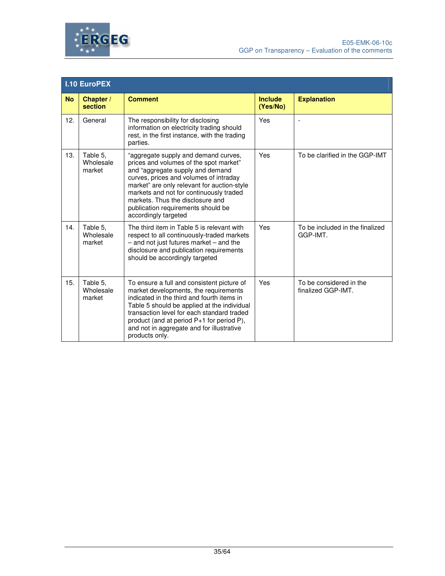



|           | <b>I.10 EuroPEX</b>             |                                                                                                                                                                                                                                                                                                                                                          |                            |                                               |  |
|-----------|---------------------------------|----------------------------------------------------------------------------------------------------------------------------------------------------------------------------------------------------------------------------------------------------------------------------------------------------------------------------------------------------------|----------------------------|-----------------------------------------------|--|
| <b>No</b> | Chapter /<br>section            | <b>Comment</b>                                                                                                                                                                                                                                                                                                                                           | <b>Include</b><br>(Yes/No) | <b>Explanation</b>                            |  |
| 12.       | General                         | The responsibility for disclosing<br>information on electricity trading should<br>rest, in the first instance, with the trading<br>parties.                                                                                                                                                                                                              | Yes                        |                                               |  |
| 13.       | Table 5.<br>Wholesale<br>market | "aggregate supply and demand curves,<br>prices and volumes of the spot market"<br>and "aggregate supply and demand<br>curves, prices and volumes of intraday<br>market" are only relevant for auction-style<br>markets and not for continuously traded<br>markets. Thus the disclosure and<br>publication requirements should be<br>accordingly targeted | Yes                        | To be clarified in the GGP-IMT                |  |
| 14.       | Table 5.<br>Wholesale<br>market | The third item in Table 5 is relevant with<br>respect to all continuously-traded markets<br>$-$ and not just futures market $-$ and the<br>disclosure and publication requirements<br>should be accordingly targeted                                                                                                                                     | Yes                        | To be included in the finalized<br>GGP-IMT.   |  |
| 15.       | Table 5,<br>Wholesale<br>market | To ensure a full and consistent picture of<br>market developments, the requirements<br>indicated in the third and fourth items in<br>Table 5 should be applied at the individual<br>transaction level for each standard traded<br>product (and at period P+1 for period P),<br>and not in aggregate and for illustrative<br>products only.               | Yes                        | To be considered in the<br>finalized GGP-IMT. |  |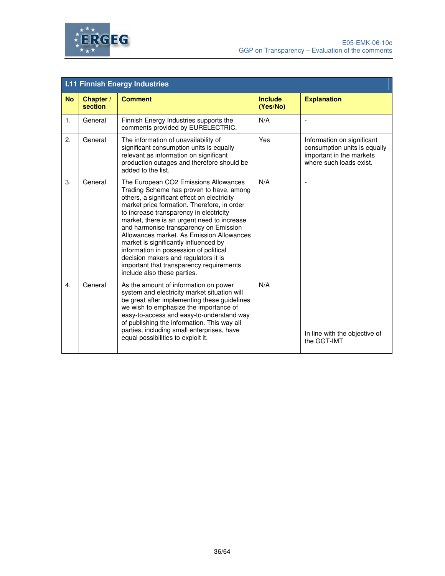

|                  | <b>I.11 Finnish Energy Industries</b> |                                                                                                                                                                                                                                                                                                                                                                                                                                                                                                                                                                        |                            |                                                                                                                   |  |
|------------------|---------------------------------------|------------------------------------------------------------------------------------------------------------------------------------------------------------------------------------------------------------------------------------------------------------------------------------------------------------------------------------------------------------------------------------------------------------------------------------------------------------------------------------------------------------------------------------------------------------------------|----------------------------|-------------------------------------------------------------------------------------------------------------------|--|
| <b>No</b>        | Chapter /<br>section                  | <b>Comment</b>                                                                                                                                                                                                                                                                                                                                                                                                                                                                                                                                                         | <b>Include</b><br>(Yes/No) | <b>Explanation</b>                                                                                                |  |
| $\mathbf{1}$ .   | General                               | Finnish Energy Industries supports the<br>comments provided by EURELECTRIC.                                                                                                                                                                                                                                                                                                                                                                                                                                                                                            | N/A                        |                                                                                                                   |  |
| 2.               | General                               | The information of unavailability of<br>significant consumption units is equally<br>relevant as information on significant<br>production outages and therefore should be<br>added to the list.                                                                                                                                                                                                                                                                                                                                                                         | Yes                        | Information on significant<br>consumption units is equally<br>important in the markets<br>where such loads exist. |  |
| 3.               | General                               | The European CO2 Emissions Allowances<br>Trading Scheme has proven to have, among<br>others, a significant effect on electricity<br>market price formation. Therefore, in order<br>to increase transparency in electricity<br>market, there is an urgent need to increase<br>and harmonise transparency on Emission<br>Allowances market. As Emission Allowances<br>market is significantly influenced by<br>information in possession of political<br>decision makers and regulators it is<br>important that transparency requirements<br>include also these parties. | N/A                        |                                                                                                                   |  |
| $\overline{4}$ . | General                               | As the amount of information on power<br>system and electricity market situation will<br>be great after implementing these guidelines<br>we wish to emphasize the importance of<br>easy-to-access and easy-to-understand way<br>of publishing the information. This way all<br>parties, including small enterprises, have<br>equal possibilities to exploit it.                                                                                                                                                                                                        | N/A                        | In line with the objective of<br>the GGT-IMT                                                                      |  |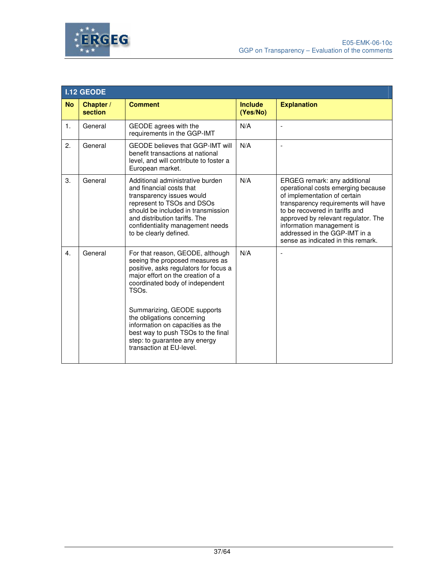



|                  | <b>I.12 GEODE</b>    |                                                                                                                                                                                                                                                                                                                                                                                                                |                            |                                                                                                                                                                                                                                                                                                                        |  |  |
|------------------|----------------------|----------------------------------------------------------------------------------------------------------------------------------------------------------------------------------------------------------------------------------------------------------------------------------------------------------------------------------------------------------------------------------------------------------------|----------------------------|------------------------------------------------------------------------------------------------------------------------------------------------------------------------------------------------------------------------------------------------------------------------------------------------------------------------|--|--|
| <b>No</b>        | Chapter /<br>section | <b>Comment</b>                                                                                                                                                                                                                                                                                                                                                                                                 | <b>Include</b><br>(Yes/No) | <b>Explanation</b>                                                                                                                                                                                                                                                                                                     |  |  |
| $\mathbf{1}$ .   | General              | GEODE agrees with the<br>requirements in the GGP-IMT                                                                                                                                                                                                                                                                                                                                                           | N/A                        | $\overline{\phantom{a}}$                                                                                                                                                                                                                                                                                               |  |  |
| 2.               | General              | <b>GEODE believes that GGP-IMT will</b><br>benefit transactions at national<br>level, and will contribute to foster a<br>European market.                                                                                                                                                                                                                                                                      | N/A                        |                                                                                                                                                                                                                                                                                                                        |  |  |
| 3.               | General              | Additional administrative burden<br>and financial costs that<br>transparency issues would<br>represent to TSOs and DSOs<br>should be included in transmission<br>and distribution tariffs. The<br>confidentiality management needs<br>to be clearly defined.                                                                                                                                                   | N/A                        | ERGEG remark: any additional<br>operational costs emerging because<br>of implementation of certain<br>transparency requirements will have<br>to be recovered in tariffs and<br>approved by relevant regulator. The<br>information management is<br>addressed in the GGP-IMT in a<br>sense as indicated in this remark. |  |  |
| $\overline{4}$ . | General              | For that reason, GEODE, although<br>seeing the proposed measures as<br>positive, asks regulators for focus a<br>major effort on the creation of a<br>coordinated body of independent<br>TSO <sub>s</sub> .<br>Summarizing, GEODE supports<br>the obligations concerning<br>information on capacities as the<br>best way to push TSOs to the final<br>step: to guarantee any energy<br>transaction at EU-level. | N/A                        | $\overline{\phantom{0}}$                                                                                                                                                                                                                                                                                               |  |  |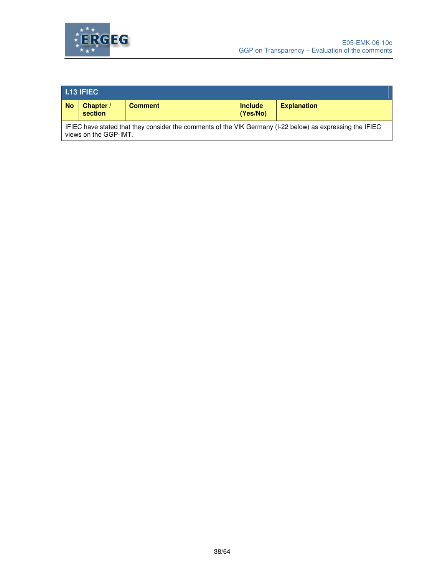

| $\blacksquare$ 1.13 IFIEC                                                                                                          |                      |                |                            |                    |  |
|------------------------------------------------------------------------------------------------------------------------------------|----------------------|----------------|----------------------------|--------------------|--|
| <b>No</b>                                                                                                                          | Chapter /<br>section | <b>Comment</b> | <b>Include</b><br>(Yes/No) | <b>Explanation</b> |  |
| IFIEC have stated that they consider the comments of the VIK Germany (I-22 below) as expressing the IFIEC<br>views on the GGP-IMT. |                      |                |                            |                    |  |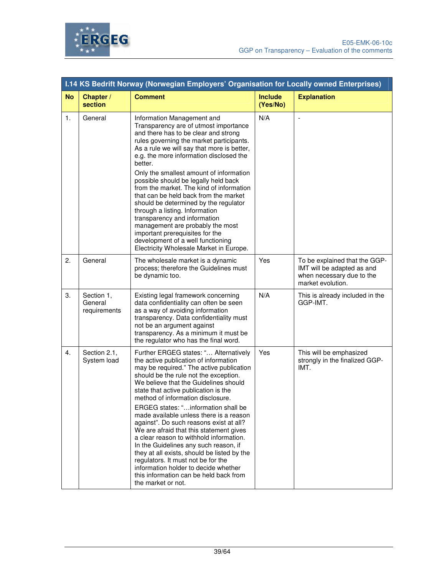

|           | <b>I.14 KS Bedrift Norway (Norwegian Employers' Organisation for Locally owned Enterprises)</b> |                                                                                                                                                                                                                                                                                                                                                                                                                                                                                                                                                                                                                                                                                                                                                    |                            |                                                                                                               |  |
|-----------|-------------------------------------------------------------------------------------------------|----------------------------------------------------------------------------------------------------------------------------------------------------------------------------------------------------------------------------------------------------------------------------------------------------------------------------------------------------------------------------------------------------------------------------------------------------------------------------------------------------------------------------------------------------------------------------------------------------------------------------------------------------------------------------------------------------------------------------------------------------|----------------------------|---------------------------------------------------------------------------------------------------------------|--|
| <b>No</b> | Chapter /<br>section                                                                            | <b>Comment</b>                                                                                                                                                                                                                                                                                                                                                                                                                                                                                                                                                                                                                                                                                                                                     | <b>Include</b><br>(Yes/No) | <b>Explanation</b>                                                                                            |  |
| 1.        | General                                                                                         | Information Management and<br>Transparency are of utmost importance<br>and there has to be clear and strong<br>rules governing the market participants.<br>As a rule we will say that more is better,<br>e.g. the more information disclosed the<br>better.<br>Only the smallest amount of information<br>possible should be legally held back<br>from the market. The kind of information<br>that can be held back from the market<br>should be determined by the regulator<br>through a listing. Information<br>transparency and information<br>management are probably the most<br>important prerequisites for the<br>development of a well functioning<br>Electricity Wholesale Market in Europe.                                              | N/A                        | $\sim$                                                                                                        |  |
| 2.        | General                                                                                         | The wholesale market is a dynamic<br>process; therefore the Guidelines must<br>be dynamic too.                                                                                                                                                                                                                                                                                                                                                                                                                                                                                                                                                                                                                                                     | Yes                        | To be explained that the GGP-<br>IMT will be adapted as and<br>when necessary due to the<br>market evolution. |  |
| 3.        | Section 1,<br>General<br>requirements                                                           | Existing legal framework concerning<br>data confidentiality can often be seen<br>as a way of avoiding information<br>transparency. Data confidentiality must<br>not be an argument against<br>transparency. As a minimum it must be<br>the regulator who has the final word.                                                                                                                                                                                                                                                                                                                                                                                                                                                                       | N/A                        | This is already included in the<br>GGP-IMT.                                                                   |  |
| 4.        | Section 2.1,<br>System load                                                                     | Further ERGEG states: " Alternatively<br>the active publication of information<br>may be required." The active publication<br>should be the rule not the exception.<br>We believe that the Guidelines should<br>state that active publication is the<br>method of information disclosure.<br>ERGEG states: "information shall be<br>made available unless there is a reason<br>against". Do such reasons exist at all?<br>We are afraid that this statement gives<br>a clear reason to withhold information.<br>In the Guidelines any such reason, if<br>they at all exists, should be listed by the<br>regulators. It must not be for the<br>information holder to decide whether<br>this information can be held back from<br>the market or not. | Yes                        | This will be emphasized<br>strongly in the finalized GGP-<br>IMT.                                             |  |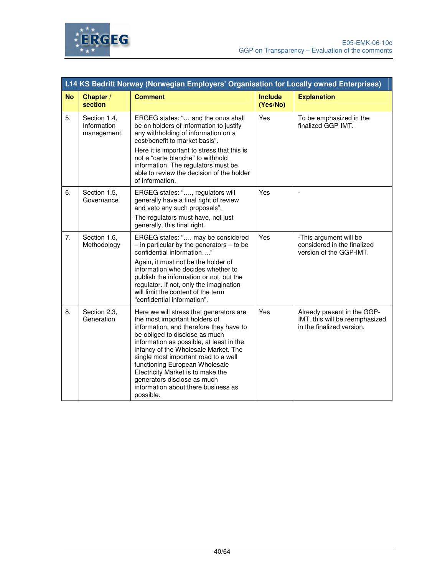

|           | <b>I.14 KS Bedrift Norway (Norwegian Employers' Organisation for Locally owned Enterprises)</b> |                                                                                                                                                                                                                                                                                                                                                                                                                                             |                            |                                                                                            |
|-----------|-------------------------------------------------------------------------------------------------|---------------------------------------------------------------------------------------------------------------------------------------------------------------------------------------------------------------------------------------------------------------------------------------------------------------------------------------------------------------------------------------------------------------------------------------------|----------------------------|--------------------------------------------------------------------------------------------|
| <b>No</b> | Chapter /<br>section                                                                            | <b>Comment</b>                                                                                                                                                                                                                                                                                                                                                                                                                              | <b>Include</b><br>(Yes/No) | <b>Explanation</b>                                                                         |
| 5.        | Section 1.4,<br>Information<br>management                                                       | ERGEG states: " and the onus shall<br>be on holders of information to justify<br>any withholding of information on a<br>cost/benefit to market basis".                                                                                                                                                                                                                                                                                      | Yes                        | To be emphasized in the<br>finalized GGP-IMT.                                              |
|           |                                                                                                 | Here it is important to stress that this is<br>not a "carte blanche" to withhold<br>information. The regulators must be<br>able to review the decision of the holder<br>of information.                                                                                                                                                                                                                                                     |                            |                                                                                            |
| 6.        | Section 1.5,<br>Governance                                                                      | ERGEG states: ", regulators will<br>generally have a final right of review<br>and veto any such proposals".<br>The regulators must have, not just                                                                                                                                                                                                                                                                                           | Yes                        | $\overline{\phantom{a}}$                                                                   |
|           |                                                                                                 | generally, this final right.                                                                                                                                                                                                                                                                                                                                                                                                                |                            |                                                                                            |
| 7.        | Section 1.6,<br>Methodology                                                                     | ERGEG states: " may be considered<br>$-$ in particular by the generators $-$ to be<br>confidential information"                                                                                                                                                                                                                                                                                                                             | Yes                        | -This argument will be<br>considered in the finalized<br>version of the GGP-IMT.           |
|           |                                                                                                 | Again, it must not be the holder of<br>information who decides whether to<br>publish the information or not, but the<br>regulator. If not, only the imagination<br>will limit the content of the term<br>"confidential information".                                                                                                                                                                                                        |                            |                                                                                            |
| 8.        | Section 2.3,<br>Generation                                                                      | Here we will stress that generators are<br>the most important holders of<br>information, and therefore they have to<br>be obliged to disclose as much<br>information as possible, at least in the<br>infancy of the Wholesale Market. The<br>single most important road to a well<br>functioning European Wholesale<br>Electricity Market is to make the<br>generators disclose as much<br>information about there business as<br>possible. | Yes                        | Already present in the GGP-<br>IMT, this will be reemphasized<br>in the finalized version. |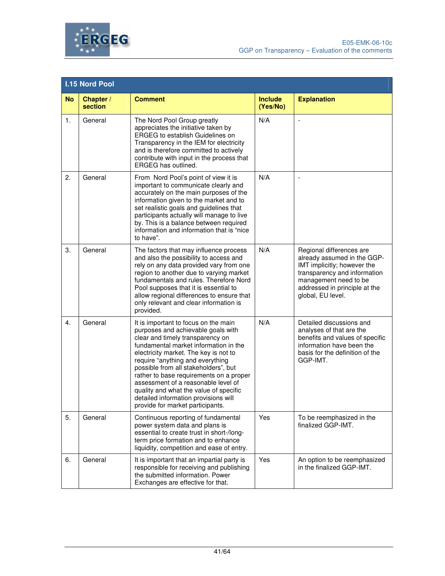



|           | <b>I.15 Nord Pool</b> |                                                                                                                                                                                                                                                                                                                                                                                                                                                                                      |                            |                                                                                                                                                                                                       |  |
|-----------|-----------------------|--------------------------------------------------------------------------------------------------------------------------------------------------------------------------------------------------------------------------------------------------------------------------------------------------------------------------------------------------------------------------------------------------------------------------------------------------------------------------------------|----------------------------|-------------------------------------------------------------------------------------------------------------------------------------------------------------------------------------------------------|--|
| <b>No</b> | Chapter /<br>section  | <b>Comment</b>                                                                                                                                                                                                                                                                                                                                                                                                                                                                       | <b>Include</b><br>(Yes/No) | <b>Explanation</b>                                                                                                                                                                                    |  |
| 1.        | General               | The Nord Pool Group greatly<br>appreciates the initiative taken by<br><b>ERGEG</b> to establish Guidelines on<br>Transparency in the IEM for electricity<br>and is therefore committed to actively<br>contribute with input in the process that<br><b>ERGEG</b> has outlined.                                                                                                                                                                                                        | N/A                        | $\overline{a}$                                                                                                                                                                                        |  |
| 2.        | General               | From Nord Pool's point of view it is<br>important to communicate clearly and<br>accurately on the main purposes of the<br>information given to the market and to<br>set realistic goals and guidelines that<br>participants actually will manage to live<br>by. This is a balance between required<br>information and information that is "nice<br>to have".                                                                                                                         | N/A                        | L,                                                                                                                                                                                                    |  |
| 3.        | General               | The factors that may influence process<br>and also the possibility to access and<br>rely on any data provided vary from one<br>region to another due to varying market<br>fundamentals and rules. Therefore Nord<br>Pool supposes that it is essential to<br>allow regional differences to ensure that<br>only relevant and clear information is<br>provided.                                                                                                                        | N/A                        | Regional differences are<br>already assumed in the GGP-<br>IMT implicitly; however the<br>transparency and information<br>management need to be<br>addressed in principle at the<br>global, EU level. |  |
| 4.        | General               | It is important to focus on the main<br>purposes and achievable goals with<br>clear and timely transparency on<br>fundamental market information in the<br>electricity market. The key is not to<br>require "anything and everything<br>possible from all stakeholders", but<br>rather to base requirements on a proper<br>assessment of a reasonable level of<br>quality and what the value of specific<br>detailed information provisions will<br>provide for market participants. | N/A                        | Detailed discussions and<br>analyses of that are the<br>benefits and values of specific<br>information have been the<br>basis for the definition of the<br>GGP-IMT.                                   |  |
| 5.        | General               | Continuous reporting of fundamental<br>power system data and plans is<br>essential to create trust in short-/long-<br>term price formation and to enhance<br>liquidity, competition and ease of entry.                                                                                                                                                                                                                                                                               | Yes                        | To be reemphasized in the<br>finalized GGP-IMT.                                                                                                                                                       |  |
| 6.        | General               | It is important that an impartial party is<br>responsible for receiving and publishing<br>the submitted information. Power<br>Exchanges are effective for that.                                                                                                                                                                                                                                                                                                                      | Yes                        | An option to be reemphasized<br>in the finalized GGP-IMT.                                                                                                                                             |  |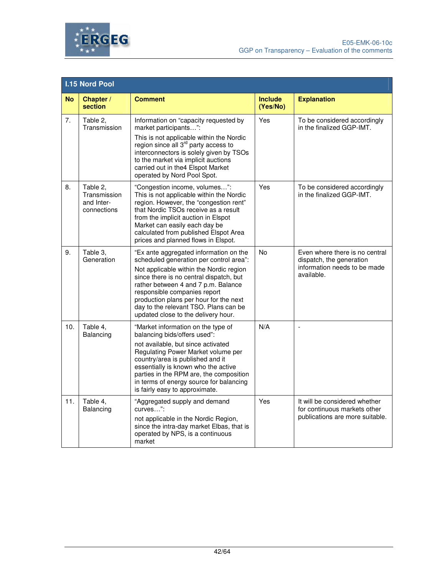

|           | <b>I.15 Nord Pool</b>                                 |                                                                                                                                                                                                                                                                                                                                                                          |                            |                                                                                                          |  |
|-----------|-------------------------------------------------------|--------------------------------------------------------------------------------------------------------------------------------------------------------------------------------------------------------------------------------------------------------------------------------------------------------------------------------------------------------------------------|----------------------------|----------------------------------------------------------------------------------------------------------|--|
| <b>No</b> | Chapter /<br>section                                  | <b>Comment</b>                                                                                                                                                                                                                                                                                                                                                           | <b>Include</b><br>(Yes/No) | <b>Explanation</b>                                                                                       |  |
| 7.        | Table 2,<br>Transmission                              | Information on "capacity requested by<br>market participants":<br>This is not applicable within the Nordic<br>region since all $3^{\text{rd}}$ party access to<br>interconnectors is solely given by TSOs<br>to the market via implicit auctions<br>carried out in the 4 Elspot Market<br>operated by Nord Pool Spot.                                                    | Yes                        | To be considered accordingly<br>in the finalized GGP-IMT.                                                |  |
| 8.        | Table 2,<br>Transmission<br>and Inter-<br>connections | "Congestion income, volumes":<br>This is not applicable within the Nordic<br>region. However, the "congestion rent"<br>that Nordic TSOs receive as a result<br>from the implicit auction in Elspot<br>Market can easily each day be<br>calculated from published Elspot Area<br>prices and planned flows in Elspot.                                                      | Yes                        | To be considered accordingly<br>in the finalized GGP-IMT.                                                |  |
| 9.        | Table 3.<br>Generation                                | "Ex ante aggregated information on the<br>scheduled generation per control area":<br>Not applicable within the Nordic region<br>since there is no central dispatch, but<br>rather between 4 and 7 p.m. Balance<br>responsible companies report<br>production plans per hour for the next<br>day to the relevant TSO. Plans can be<br>updated close to the delivery hour. | No                         | Even where there is no central<br>dispatch, the generation<br>information needs to be made<br>available. |  |
| 10.       | Table 4.<br>Balancing                                 | "Market information on the type of<br>balancing bids/offers used":<br>not available, but since activated<br>Regulating Power Market volume per<br>country/area is published and it<br>essentially is known who the active<br>parties in the RPM are, the composition<br>in terms of energy source for balancing<br>is fairly easy to approximate.                        | N/A                        | $\overline{\phantom{a}}$                                                                                 |  |
| 11.       | Table 4,<br>Balancing                                 | "Aggregated supply and demand<br>curves":<br>not applicable in the Nordic Region,<br>since the intra-day market Elbas, that is<br>operated by NPS, is a continuous<br>market                                                                                                                                                                                             | Yes                        | It will be considered whether<br>for continuous markets other<br>publications are more suitable.         |  |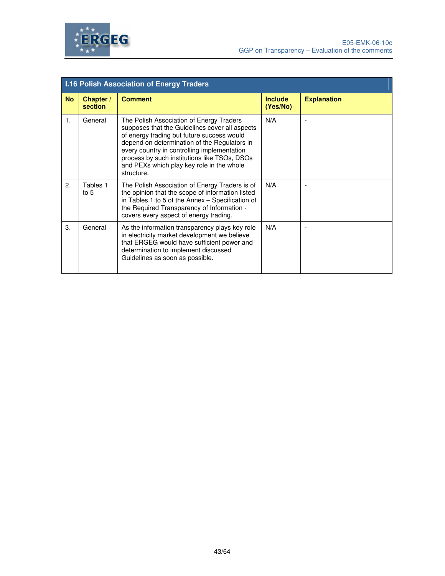

|                | <b>I.16 Polish Association of Energy Traders</b> |                                                                                                                                                                                                                                                                                                                                                    |                            |                    |
|----------------|--------------------------------------------------|----------------------------------------------------------------------------------------------------------------------------------------------------------------------------------------------------------------------------------------------------------------------------------------------------------------------------------------------------|----------------------------|--------------------|
| <b>No</b>      | Chapter /<br>section                             | <b>Comment</b>                                                                                                                                                                                                                                                                                                                                     | <b>Include</b><br>(Yes/No) | <b>Explanation</b> |
| $\mathbf{1}$ . | General                                          | The Polish Association of Energy Traders<br>supposes that the Guidelines cover all aspects<br>of energy trading but future success would<br>depend on determination of the Regulators in<br>every country in controlling implementation<br>process by such institutions like TSOs, DSOs<br>and PEXs which play key role in the whole<br>structure. | N/A                        |                    |
| 2.             | Tables 1<br>to $5$                               | The Polish Association of Energy Traders is of<br>the opinion that the scope of information listed<br>in Tables 1 to 5 of the Annex - Specification of<br>the Required Transparency of Information -<br>covers every aspect of energy trading.                                                                                                     | N/A                        |                    |
| 3.             | General                                          | As the information transparency plays key role<br>in electricity market development we believe<br>that ERGEG would have sufficient power and<br>determination to implement discussed<br>Guidelines as soon as possible.                                                                                                                            | N/A                        |                    |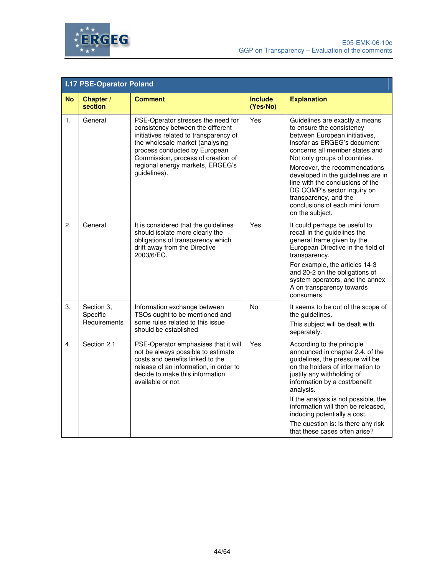



|                | <b>I.17 PSE-Operator Poland</b>        |                                                                                                                                                                                                                                                                                 |                            |                                                                                                                                                                                                                                                                                                                                                                                                                        |
|----------------|----------------------------------------|---------------------------------------------------------------------------------------------------------------------------------------------------------------------------------------------------------------------------------------------------------------------------------|----------------------------|------------------------------------------------------------------------------------------------------------------------------------------------------------------------------------------------------------------------------------------------------------------------------------------------------------------------------------------------------------------------------------------------------------------------|
| <b>No</b>      | Chapter /<br>section                   | <b>Comment</b>                                                                                                                                                                                                                                                                  | <b>Include</b><br>(Yes/No) | <b>Explanation</b>                                                                                                                                                                                                                                                                                                                                                                                                     |
| $\mathbf{1}$ . | General                                | PSE-Operator stresses the need for<br>consistency between the different<br>initiatives related to transparency of<br>the wholesale market (analysing<br>process conducted by European<br>Commission, process of creation of<br>regional energy markets, ERGEG's<br>guidelines). | Yes                        | Guidelines are exactly a means<br>to ensure the consistency<br>between European initiatives,<br>insofar as ERGEG's document<br>concerns all member states and<br>Not only groups of countries.<br>Moreover, the recommendations<br>developed in the guidelines are in<br>line with the conclusions of the<br>DG COMP's sector inquiry on<br>transparency, and the<br>conclusions of each mini forum<br>on the subject. |
| 2.             | General                                | It is considered that the guidelines<br>should isolate more clearly the<br>obligations of transparency which<br>drift away from the Directive<br>2003/6/EC.                                                                                                                     | Yes                        | It could perhaps be useful to<br>recall in the guidelines the<br>general frame given by the<br>European Directive in the field of<br>transparency.<br>For example, the articles 14-3<br>and 20-2 on the obligations of<br>system operators, and the annex<br>A on transparency towards<br>consumers.                                                                                                                   |
| 3.             | Section 3,<br>Specific<br>Requirements | Information exchange between<br>TSOs ought to be mentioned and<br>some rules related to this issue<br>should be established                                                                                                                                                     | No                         | It seems to be out of the scope of<br>the quidelines.<br>This subject will be dealt with<br>separately.                                                                                                                                                                                                                                                                                                                |
| 4.             | Section 2.1                            | PSE-Operator emphasises that it will<br>not be always possible to estimate<br>costs and benefits linked to the<br>release of an information, in order to<br>decide to make this information<br>available or not.                                                                | Yes                        | According to the principle<br>announced in chapter 2.4. of the<br>guidelines, the pressure will be<br>on the holders of information to<br>justify any withholding of<br>information by a cost/benefit<br>analysis.<br>If the analysis is not possible, the<br>information will then be released,<br>inducing potentially a cost.                                                                                       |
|                |                                        |                                                                                                                                                                                                                                                                                 |                            | The question is: Is there any risk<br>that these cases often arise?                                                                                                                                                                                                                                                                                                                                                    |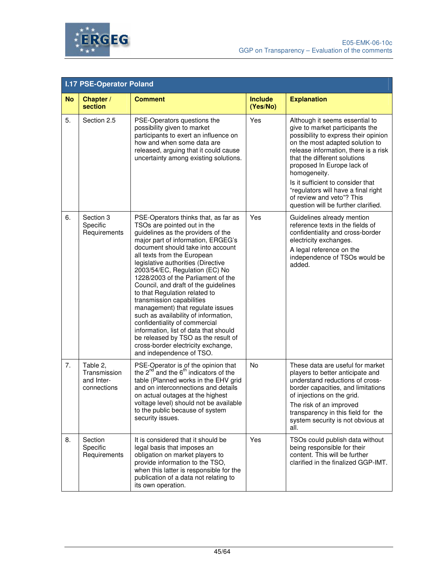

|           | <b>I.17 PSE-Operator Poland</b>                       |                                                                                                                                                                                                                                                                                                                                                                                                                                                                                                                                                                                                                                                                                                        |                            |                                                                                                                                                                                                                                                                                                                                                                                                                    |
|-----------|-------------------------------------------------------|--------------------------------------------------------------------------------------------------------------------------------------------------------------------------------------------------------------------------------------------------------------------------------------------------------------------------------------------------------------------------------------------------------------------------------------------------------------------------------------------------------------------------------------------------------------------------------------------------------------------------------------------------------------------------------------------------------|----------------------------|--------------------------------------------------------------------------------------------------------------------------------------------------------------------------------------------------------------------------------------------------------------------------------------------------------------------------------------------------------------------------------------------------------------------|
| <b>No</b> | Chapter /<br>section                                  | <b>Comment</b>                                                                                                                                                                                                                                                                                                                                                                                                                                                                                                                                                                                                                                                                                         | <b>Include</b><br>(Yes/No) | <b>Explanation</b>                                                                                                                                                                                                                                                                                                                                                                                                 |
| 5.        | Section 2.5                                           | PSE-Operators questions the<br>possibility given to market<br>participants to exert an influence on<br>how and when some data are<br>released, arguing that it could cause<br>uncertainty among existing solutions.                                                                                                                                                                                                                                                                                                                                                                                                                                                                                    | Yes                        | Although it seems essential to<br>give to market participants the<br>possibility to express their opinion<br>on the most adapted solution to<br>release information, there is a risk<br>that the different solutions<br>proposed In Europe lack of<br>homogeneity.<br>Is it sufficient to consider that<br>"regulators will have a final right<br>of review and veto"? This<br>question will be further clarified. |
| 6.        | Section 3<br>Specific<br>Requirements                 | PSE-Operators thinks that, as far as<br>TSOs are pointed out in the<br>guidelines as the providers of the<br>major part of information, ERGEG's<br>document should take into account<br>all texts from the European<br>legislative authorities (Directive<br>2003/54/EC, Regulation (EC) No<br>1228/2003 of the Parliament of the<br>Council, and draft of the guidelines<br>to that Regulation related to<br>transmission capabilities<br>management) that regulate issues<br>such as availability of information,<br>confidentiality of commercial<br>information, list of data that should<br>be released by TSO as the result of<br>cross-border electricity exchange,<br>and independence of TSO. | Yes                        | Guidelines already mention<br>reference texts in the fields of<br>confidentiality and cross-border<br>electricity exchanges.<br>A legal reference on the<br>independence of TSOs would be<br>added.                                                                                                                                                                                                                |
| 7.        | Table 2,<br>Transmission<br>and Inter-<br>connections | PSE-Operator is of the opinion that<br>the $2^{nd}$ and the $6^{th}$ indicators of the<br>table (Planned works in the EHV grid<br>and on interconnections and details<br>on actual outages at the highest<br>voltage level) should not be available<br>to the public because of system<br>security issues.                                                                                                                                                                                                                                                                                                                                                                                             | <b>No</b>                  | These data are useful for market<br>players to better anticipate and<br>understand reductions of cross-<br>border capacities, and limitations<br>of injections on the grid.<br>The risk of an improved<br>transparency in this field for the<br>system security is not obvious at<br>all.                                                                                                                          |
| 8.        | Section<br>Specific<br>Requirements                   | It is considered that it should be<br>legal basis that imposes an<br>obligation on market players to<br>provide information to the TSO,<br>when this latter is responsible for the<br>publication of a data not relating to<br>its own operation.                                                                                                                                                                                                                                                                                                                                                                                                                                                      | Yes                        | TSOs could publish data without<br>being responsible for their<br>content. This will be further<br>clarified in the finalized GGP-IMT.                                                                                                                                                                                                                                                                             |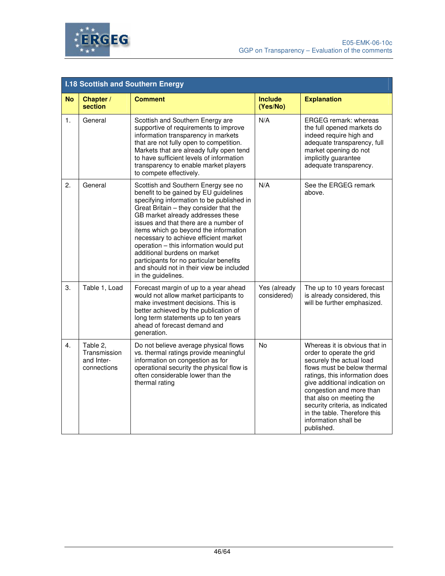

|           | <b>I.18 Scottish and Southern Energy</b>              |                                                                                                                                                                                                                                                                                                                                                                                                                                                                                                                            |                             |                                                                                                                                                                                                                                                                                                                                                           |
|-----------|-------------------------------------------------------|----------------------------------------------------------------------------------------------------------------------------------------------------------------------------------------------------------------------------------------------------------------------------------------------------------------------------------------------------------------------------------------------------------------------------------------------------------------------------------------------------------------------------|-----------------------------|-----------------------------------------------------------------------------------------------------------------------------------------------------------------------------------------------------------------------------------------------------------------------------------------------------------------------------------------------------------|
| <b>No</b> | Chapter /<br>section                                  | <b>Comment</b>                                                                                                                                                                                                                                                                                                                                                                                                                                                                                                             | <b>Include</b><br>(Yes/No)  | <b>Explanation</b>                                                                                                                                                                                                                                                                                                                                        |
| 1.        | General                                               | Scottish and Southern Energy are<br>supportive of requirements to improve<br>information transparency in markets<br>that are not fully open to competition.<br>Markets that are already fully open tend<br>to have sufficient levels of information<br>transparency to enable market players<br>to compete effectively.                                                                                                                                                                                                    | N/A                         | <b>ERGEG remark: whereas</b><br>the full opened markets do<br>indeed require high and<br>adequate transparency, full<br>market opening do not<br>implicitly guarantee<br>adequate transparency.                                                                                                                                                           |
| 2.        | General                                               | Scottish and Southern Energy see no<br>benefit to be gained by EU guidelines<br>specifying information to be published in<br>Great Britain - they consider that the<br>GB market already addresses these<br>issues and that there are a number of<br>items which go beyond the information<br>necessary to achieve efficient market<br>operation - this information would put<br>additional burdens on market<br>participants for no particular benefits<br>and should not in their view be included<br>in the guidelines. | N/A                         | See the ERGEG remark<br>above.                                                                                                                                                                                                                                                                                                                            |
| 3.        | Table 1, Load                                         | Forecast margin of up to a year ahead<br>would not allow market participants to<br>make investment decisions. This is<br>better achieved by the publication of<br>long term statements up to ten years<br>ahead of forecast demand and<br>generation.                                                                                                                                                                                                                                                                      | Yes (already<br>considered) | The up to 10 years forecast<br>is already considered, this<br>will be further emphasized.                                                                                                                                                                                                                                                                 |
| 4.        | Table 2,<br>Transmission<br>and Inter-<br>connections | Do not believe average physical flows<br>vs. thermal ratings provide meaningful<br>information on congestion as for<br>operational security the physical flow is<br>often considerable lower than the<br>thermal rating                                                                                                                                                                                                                                                                                                    | No                          | Whereas it is obvious that in<br>order to operate the grid<br>securely the actual load<br>flows must be below thermal<br>ratings, this information does<br>give additional indication on<br>congestion and more than<br>that also on meeting the<br>security criteria, as indicated<br>in the table. Therefore this<br>information shall be<br>published. |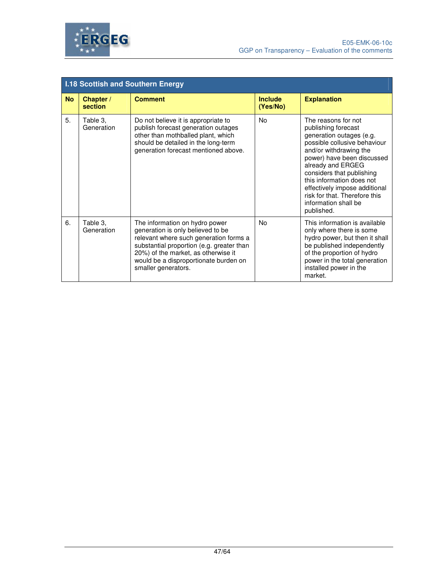

|           | <b>I.18 Scottish and Southern Energy</b> |                                                                                                                                                                                                                                                                   |                            |                                                                                                                                                                                                                                                                                                                                                       |
|-----------|------------------------------------------|-------------------------------------------------------------------------------------------------------------------------------------------------------------------------------------------------------------------------------------------------------------------|----------------------------|-------------------------------------------------------------------------------------------------------------------------------------------------------------------------------------------------------------------------------------------------------------------------------------------------------------------------------------------------------|
| <b>No</b> | Chapter /<br>section                     | <b>Comment</b>                                                                                                                                                                                                                                                    | <b>Include</b><br>(Yes/No) | <b>Explanation</b>                                                                                                                                                                                                                                                                                                                                    |
| 5.        | Table 3,<br>Generation                   | Do not believe it is appropriate to<br>publish forecast generation outages<br>other than mothballed plant, which<br>should be detailed in the long-term<br>generation forecast mentioned above.                                                                   | No                         | The reasons for not<br>publishing forecast<br>generation outages (e.g.<br>possible collusive behaviour<br>and/or withdrawing the<br>power) have been discussed<br>already and ERGEG<br>considers that publishing<br>this information does not<br>effectively impose additional<br>risk for that. Therefore this<br>information shall be<br>published. |
| 6.        | Table 3,<br>Generation                   | The information on hydro power<br>generation is only believed to be<br>relevant where such generation forms a<br>substantial proportion (e.g. greater than<br>20%) of the market, as otherwise it<br>would be a disproportionate burden on<br>smaller generators. | No.                        | This information is available<br>only where there is some<br>hydro power, but then it shall<br>be published independently<br>of the proportion of hydro<br>power in the total generation<br>installed power in the<br>market.                                                                                                                         |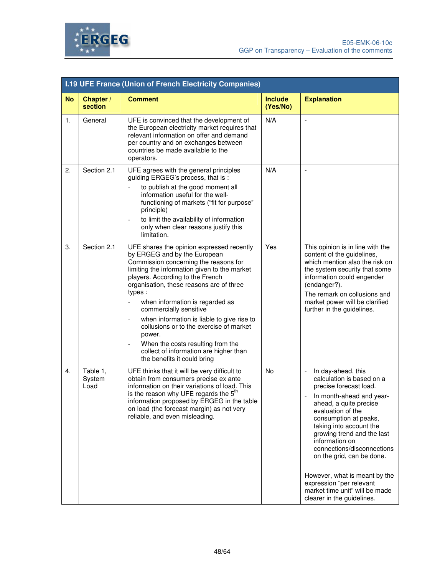

|                | <b>I.19 UFE France (Union of French Electricity Companies)</b> |                                                                                                                                                                                                                                                                                                                                                                                                                                                                                                                                                                                 |                            |                                                                                                                                                                                                                                                                                                                                                                                                                                                                    |  |
|----------------|----------------------------------------------------------------|---------------------------------------------------------------------------------------------------------------------------------------------------------------------------------------------------------------------------------------------------------------------------------------------------------------------------------------------------------------------------------------------------------------------------------------------------------------------------------------------------------------------------------------------------------------------------------|----------------------------|--------------------------------------------------------------------------------------------------------------------------------------------------------------------------------------------------------------------------------------------------------------------------------------------------------------------------------------------------------------------------------------------------------------------------------------------------------------------|--|
| <b>No</b>      | Chapter /<br>section                                           | <b>Comment</b>                                                                                                                                                                                                                                                                                                                                                                                                                                                                                                                                                                  | <b>Include</b><br>(Yes/No) | <b>Explanation</b>                                                                                                                                                                                                                                                                                                                                                                                                                                                 |  |
| $\mathbf{1}$ . | General                                                        | UFE is convinced that the development of<br>the European electricity market requires that<br>relevant information on offer and demand<br>per country and on exchanges between<br>countries be made available to the<br>operators.                                                                                                                                                                                                                                                                                                                                               | N/A                        |                                                                                                                                                                                                                                                                                                                                                                                                                                                                    |  |
| 2.             | Section 2.1                                                    | UFE agrees with the general principles<br>guiding ERGEG's process, that is :<br>to publish at the good moment all<br>$\qquad \qquad \Box$<br>information useful for the well-<br>functioning of markets ("fit for purpose"<br>principle)<br>to limit the availability of information<br>only when clear reasons justify this<br>limitation.                                                                                                                                                                                                                                     | N/A                        | $\overline{a}$                                                                                                                                                                                                                                                                                                                                                                                                                                                     |  |
| 3.             | Section 2.1                                                    | UFE shares the opinion expressed recently<br>by ERGEG and by the European<br>Commission concerning the reasons for<br>limiting the information given to the market<br>players. According to the French<br>organisation, these reasons are of three<br>types :<br>when information is regarded as<br>commercially sensitive<br>when information is liable to give rise to<br>$\overline{a}$<br>collusions or to the exercise of market<br>power.<br>When the costs resulting from the<br>$\overline{a}$<br>collect of information are higher than<br>the benefits it could bring | Yes                        | This opinion is in line with the<br>content of the guidelines,<br>which mention also the risk on<br>the system security that some<br>information could engender<br>(endanger?).<br>The remark on collusions and<br>market power will be clarified<br>further in the guidelines.                                                                                                                                                                                    |  |
| 4.             | Table 1,<br>System<br>Load                                     | UFE thinks that it will be very difficult to<br>obtain from consumers precise ex ante<br>information on their variations of load. This<br>is the reason why UFE regards the 5 <sup>th</sup><br>information proposed by ERGEG in the table<br>on load (the forecast margin) as not very<br>reliable, and even misleading.                                                                                                                                                                                                                                                        | <b>No</b>                  | In day-ahead, this<br>$\blacksquare$<br>calculation is based on a<br>precise forecast load.<br>In month-ahead and year-<br>ahead, a quite precise<br>evaluation of the<br>consumption at peaks,<br>taking into account the<br>growing trend and the last<br>information on<br>connections/disconnections<br>on the grid, can be done.<br>However, what is meant by the<br>expression "per relevant<br>market time unit" will be made<br>clearer in the guidelines. |  |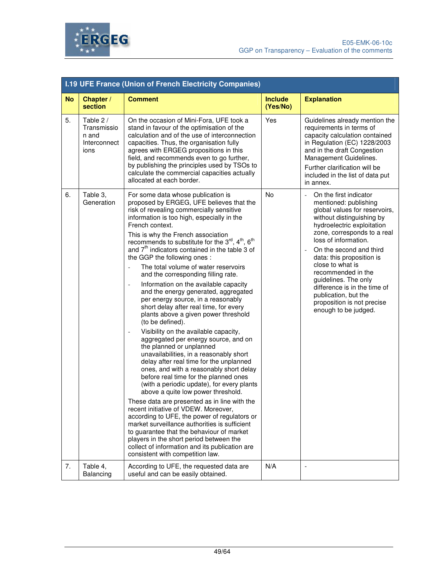

|           | <b>I.19 UFE France (Union of French Electricity Companies)</b> |                                                                                                                                                                                                                                                                                                                                                                                                                                                                                                                                                                                                                                                                                                                                                                                                                                                                                                                                                                                                                                                                                                                                                                                                                                                                                                                                                                                                                                                                                                                                                         |                            |                                                                                                                                                                                                                                                                                                                                                                                                                                                              |
|-----------|----------------------------------------------------------------|---------------------------------------------------------------------------------------------------------------------------------------------------------------------------------------------------------------------------------------------------------------------------------------------------------------------------------------------------------------------------------------------------------------------------------------------------------------------------------------------------------------------------------------------------------------------------------------------------------------------------------------------------------------------------------------------------------------------------------------------------------------------------------------------------------------------------------------------------------------------------------------------------------------------------------------------------------------------------------------------------------------------------------------------------------------------------------------------------------------------------------------------------------------------------------------------------------------------------------------------------------------------------------------------------------------------------------------------------------------------------------------------------------------------------------------------------------------------------------------------------------------------------------------------------------|----------------------------|--------------------------------------------------------------------------------------------------------------------------------------------------------------------------------------------------------------------------------------------------------------------------------------------------------------------------------------------------------------------------------------------------------------------------------------------------------------|
| <b>No</b> | Chapter /<br>section                                           | <b>Comment</b>                                                                                                                                                                                                                                                                                                                                                                                                                                                                                                                                                                                                                                                                                                                                                                                                                                                                                                                                                                                                                                                                                                                                                                                                                                                                                                                                                                                                                                                                                                                                          | <b>Include</b><br>(Yes/No) | <b>Explanation</b>                                                                                                                                                                                                                                                                                                                                                                                                                                           |
| 5.        | Table 2 /<br>Transmissio<br>n and<br>Interconnect<br>ions      | On the occasion of Mini-Fora, UFE took a<br>stand in favour of the optimisation of the<br>calculation and of the use of interconnection<br>capacities. Thus, the organisation fully<br>agrees with ERGEG propositions in this<br>field, and recommends even to go further,<br>by publishing the principles used by TSOs to<br>calculate the commercial capacities actually<br>allocated at each border.                                                                                                                                                                                                                                                                                                                                                                                                                                                                                                                                                                                                                                                                                                                                                                                                                                                                                                                                                                                                                                                                                                                                                 | Yes                        | Guidelines already mention the<br>requirements in terms of<br>capacity calculation contained<br>in Regulation (EC) 1228/2003<br>and in the draft Congestion<br>Management Guidelines.<br>Further clarification will be<br>included in the list of data put<br>in annex.                                                                                                                                                                                      |
| 6.        | Table 3,<br>Generation                                         | For some data whose publication is<br>proposed by ERGEG, UFE believes that the<br>risk of revealing commercially sensitive<br>information is too high, especially in the<br>French context.<br>This is why the French association<br>recommends to substitute for the $3^{\text{rd}}$ , $4^{\text{th}}$ , $6^{\text{th}}$<br>and 7 <sup>th</sup> indicators contained in the table 3 of<br>the GGP the following ones :<br>The total volume of water reservoirs<br>$\overline{a}$<br>and the corresponding filling rate.<br>Information on the available capacity<br>$\qquad \qquad \Box$<br>and the energy generated, aggregated<br>per energy source, in a reasonably<br>short delay after real time, for every<br>plants above a given power threshold<br>(to be defined).<br>Visibility on the available capacity,<br>$\qquad \qquad \Box$<br>aggregated per energy source, and on<br>the planned or unplanned<br>unavailabilities, in a reasonably short<br>delay after real time for the unplanned<br>ones, and with a reasonably short delay<br>before real time for the planned ones<br>(with a periodic update), for every plants<br>above a quite low power threshold.<br>These data are presented as in line with the<br>recent initiative of VDEW. Moreover,<br>according to UFE, the power of regulators or<br>market surveillance authorities is sufficient<br>to guarantee that the behaviour of market<br>players in the short period between the<br>collect of information and its publication are<br>consistent with competition law. | No                         | On the first indicator<br>$\blacksquare$<br>mentioned: publishing<br>global values for reservoirs,<br>without distinguishing by<br>hydroelectric exploitation<br>zone, corresponds to a real<br>loss of information.<br>On the second and third<br>data: this proposition is<br>close to what is<br>recommended in the<br>guidelines. The only<br>difference is in the time of<br>publication, but the<br>proposition is not precise<br>enough to be judged. |
| 7.        | Table 4,<br>Balancing                                          | According to UFE, the requested data are<br>useful and can be easily obtained.                                                                                                                                                                                                                                                                                                                                                                                                                                                                                                                                                                                                                                                                                                                                                                                                                                                                                                                                                                                                                                                                                                                                                                                                                                                                                                                                                                                                                                                                          | N/A                        | $\overline{\phantom{a}}$                                                                                                                                                                                                                                                                                                                                                                                                                                     |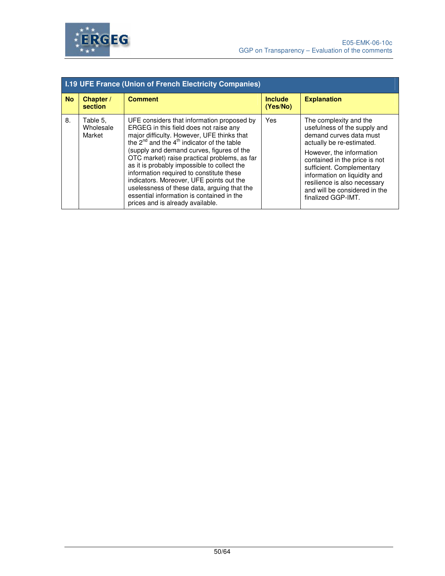

|           | <b>I.19 UFE France (Union of French Electricity Companies)</b> |                                                                                                                                                                                                                                                                                                                                                                                                                                                                                                                                                                |                            |                                                                                                                                                                                                                                                                                                                                 |
|-----------|----------------------------------------------------------------|----------------------------------------------------------------------------------------------------------------------------------------------------------------------------------------------------------------------------------------------------------------------------------------------------------------------------------------------------------------------------------------------------------------------------------------------------------------------------------------------------------------------------------------------------------------|----------------------------|---------------------------------------------------------------------------------------------------------------------------------------------------------------------------------------------------------------------------------------------------------------------------------------------------------------------------------|
| <b>No</b> | Chapter /<br>section                                           | <b>Comment</b>                                                                                                                                                                                                                                                                                                                                                                                                                                                                                                                                                 | <b>Include</b><br>(Yes/No) | <b>Explanation</b>                                                                                                                                                                                                                                                                                                              |
| 8.        | Table 5,<br>Wholesale<br>Market                                | UFE considers that information proposed by<br>ERGEG in this field does not raise any<br>major difficulty. However, UFE thinks that<br>the $2^{nd}$ and the $4^{th}$ indicator of the table<br>(supply and demand curves, figures of the<br>OTC market) raise practical problems, as far<br>as it is probably impossible to collect the<br>information required to constitute these<br>indicators. Moreover, UFE points out the<br>uselessness of these data, arguing that the<br>essential information is contained in the<br>prices and is already available. | Yes                        | The complexity and the<br>usefulness of the supply and<br>demand curves data must<br>actually be re-estimated.<br>However, the information<br>contained in the price is not<br>sufficient. Complementary<br>information on liquidity and<br>resilience is also necessary<br>and will be considered in the<br>finalized GGP-IMT. |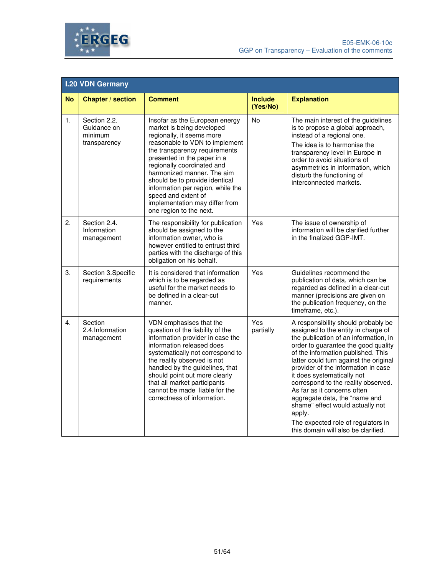

|           | <b>I.20 VDN Germany</b>                                |                                                                                                                                                                                                                                                                                                                                                                                                                   |                            |                                                                                                                                                                                                                                                                                                                                                                                                                                                                                                                                                   |  |
|-----------|--------------------------------------------------------|-------------------------------------------------------------------------------------------------------------------------------------------------------------------------------------------------------------------------------------------------------------------------------------------------------------------------------------------------------------------------------------------------------------------|----------------------------|---------------------------------------------------------------------------------------------------------------------------------------------------------------------------------------------------------------------------------------------------------------------------------------------------------------------------------------------------------------------------------------------------------------------------------------------------------------------------------------------------------------------------------------------------|--|
| <b>No</b> | <b>Chapter / section</b>                               | <b>Comment</b>                                                                                                                                                                                                                                                                                                                                                                                                    | <b>Include</b><br>(Yes/No) | <b>Explanation</b>                                                                                                                                                                                                                                                                                                                                                                                                                                                                                                                                |  |
| 1.        | Section 2.2.<br>Guidance on<br>minimum<br>transparency | Insofar as the European energy<br>market is being developed<br>regionally, it seems more<br>reasonable to VDN to implement<br>the transparency requirements<br>presented in the paper in a<br>regionally coordinated and<br>harmonized manner. The aim<br>should be to provide identical<br>information per region, while the<br>speed and extent of<br>implementation may differ from<br>one region to the next. | No                         | The main interest of the guidelines<br>is to propose a global approach,<br>instead of a regional one.<br>The idea is to harmonise the<br>transparency level in Europe in<br>order to avoid situations of<br>asymmetries in information, which<br>disturb the functioning of<br>interconnected markets.                                                                                                                                                                                                                                            |  |
| 2.        | Section 2.4.<br>Information<br>management              | The responsibility for publication<br>should be assigned to the<br>information owner, who is<br>however entitled to entrust third<br>parties with the discharge of this<br>obligation on his behalf.                                                                                                                                                                                                              | Yes                        | The issue of ownership of<br>information will be clarified further<br>in the finalized GGP-IMT.                                                                                                                                                                                                                                                                                                                                                                                                                                                   |  |
| 3.        | Section 3.Specific<br>requirements                     | It is considered that information<br>which is to be regarded as<br>useful for the market needs to<br>be defined in a clear-cut<br>manner.                                                                                                                                                                                                                                                                         | Yes                        | Guidelines recommend the<br>publication of data, which can be<br>regarded as defined in a clear-cut<br>manner (precisions are given on<br>the publication frequency, on the<br>timeframe, etc.).                                                                                                                                                                                                                                                                                                                                                  |  |
| 4.        | Section<br>2.4.Information<br>management               | VDN emphasises that the<br>question of the liability of the<br>information provider in case the<br>information released does<br>systematically not correspond to<br>the reality observed is not<br>handled by the guidelines, that<br>should point out more clearly<br>that all market participants<br>cannot be made liable for the<br>correctness of information.                                               | Yes<br>partially           | A responsibility should probably be<br>assigned to the entity in charge of<br>the publication of an information, in<br>order to guarantee the good quality<br>of the information published. This<br>latter could turn against the original<br>provider of the information in case<br>it does systematically not<br>correspond to the reality observed.<br>As far as it concerns often<br>aggregate data, the "name and<br>shame" effect would actually not<br>apply.<br>The expected role of regulators in<br>this domain will also be clarified. |  |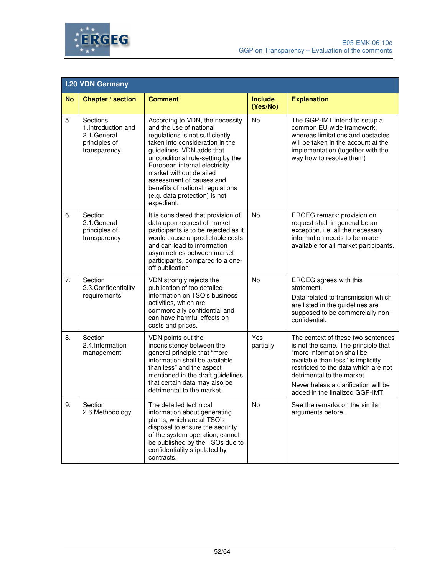

|           | <b>I.20 VDN Germany</b>                                                         |                                                                                                                                                                                                                                                                                                                                                                               |                            |                                                                                                                                                                                                                                                                                               |
|-----------|---------------------------------------------------------------------------------|-------------------------------------------------------------------------------------------------------------------------------------------------------------------------------------------------------------------------------------------------------------------------------------------------------------------------------------------------------------------------------|----------------------------|-----------------------------------------------------------------------------------------------------------------------------------------------------------------------------------------------------------------------------------------------------------------------------------------------|
| <b>No</b> | <b>Chapter / section</b>                                                        | <b>Comment</b>                                                                                                                                                                                                                                                                                                                                                                | <b>Include</b><br>(Yes/No) | <b>Explanation</b>                                                                                                                                                                                                                                                                            |
| 5.        | Sections<br>1. Introduction and<br>2.1.General<br>principles of<br>transparency | According to VDN, the necessity<br>and the use of national<br>regulations is not sufficiently<br>taken into consideration in the<br>guidelines. VDN adds that<br>unconditional rule-setting by the<br>European internal electricity<br>market without detailed<br>assessment of causes and<br>benefits of national regulations<br>(e.g. data protection) is not<br>expedient. | No                         | The GGP-IMT intend to setup a<br>common EU wide framework,<br>whereas limitations and obstacles<br>will be taken in the account at the<br>implementation (together with the<br>way how to resolve them)                                                                                       |
| 6.        | Section<br>2.1.General<br>principles of<br>transparency                         | It is considered that provision of<br>data upon request of market<br>participants is to be rejected as it<br>would cause unpredictable costs<br>and can lead to information<br>asymmetries between market<br>participants, compared to a one-<br>off publication                                                                                                              | <b>No</b>                  | ERGEG remark: provision on<br>request shall in general be an<br>exception, i.e. all the necessary<br>information needs to be made<br>available for all market participants.                                                                                                                   |
| 7.        | Section<br>2.3. Confidentiality<br>requirements                                 | VDN strongly rejects the<br>publication of too detailed<br>information on TSO's business<br>activities, which are<br>commercially confidential and<br>can have harmful effects on<br>costs and prices.                                                                                                                                                                        | <b>No</b>                  | ERGEG agrees with this<br>statement.<br>Data related to transmission which<br>are listed in the guidelines are<br>supposed to be commercially non-<br>confidential.                                                                                                                           |
| 8.        | Section<br>2.4.Information<br>management                                        | VDN points out the<br>inconsistency between the<br>general principle that "more<br>information shall be available<br>than less" and the aspect<br>mentioned in the draft guidelines<br>that certain data may also be<br>detrimental to the market.                                                                                                                            | Yes<br>partially           | The context of these two sentences<br>is not the same. The principle that<br>"more information shall be<br>available than less" is implicitly<br>restricted to the data which are not<br>detrimental to the market.<br>Nevertheless a clarification will be<br>added in the finalized GGP-IMT |
| 9.        | Section<br>2.6. Methodology                                                     | The detailed technical<br>information about generating<br>plants, which are at TSO's<br>disposal to ensure the security<br>of the system operation, cannot<br>be published by the TSOs due to<br>confidentiality stipulated by<br>contracts.                                                                                                                                  | No                         | See the remarks on the similar<br>arguments before.                                                                                                                                                                                                                                           |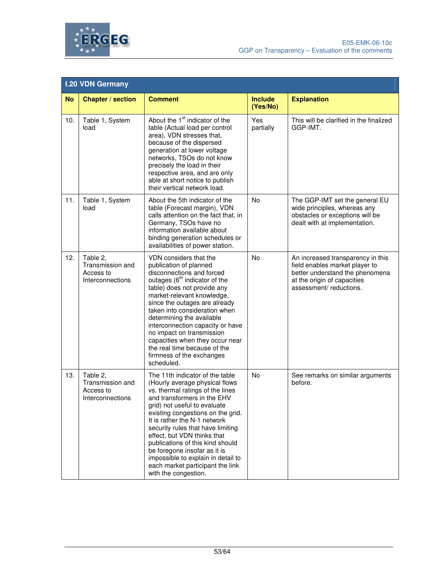

|           | <b>I.20 VDN Germany</b>                                       |                                                                                                                                                                                                                                                                                                                                                                                                                                                                                     |                            |                                                                                                                                                                 |
|-----------|---------------------------------------------------------------|-------------------------------------------------------------------------------------------------------------------------------------------------------------------------------------------------------------------------------------------------------------------------------------------------------------------------------------------------------------------------------------------------------------------------------------------------------------------------------------|----------------------------|-----------------------------------------------------------------------------------------------------------------------------------------------------------------|
| <b>No</b> | <b>Chapter / section</b>                                      | <b>Comment</b>                                                                                                                                                                                                                                                                                                                                                                                                                                                                      | <b>Include</b><br>(Yes/No) | <b>Explanation</b>                                                                                                                                              |
| 10.       | Table 1, System<br>load                                       | About the 1 <sup>st</sup> indicator of the<br>table (Actual load per control<br>area), VDN stresses that,<br>because of the dispersed<br>generation at lower voltage<br>networks, TSOs do not know<br>precisely the load in their<br>respective area, and are only<br>able at short notice to publish<br>their vertical network load.                                                                                                                                               | Yes<br>partially           | This will be clarified in the finalized<br>GGP-IMT.                                                                                                             |
| 11.       | Table 1, System<br>load                                       | About the 5th indicator of the<br>table (Forecast margin), VDN<br>calls attention on the fact that, in<br>Germany, TSOs have no<br>information available about<br>binding generation schedules or<br>availabilities of power station.                                                                                                                                                                                                                                               | No                         | The GGP-IMT set the general EU<br>wide principles, whereas any<br>obstacles or exceptions will be<br>dealt with at implementation.                              |
| 12.       | Table 2,<br>Transmission and<br>Access to<br>Interconnections | VDN considers that the<br>publication of planned<br>disconnections and forced<br>outages (6 <sup>th</sup> indicator of the<br>table) does not provide any<br>market-relevant knowledge,<br>since the outages are already<br>taken into consideration when<br>determining the available<br>interconnection capacity or have<br>no impact on transmission<br>capacities when they occur near<br>the real time because of the<br>firmness of the exchanges<br>scheduled.               | No                         | An increased transparency in this<br>field enables market player to<br>better understand the phenomena<br>at the origin of capacities<br>assessment/reductions. |
| 13.       | Table 2,<br>Transmission and<br>Access to<br>Interconnections | The 11th indicator of the table<br>(Hourly average physical flows<br>vs. thermal ratings of the lines<br>and transformers in the EHV<br>grid) not useful to evaluate<br>existing congestions on the grid.<br>It is rather the N-1 network<br>security rules that have limiting<br>effect, but VDN thinks that<br>publications of this kind should<br>be foregone insofar as it is<br>impossible to explain in detail to<br>each market participant the link<br>with the congestion. | No                         | See remarks on similar arguments<br>before.                                                                                                                     |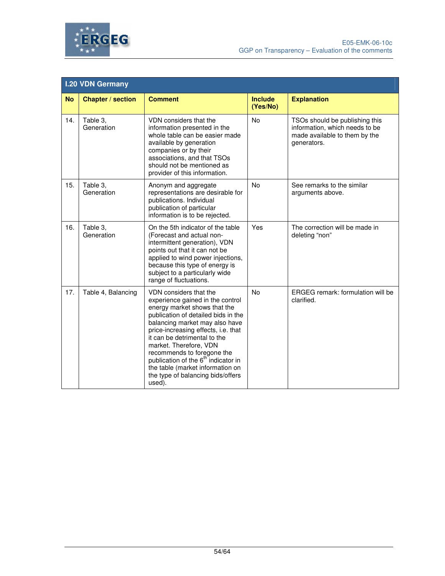

|           | <b>I.20 VDN Germany</b>  |                                                                                                                                                                                                                                                                                                                                                                                                                                          |                            |                                                                                                                  |  |  |
|-----------|--------------------------|------------------------------------------------------------------------------------------------------------------------------------------------------------------------------------------------------------------------------------------------------------------------------------------------------------------------------------------------------------------------------------------------------------------------------------------|----------------------------|------------------------------------------------------------------------------------------------------------------|--|--|
| <b>No</b> | <b>Chapter / section</b> | <b>Comment</b>                                                                                                                                                                                                                                                                                                                                                                                                                           | <b>Include</b><br>(Yes/No) | <b>Explanation</b>                                                                                               |  |  |
| 14.       | Table 3,<br>Generation   | VDN considers that the<br>information presented in the<br>whole table can be easier made<br>available by generation<br>companies or by their<br>associations, and that TSOs<br>should not be mentioned as<br>provider of this information.                                                                                                                                                                                               | <b>No</b>                  | TSOs should be publishing this<br>information, which needs to be<br>made available to them by the<br>generators. |  |  |
| 15.       | Table 3,<br>Generation   | Anonym and aggregate<br>representations are desirable for<br>publications. Individual<br>publication of particular<br>information is to be rejected.                                                                                                                                                                                                                                                                                     | No                         | See remarks to the similar<br>arguments above.                                                                   |  |  |
| 16.       | Table 3,<br>Generation   | On the 5th indicator of the table<br>(Forecast and actual non-<br>intermittent generation), VDN<br>points out that it can not be<br>applied to wind power injections,<br>because this type of energy is<br>subject to a particularly wide<br>range of fluctuations.                                                                                                                                                                      | Yes                        | The correction will be made in<br>deleting "non"                                                                 |  |  |
| 17.       | Table 4, Balancing       | VDN considers that the<br>experience gained in the control<br>energy market shows that the<br>publication of detailed bids in the<br>balancing market may also have<br>price-increasing effects, i.e. that<br>it can be detrimental to the<br>market. Therefore, VDN<br>recommends to foregone the<br>publication of the 6 <sup>th</sup> indicator in<br>the table (market information on<br>the type of balancing bids/offers<br>used). | <b>No</b>                  | ERGEG remark: formulation will be<br>clarified.                                                                  |  |  |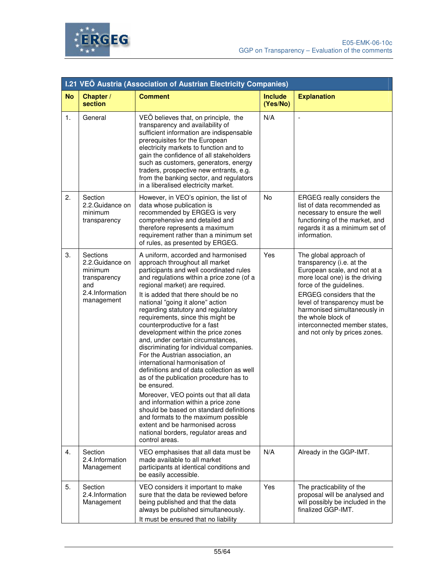

|                | I.21 VEÖ Austria (Association of Austrian Electricity Companies)                               |                                                                                                                                                                                                                                                                                                                                                                                                                                                                                                                                                                                                                                                                                                                                                                                                                                                                                                                                                           |                            |                                                                                                                                                                                                                                                                                                                                               |  |
|----------------|------------------------------------------------------------------------------------------------|-----------------------------------------------------------------------------------------------------------------------------------------------------------------------------------------------------------------------------------------------------------------------------------------------------------------------------------------------------------------------------------------------------------------------------------------------------------------------------------------------------------------------------------------------------------------------------------------------------------------------------------------------------------------------------------------------------------------------------------------------------------------------------------------------------------------------------------------------------------------------------------------------------------------------------------------------------------|----------------------------|-----------------------------------------------------------------------------------------------------------------------------------------------------------------------------------------------------------------------------------------------------------------------------------------------------------------------------------------------|--|
| <b>No</b>      | Chapter /<br>section                                                                           | <b>Comment</b>                                                                                                                                                                                                                                                                                                                                                                                                                                                                                                                                                                                                                                                                                                                                                                                                                                                                                                                                            | <b>Include</b><br>(Yes/No) | <b>Explanation</b>                                                                                                                                                                                                                                                                                                                            |  |
| $\mathbf{1}$ . | General                                                                                        | VEÖ believes that, on principle, the<br>transparency and availability of<br>sufficient information are indispensable<br>prerequisites for the European<br>electricity markets to function and to<br>gain the confidence of all stakeholders<br>such as customers, generators, energy<br>traders, prospective new entrants, e.g.<br>from the banking sector, and regulators<br>in a liberalised electricity market.                                                                                                                                                                                                                                                                                                                                                                                                                                                                                                                                        | N/A                        | $\overline{\phantom{a}}$                                                                                                                                                                                                                                                                                                                      |  |
| 2.             | Section<br>2.2.Guidance on<br>minimum<br>transparency                                          | However, in VEO's opinion, the list of<br>data whose publication is<br>recommended by ERGEG is very<br>comprehensive and detailed and<br>therefore represents a maximum<br>requirement rather than a minimum set<br>of rules, as presented by ERGEG.                                                                                                                                                                                                                                                                                                                                                                                                                                                                                                                                                                                                                                                                                                      | <b>No</b>                  | ERGEG really considers the<br>list of data recommended as<br>necessary to ensure the well<br>functioning of the market, and<br>regards it as a minimum set of<br>information.                                                                                                                                                                 |  |
| 3.             | Sections<br>2.2.Guidance on<br>minimum<br>transparency<br>and<br>2.4.Information<br>management | A uniform, accorded and harmonised<br>approach throughout all market<br>participants and well coordinated rules<br>and regulations within a price zone (of a<br>regional market) are required.<br>It is added that there should be no<br>national "going it alone" action<br>regarding statutory and regulatory<br>requirements, since this might be<br>counterproductive for a fast<br>development within the price zones<br>and, under certain circumstances,<br>discriminating for individual companies.<br>For the Austrian association, an<br>international harmonisation of<br>definitions and of data collection as well<br>as of the publication procedure has to<br>be ensured.<br>Moreover, VEO points out that all data<br>and information within a price zone<br>should be based on standard definitions<br>and formats to the maximum possible<br>extent and be harmonised across<br>national borders, regulator areas and<br>control areas. | Yes                        | The global approach of<br>transparency (i.e. at the<br>European scale, and not at a<br>more local one) is the driving<br>force of the guidelines.<br><b>ERGEG</b> considers that the<br>level of transparency must be<br>harmonised simultaneously in<br>the whole block of<br>interconnected member states,<br>and not only by prices zones. |  |
| 4.             | Section<br>2.4.Information<br>Management                                                       | VEO emphasises that all data must be<br>made available to all market<br>participants at identical conditions and<br>be easily accessible.                                                                                                                                                                                                                                                                                                                                                                                                                                                                                                                                                                                                                                                                                                                                                                                                                 | N/A                        | Already in the GGP-IMT.                                                                                                                                                                                                                                                                                                                       |  |
| 5.             | Section<br>2.4.Information<br>Management                                                       | VEO considers it important to make<br>sure that the data be reviewed before<br>being published and that the data<br>always be published simultaneously.<br>It must be ensured that no liability                                                                                                                                                                                                                                                                                                                                                                                                                                                                                                                                                                                                                                                                                                                                                           | Yes                        | The practicability of the<br>proposal will be analysed and<br>will possibly be included in the<br>finalized GGP-IMT.                                                                                                                                                                                                                          |  |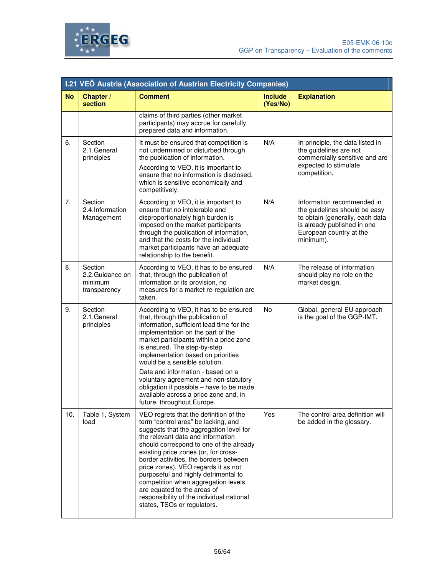



|           | I.21 VEÖ Austria (Association of Austrian Electricity Companies) |                                                                                                                                                                                                                                                                                                                                                                                                                                                                                                                             |                            |                                                                                                                                                                       |  |
|-----------|------------------------------------------------------------------|-----------------------------------------------------------------------------------------------------------------------------------------------------------------------------------------------------------------------------------------------------------------------------------------------------------------------------------------------------------------------------------------------------------------------------------------------------------------------------------------------------------------------------|----------------------------|-----------------------------------------------------------------------------------------------------------------------------------------------------------------------|--|
| <b>No</b> | Chapter /<br>section                                             | <b>Comment</b>                                                                                                                                                                                                                                                                                                                                                                                                                                                                                                              | <b>Include</b><br>(Yes/No) | <b>Explanation</b>                                                                                                                                                    |  |
|           |                                                                  | claims of third parties (other market<br>participants) may accrue for carefully<br>prepared data and information.                                                                                                                                                                                                                                                                                                                                                                                                           |                            |                                                                                                                                                                       |  |
| 6.        | Section<br>2.1.General<br>principles                             | It must be ensured that competition is<br>not undermined or disturbed through<br>the publication of information.<br>According to VEO, it is important to<br>ensure that no information is disclosed,<br>which is sensitive economically and<br>competitively.                                                                                                                                                                                                                                                               | N/A                        | In principle, the data listed in<br>the guidelines are not<br>commercially sensitive and are<br>expected to stimulate<br>competition.                                 |  |
| 7.        | Section<br>2.4.Information<br>Management                         | According to VEO, it is important to<br>ensure that no intolerable and<br>disproportionately high burden is<br>imposed on the market participants<br>through the publication of information,<br>and that the costs for the individual<br>market participants have an adequate<br>relationship to the benefit.                                                                                                                                                                                                               | N/A                        | Information recommended in<br>the guidelines should be easy<br>to obtain (generally, each data<br>is already published in one<br>European country at the<br>minimum). |  |
| 8.        | Section<br>2.2.Guidance on<br>minimum<br>transparency            | According to VEO, it has to be ensured<br>that, through the publication of<br>information or its provision, no<br>measures for a market re-regulation are<br>taken.                                                                                                                                                                                                                                                                                                                                                         | N/A                        | The release of information<br>should play no role on the<br>market design.                                                                                            |  |
| 9.        | Section<br>2.1.General<br>principles                             | According to VEO, it has to be ensured<br>that, through the publication of<br>information, sufficient lead time for the<br>implementation on the part of the<br>market participants within a price zone<br>is ensured. The step-by-step<br>implementation based on priorities<br>would be a sensible solution.                                                                                                                                                                                                              | No                         | Global, general EU approach<br>is the goal of the GGP-IMT.                                                                                                            |  |
|           |                                                                  | Data and information - based on a<br>voluntary agreement and non-statutory<br>obligation if possible - have to be made<br>available across a price zone and, in<br>future, throughout Europe.                                                                                                                                                                                                                                                                                                                               |                            |                                                                                                                                                                       |  |
| 10.       | Table 1, System<br>load                                          | VEO regrets that the definition of the<br>term "control area" be lacking, and<br>suggests that the aggregation level for<br>the relevant data and information<br>should correspond to one of the already<br>existing price zones (or, for cross-<br>border activities, the borders between<br>price zones). VEO regards it as not<br>purposeful and highly detrimental to<br>competition when aggregation levels<br>are equated to the areas of<br>responsibility of the individual national<br>states, TSOs or regulators. | Yes                        | The control area definition will<br>be added in the glossary.                                                                                                         |  |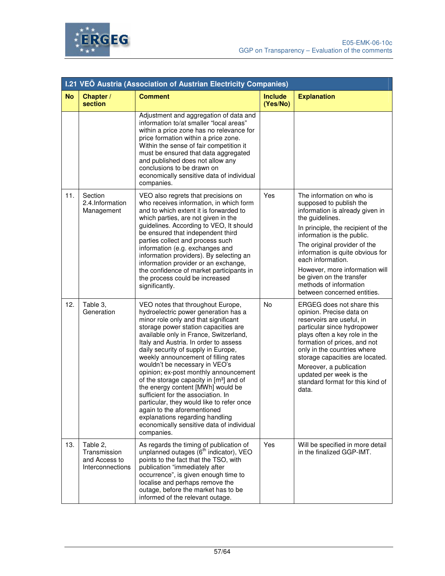



|           | I.21 VEÖ Austria (Association of Austrian Electricity Companies) |                                                                                                                                                                                                                                                                                                                                                                                                                                                                                                                                                                                                                                                                                                                    |                            |                                                                                                                                                                                                                                                                                                                                                                                                |  |
|-----------|------------------------------------------------------------------|--------------------------------------------------------------------------------------------------------------------------------------------------------------------------------------------------------------------------------------------------------------------------------------------------------------------------------------------------------------------------------------------------------------------------------------------------------------------------------------------------------------------------------------------------------------------------------------------------------------------------------------------------------------------------------------------------------------------|----------------------------|------------------------------------------------------------------------------------------------------------------------------------------------------------------------------------------------------------------------------------------------------------------------------------------------------------------------------------------------------------------------------------------------|--|
| <b>No</b> | Chapter /<br>section                                             | <b>Comment</b>                                                                                                                                                                                                                                                                                                                                                                                                                                                                                                                                                                                                                                                                                                     | <b>Include</b><br>(Yes/No) | <b>Explanation</b>                                                                                                                                                                                                                                                                                                                                                                             |  |
|           |                                                                  | Adjustment and aggregation of data and<br>information to/at smaller "local areas"<br>within a price zone has no relevance for<br>price formation within a price zone.<br>Within the sense of fair competition it<br>must be ensured that data aggregated<br>and published does not allow any<br>conclusions to be drawn on<br>economically sensitive data of individual<br>companies.                                                                                                                                                                                                                                                                                                                              |                            |                                                                                                                                                                                                                                                                                                                                                                                                |  |
| 11.       | Section<br>2.4.Information<br>Management                         | VEO also regrets that precisions on<br>who receives information, in which form<br>and to which extent it is forwarded to<br>which parties, are not given in the<br>guidelines. According to VEO, It should<br>be ensured that independent third<br>parties collect and process such<br>information (e.g. exchanges and<br>information providers). By selecting an<br>information provider or an exchange,<br>the confidence of market participants in<br>the process could be increased<br>significantly.                                                                                                                                                                                                          | Yes                        | The information on who is<br>supposed to publish the<br>information is already given in<br>the guidelines.<br>In principle, the recipient of the<br>information is the public.<br>The original provider of the<br>information is quite obvious for<br>each information.<br>However, more information will<br>be given on the transfer<br>methods of information<br>between concerned entities. |  |
| 12.       | Table 3,<br>Generation                                           | VEO notes that throughout Europe,<br>hydroelectric power generation has a<br>minor role only and that significant<br>storage power station capacities are<br>available only in France, Switzerland,<br>Italy and Austria. In order to assess<br>daily security of supply in Europe,<br>weekly announcement of filling rates<br>wouldn't be necessary in VEO's<br>opinion; ex-post monthly announcement<br>of the storage capacity in [m <sup>3</sup> ] and of<br>the energy content [MWh] would be<br>sufficient for the association. In<br>particular, they would like to refer once<br>again to the aforementioned<br>explanations regarding handling<br>economically sensitive data of individual<br>companies. | No                         | ERGEG does not share this<br>opinion. Precise data on<br>reservoirs are useful, in<br>particular since hydropower<br>plays often a key role in the<br>formation of prices, and not<br>only in the countries where<br>storage capacities are located.<br>Moreover, a publication<br>updated per week is the<br>standard format for this kind of<br>data.                                        |  |
| 13.       | Table 2,<br>Transmission<br>and Access to<br>Interconnections    | As regards the timing of publication of<br>unplanned outages (6 <sup>th</sup> indicator), VEO<br>points to the fact that the TSO, with<br>publication "immediately after<br>occurrence", is given enough time to<br>localise and perhaps remove the<br>outage, before the market has to be<br>informed of the relevant outage.                                                                                                                                                                                                                                                                                                                                                                                     | Yes                        | Will be specified in more detail<br>in the finalized GGP-IMT.                                                                                                                                                                                                                                                                                                                                  |  |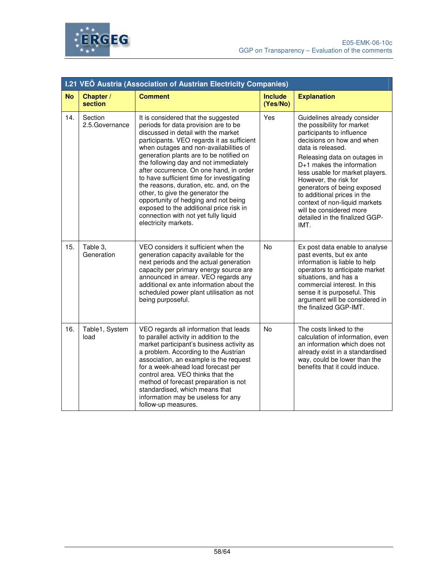

|           | I.21 VEÖ Austria (Association of Austrian Electricity Companies) |                                                                                                                                                                                                                                                                                                                                                                                                                                                                                                                                                                                                                          |                            |                                                                                                                                                                                                                                                                                                                                                                                                                                       |  |  |
|-----------|------------------------------------------------------------------|--------------------------------------------------------------------------------------------------------------------------------------------------------------------------------------------------------------------------------------------------------------------------------------------------------------------------------------------------------------------------------------------------------------------------------------------------------------------------------------------------------------------------------------------------------------------------------------------------------------------------|----------------------------|---------------------------------------------------------------------------------------------------------------------------------------------------------------------------------------------------------------------------------------------------------------------------------------------------------------------------------------------------------------------------------------------------------------------------------------|--|--|
| <b>No</b> | Chapter /<br>section                                             | <b>Comment</b>                                                                                                                                                                                                                                                                                                                                                                                                                                                                                                                                                                                                           | <b>Include</b><br>(Yes/No) | <b>Explanation</b>                                                                                                                                                                                                                                                                                                                                                                                                                    |  |  |
| 14.       | Section<br>2.5. Governance                                       | It is considered that the suggested<br>periods for data provision are to be<br>discussed in detail with the market<br>participants. VEO regards it as sufficient<br>when outages and non-availabilities of<br>generation plants are to be notified on<br>the following day and not immediately<br>after occurrence. On one hand, in order<br>to have sufficient time for investigating<br>the reasons, duration, etc. and, on the<br>other, to give the generator the<br>opportunity of hedging and not being<br>exposed to the additional price risk in<br>connection with not yet fully liquid<br>electricity markets. | Yes                        | Guidelines already consider<br>the possibility for market<br>participants to influence<br>decisions on how and when<br>data is released.<br>Releasing data on outages in<br>D+1 makes the information<br>less usable for market players.<br>However, the risk for<br>generators of being exposed<br>to additional prices in the<br>context of non-liquid markets<br>will be considered more<br>detailed in the finalized GGP-<br>IMT. |  |  |
| 15.       | Table 3,<br>Generation                                           | VEO considers it sufficient when the<br>generation capacity available for the<br>next periods and the actual generation<br>capacity per primary energy source are<br>announced in arrear. VEO regards any<br>additional ex ante information about the<br>scheduled power plant utilisation as not<br>being purposeful.                                                                                                                                                                                                                                                                                                   | <b>No</b>                  | Ex post data enable to analyse<br>past events, but ex ante<br>information is liable to help<br>operators to anticipate market<br>situations, and has a<br>commercial interest. In this<br>sense it is purposeful. This<br>argument will be considered in<br>the finalized GGP-IMT.                                                                                                                                                    |  |  |
| 16.       | Table1, System<br>load                                           | VEO regards all information that leads<br>to parallel activity in addition to the<br>market participant's business activity as<br>a problem. According to the Austrian<br>association, an example is the request<br>for a week-ahead load forecast per<br>control area. VEO thinks that the<br>method of forecast preparation is not<br>standardised, which means that<br>information may be useless for any<br>follow-up measures.                                                                                                                                                                                      | No                         | The costs linked to the<br>calculation of information, even<br>an information which does not<br>already exist in a standardised<br>way, could be lower than the<br>benefits that it could induce.                                                                                                                                                                                                                                     |  |  |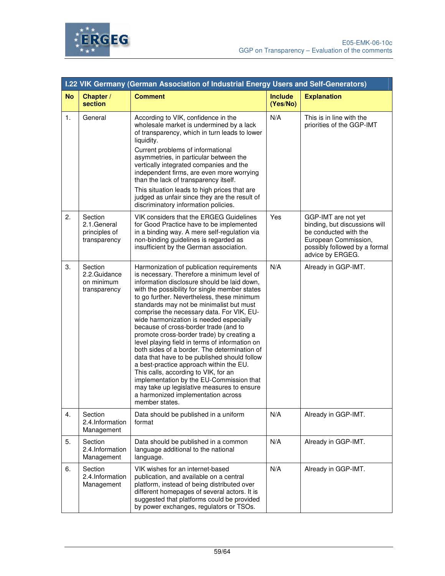



|           | I.22 VIK Germany (German Association of Industrial Energy Users and Self-Generators) |                                                                                                                                                                                                                                                                                                                                                                                                                                                                                                                                                                                                                                                                                                                                                                                                                                                        |                            |                                                                                                                                                            |  |
|-----------|--------------------------------------------------------------------------------------|--------------------------------------------------------------------------------------------------------------------------------------------------------------------------------------------------------------------------------------------------------------------------------------------------------------------------------------------------------------------------------------------------------------------------------------------------------------------------------------------------------------------------------------------------------------------------------------------------------------------------------------------------------------------------------------------------------------------------------------------------------------------------------------------------------------------------------------------------------|----------------------------|------------------------------------------------------------------------------------------------------------------------------------------------------------|--|
| <b>No</b> | Chapter /<br>section                                                                 | <b>Comment</b>                                                                                                                                                                                                                                                                                                                                                                                                                                                                                                                                                                                                                                                                                                                                                                                                                                         | <b>Include</b><br>(Yes/No) | <b>Explanation</b>                                                                                                                                         |  |
| 1.        | General                                                                              | According to VIK, confidence in the<br>wholesale market is undermined by a lack<br>of transparency, which in turn leads to lower<br>liquidity.<br>Current problems of informational<br>asymmetries, in particular between the<br>vertically integrated companies and the<br>independent firms, are even more worrying<br>than the lack of transparency itself.<br>This situation leads to high prices that are<br>judged as unfair since they are the result of<br>discriminatory information policies.                                                                                                                                                                                                                                                                                                                                                | N/A                        | This is in line with the<br>priorities of the GGP-IMT                                                                                                      |  |
| 2.        | Section<br>2.1.General<br>principles of<br>transparency                              | VIK considers that the ERGEG Guidelines<br>for Good Practice have to be implemented<br>in a binding way. A mere self-regulation via<br>non-binding guidelines is regarded as<br>insufficient by the German association.                                                                                                                                                                                                                                                                                                                                                                                                                                                                                                                                                                                                                                | Yes                        | GGP-IMT are not yet<br>binding, but discussions will<br>be conducted with the<br>European Commission,<br>possibly followed by a formal<br>advice by ERGEG. |  |
| 3.        | Section<br>2.2.Guidance<br>on minimum<br>transparency                                | Harmonization of publication requirements<br>is necessary. Therefore a minimum level of<br>information disclosure should be laid down,<br>with the possibility for single member states<br>to go further. Nevertheless, these minimum<br>standards may not be minimalist but must<br>comprise the necessary data. For VIK, EU-<br>wide harmonization is needed especially<br>because of cross-border trade (and to<br>promote cross-border trade) by creating a<br>level playing field in terms of information on<br>both sides of a border. The determination of<br>data that have to be published should follow<br>a best-practice approach within the EU.<br>This calls, according to VIK, for an<br>implementation by the EU-Commission that<br>may take up legislative measures to ensure<br>a harmonized implementation across<br>member states. | N/A                        | Already in GGP-IMT.                                                                                                                                        |  |
| 4.        | Section<br>2.4.Information<br>Management                                             | Data should be published in a uniform<br>format                                                                                                                                                                                                                                                                                                                                                                                                                                                                                                                                                                                                                                                                                                                                                                                                        | N/A                        | Already in GGP-IMT.                                                                                                                                        |  |
| 5.        | Section<br>2.4.Information<br>Management                                             | Data should be published in a common<br>language additional to the national<br>language.                                                                                                                                                                                                                                                                                                                                                                                                                                                                                                                                                                                                                                                                                                                                                               | N/A                        | Already in GGP-IMT.                                                                                                                                        |  |
| 6.        | Section<br>2.4.Information<br>Management                                             | VIK wishes for an internet-based<br>publication, and available on a central<br>platform, instead of being distributed over<br>different homepages of several actors. It is<br>suggested that platforms could be provided<br>by power exchanges, regulators or TSOs.                                                                                                                                                                                                                                                                                                                                                                                                                                                                                                                                                                                    | N/A                        | Already in GGP-IMT.                                                                                                                                        |  |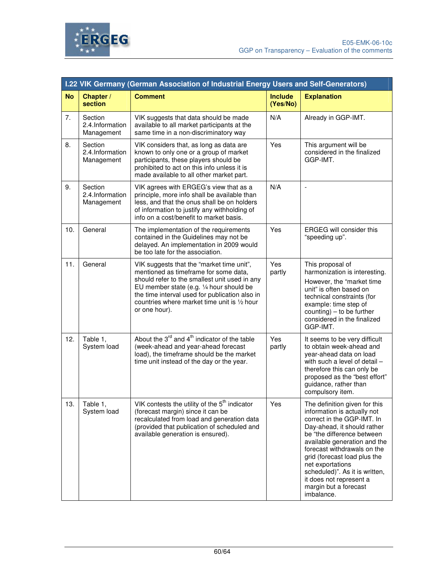



|           | I.22 VIK Germany (German Association of Industrial Energy Users and Self-Generators) |                                                                                                                                                                                                                                                                                                              |                            |                                                                                                                                                                                                                                                                                                                                                                                |  |
|-----------|--------------------------------------------------------------------------------------|--------------------------------------------------------------------------------------------------------------------------------------------------------------------------------------------------------------------------------------------------------------------------------------------------------------|----------------------------|--------------------------------------------------------------------------------------------------------------------------------------------------------------------------------------------------------------------------------------------------------------------------------------------------------------------------------------------------------------------------------|--|
| <b>No</b> | Chapter /<br>section                                                                 | <b>Comment</b>                                                                                                                                                                                                                                                                                               | <b>Include</b><br>(Yes/No) | <b>Explanation</b>                                                                                                                                                                                                                                                                                                                                                             |  |
| 7.        | Section<br>2.4.Information<br>Management                                             | VIK suggests that data should be made<br>available to all market participants at the<br>same time in a non-discriminatory way                                                                                                                                                                                | N/A                        | Already in GGP-IMT.                                                                                                                                                                                                                                                                                                                                                            |  |
| 8.        | Section<br>2.4.Information<br>Management                                             | VIK considers that, as long as data are<br>known to only one or a group of market<br>participants, these players should be<br>prohibited to act on this info unless it is<br>made available to all other market part.                                                                                        | Yes                        | This argument will be<br>considered in the finalized<br>GGP-IMT.                                                                                                                                                                                                                                                                                                               |  |
| 9.        | Section<br>2.4.Information<br>Management                                             | VIK agrees with ERGEG's view that as a<br>principle, more info shall be available than<br>less, and that the onus shall be on holders<br>of information to justify any withholding of<br>info on a cost/benefit to market basis.                                                                             | N/A                        |                                                                                                                                                                                                                                                                                                                                                                                |  |
| 10.       | General                                                                              | The implementation of the requirements<br>contained in the Guidelines may not be<br>delayed. An implementation in 2009 would<br>be too late for the association.                                                                                                                                             | Yes                        | ERGEG will consider this<br>"speeding up".                                                                                                                                                                                                                                                                                                                                     |  |
| 11.       | General                                                                              | VIK suggests that the "market time unit",<br>mentioned as timeframe for some data,<br>should refer to the smallest unit used in any<br>EU member state (e.g. 1/4 hour should be<br>the time interval used for publication also in<br>countries where market time unit is $\frac{1}{2}$ hour<br>or one hour). | Yes<br>partly              | This proposal of<br>harmonization is interesting.<br>However, the "market time<br>unit" is often based on<br>technical constraints (for<br>example: time step of<br>$counting$ – to be further<br>considered in the finalized<br>GGP-IMT.                                                                                                                                      |  |
| 12.       | Table 1,<br>System load                                                              | About the $3^{rd}$ and $4^{th}$ indicator of the table<br>(week-ahead and year-ahead forecast<br>load), the timeframe should be the market<br>time unit instead of the day or the year.                                                                                                                      | Yes<br>partly              | It seems to be very difficult<br>to obtain week-ahead and<br>year-ahead data on load<br>with such a level of detail -<br>therefore this can only be<br>proposed as the "best effort"<br>guidance, rather than<br>compulsory item.                                                                                                                                              |  |
| 13.       | Table 1,<br>System load                                                              | VIK contests the utility of the 5 <sup>th</sup> indicator<br>(forecast margin) since it can be<br>recalculated from load and generation data<br>(provided that publication of scheduled and<br>available generation is ensured).                                                                             | Yes                        | The definition given for this<br>information is actually not<br>correct in the GGP-IMT. In<br>Day-ahead, it should rather<br>be "the difference between<br>available generation and the<br>forecast withdrawals on the<br>grid (forecast load plus the<br>net exportations<br>scheduled)". As it is written,<br>it does not represent a<br>margin but a forecast<br>imbalance. |  |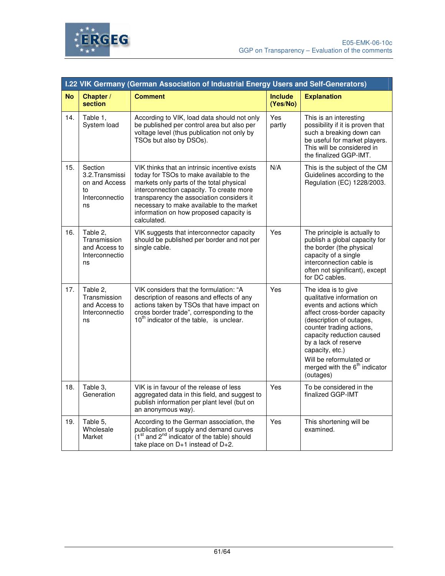



|           | I.22 VIK Germany (German Association of Industrial Energy Users and Self-Generators) |                                                                                                                                                                                                                                                                                                                                      |                            |                                                                                                                                                                                                                                                                                                                          |  |  |
|-----------|--------------------------------------------------------------------------------------|--------------------------------------------------------------------------------------------------------------------------------------------------------------------------------------------------------------------------------------------------------------------------------------------------------------------------------------|----------------------------|--------------------------------------------------------------------------------------------------------------------------------------------------------------------------------------------------------------------------------------------------------------------------------------------------------------------------|--|--|
| <b>No</b> | Chapter /<br>section                                                                 | <b>Comment</b>                                                                                                                                                                                                                                                                                                                       | <b>Include</b><br>(Yes/No) | <b>Explanation</b>                                                                                                                                                                                                                                                                                                       |  |  |
| 14.       | Table 1,<br>System load                                                              | According to VIK, load data should not only<br>be published per control area but also per<br>voltage level (thus publication not only by<br>TSOs but also by DSOs).                                                                                                                                                                  | Yes<br>partly              | This is an interesting<br>possibility if it is proven that<br>such a breaking down can<br>be useful for market players.<br>This will be considered in<br>the finalized GGP-IMT.                                                                                                                                          |  |  |
| 15.       | Section<br>3.2. Transmissi<br>on and Access<br>to<br>Interconnectio<br>ns            | VIK thinks that an intrinsic incentive exists<br>today for TSOs to make available to the<br>markets only parts of the total physical<br>interconnection capacity. To create more<br>transparency the association considers it<br>necessary to make available to the market<br>information on how proposed capacity is<br>calculated. | N/A                        | This is the subject of the CM<br>Guidelines according to the<br>Regulation (EC) 1228/2003.                                                                                                                                                                                                                               |  |  |
| 16.       | Table 2,<br>Transmission<br>and Access to<br>Interconnectio<br>ns                    | VIK suggests that interconnector capacity<br>should be published per border and not per<br>single cable.                                                                                                                                                                                                                             | Yes                        | The principle is actually to<br>publish a global capacity for<br>the border (the physical<br>capacity of a single<br>interconnection cable is<br>often not significant), except<br>for DC cables.                                                                                                                        |  |  |
| 17.       | Table 2.<br>Transmission<br>and Access to<br>Interconnectio<br>ns                    | VIK considers that the formulation: "A<br>description of reasons and effects of any<br>actions taken by TSOs that have impact on<br>cross border trade", corresponding to the<br>10 <sup>th</sup> indicator of the table, is unclear.                                                                                                | Yes                        | The idea is to give<br>qualitative information on<br>events and actions which<br>affect cross-border capacity<br>(description of outages,<br>counter trading actions,<br>capacity reduction caused<br>by a lack of reserve<br>capacity, etc.)<br>Will be reformulated or<br>merged with the $6th$ indicator<br>(outages) |  |  |
| 18.       | Table 3.<br>Generation                                                               | VIK is in favour of the release of less<br>aggregated data in this field, and suggest to<br>publish information per plant level (but on<br>an anonymous way).                                                                                                                                                                        | Yes                        | To be considered in the<br>finalized GGP-IMT                                                                                                                                                                                                                                                                             |  |  |
| 19.       | Table 5,<br>Wholesale<br>Market                                                      | According to the German association, the<br>publication of supply and demand curves<br>(1 <sup>st</sup> and 2 <sup>nd</sup> indicator of the table) should<br>take place on D+1 instead of D+2.                                                                                                                                      | Yes                        | This shortening will be<br>examined.                                                                                                                                                                                                                                                                                     |  |  |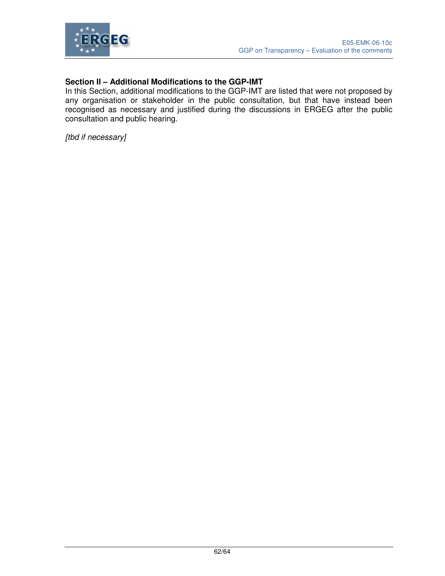

#### **Section II – Additional Modifications to the GGP-IMT**

In this Section, additional modifications to the GGP-IMT are listed that were not proposed by any organisation or stakeholder in the public consultation, but that have instead been recognised as necessary and justified during the discussions in ERGEG after the public consultation and public hearing.

[tbd if necessary]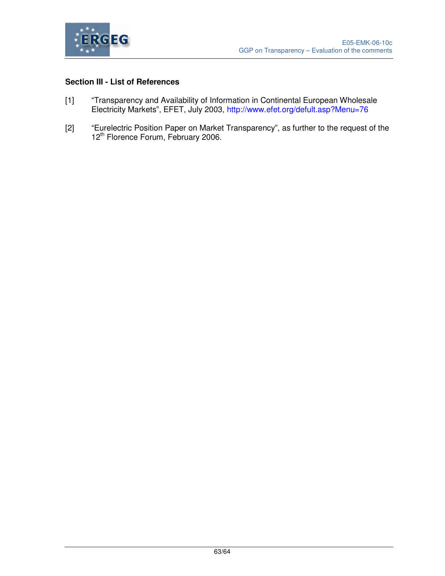

### **Section III - List of References**

- [1] "Transparency and Availability of Information in Continental European Wholesale Electricity Markets", EFET, July 2003, http://www.efet.org/defult.asp?Menu=76
- [2] "Eurelectric Position Paper on Market Transparency", as further to the request of the 12<sup>th</sup> Florence Forum, February 2006.